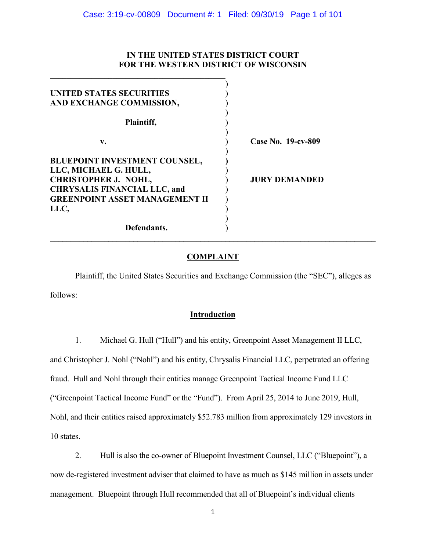## **IN THE UNITED STATES DISTRICT COURT FOR THE WESTERN DISTRICT OF WISCONSIN**

| UNITED STATES SECURITIES              |                      |
|---------------------------------------|----------------------|
| AND EXCHANGE COMMISSION,              |                      |
| Plaintiff,                            |                      |
| v.                                    | Case No. 19-cv-809   |
| BLUEPOINT INVESTMENT COUNSEL,         |                      |
| LLC, MICHAEL G. HULL,                 |                      |
| <b>CHRISTOPHER J. NOHL,</b>           | <b>JURY DEMANDED</b> |
| <b>CHRYSALIS FINANCIAL LLC, and</b>   |                      |
| <b>GREENPOINT ASSET MANAGEMENT II</b> |                      |
| LLC,                                  |                      |
|                                       |                      |
| Defendants.                           |                      |

**\_\_\_\_\_\_\_\_\_\_\_\_\_\_\_\_\_\_\_\_\_\_\_\_\_\_\_\_\_\_\_\_\_\_\_\_\_\_\_\_\_\_**

# **COMPLAINT**

**\_\_\_\_\_\_\_\_\_\_\_\_\_\_\_\_\_\_\_\_\_\_\_\_\_\_\_\_\_\_\_\_\_\_\_\_\_\_\_\_\_\_\_\_\_\_\_\_\_\_\_\_\_\_\_\_\_\_\_\_\_\_\_\_\_\_\_\_\_\_\_\_\_\_\_\_\_\_**

Plaintiff, the United States Securities and Exchange Commission (the "SEC"), alleges as follows:

# **Introduction**

1. Michael G. Hull ("Hull") and his entity, Greenpoint Asset Management II LLC, and Christopher J. Nohl ("Nohl") and his entity, Chrysalis Financial LLC, perpetrated an offering fraud. Hull and Nohl through their entities manage Greenpoint Tactical Income Fund LLC ("Greenpoint Tactical Income Fund" or the "Fund"). From April 25, 2014 to June 2019, Hull, Nohl, and their entities raised approximately \$52.783 million from approximately 129 investors in 10 states.

2. Hull is also the co-owner of Bluepoint Investment Counsel, LLC ("Bluepoint"), a now de-registered investment adviser that claimed to have as much as \$145 million in assets under management. Bluepoint through Hull recommended that all of Bluepoint's individual clients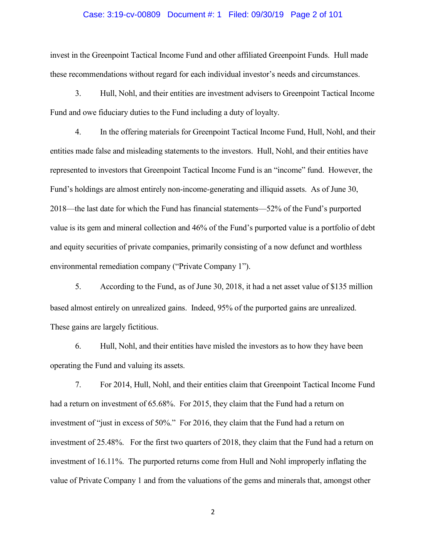### Case: 3:19-cv-00809 Document #: 1 Filed: 09/30/19 Page 2 of 101

invest in the Greenpoint Tactical Income Fund and other affiliated Greenpoint Funds. Hull made these recommendations without regard for each individual investor's needs and circumstances.

3. Hull, Nohl, and their entities are investment advisers to Greenpoint Tactical Income Fund and owe fiduciary duties to the Fund including a duty of loyalty.

4. In the offering materials for Greenpoint Tactical Income Fund, Hull, Nohl, and their entities made false and misleading statements to the investors. Hull, Nohl, and their entities have represented to investors that Greenpoint Tactical Income Fund is an "income" fund. However, the Fund's holdings are almost entirely non-income-generating and illiquid assets. As of June 30, 2018—the last date for which the Fund has financial statements—52% of the Fund's purported value is its gem and mineral collection and 46% of the Fund's purported value is a portfolio of debt and equity securities of private companies, primarily consisting of a now defunct and worthless environmental remediation company ("Private Company 1").

5. According to the Fund, as of June 30, 2018, it had a net asset value of \$135 million based almost entirely on unrealized gains. Indeed, 95% of the purported gains are unrealized. These gains are largely fictitious.

6. Hull, Nohl, and their entities have misled the investors as to how they have been operating the Fund and valuing its assets.

7. For 2014, Hull, Nohl, and their entities claim that Greenpoint Tactical Income Fund had a return on investment of 65.68%. For 2015, they claim that the Fund had a return on investment of "just in excess of 50%." For 2016, they claim that the Fund had a return on investment of 25.48%. For the first two quarters of 2018, they claim that the Fund had a return on investment of 16.11%. The purported returns come from Hull and Nohl improperly inflating the value of Private Company 1 and from the valuations of the gems and minerals that, amongst other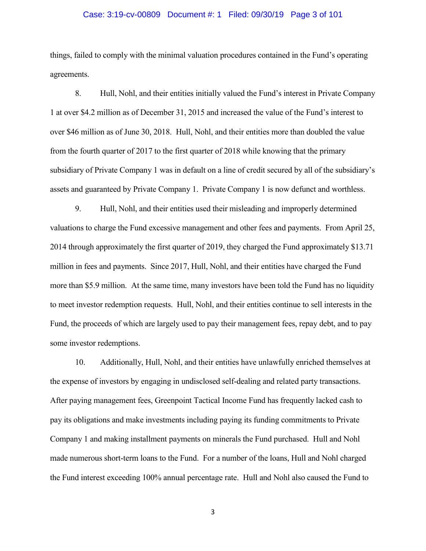## Case: 3:19-cv-00809 Document #: 1 Filed: 09/30/19 Page 3 of 101

things, failed to comply with the minimal valuation procedures contained in the Fund's operating agreements.

8. Hull, Nohl, and their entities initially valued the Fund's interest in Private Company 1 at over \$4.2 million as of December 31, 2015 and increased the value of the Fund's interest to over \$46 million as of June 30, 2018. Hull, Nohl, and their entities more than doubled the value from the fourth quarter of 2017 to the first quarter of 2018 while knowing that the primary subsidiary of Private Company 1 was in default on a line of credit secured by all of the subsidiary's assets and guaranteed by Private Company 1. Private Company 1 is now defunct and worthless.

9. Hull, Nohl, and their entities used their misleading and improperly determined valuations to charge the Fund excessive management and other fees and payments. From April 25, 2014 through approximately the first quarter of 2019, they charged the Fund approximately \$13.71 million in fees and payments. Since 2017, Hull, Nohl, and their entities have charged the Fund more than \$5.9 million. At the same time, many investors have been told the Fund has no liquidity to meet investor redemption requests. Hull, Nohl, and their entities continue to sell interests in the Fund, the proceeds of which are largely used to pay their management fees, repay debt, and to pay some investor redemptions.

10. Additionally, Hull, Nohl, and their entities have unlawfully enriched themselves at the expense of investors by engaging in undisclosed self-dealing and related party transactions. After paying management fees, Greenpoint Tactical Income Fund has frequently lacked cash to pay its obligations and make investments including paying its funding commitments to Private Company 1 and making installment payments on minerals the Fund purchased. Hull and Nohl made numerous short-term loans to the Fund. For a number of the loans, Hull and Nohl charged the Fund interest exceeding 100% annual percentage rate. Hull and Nohl also caused the Fund to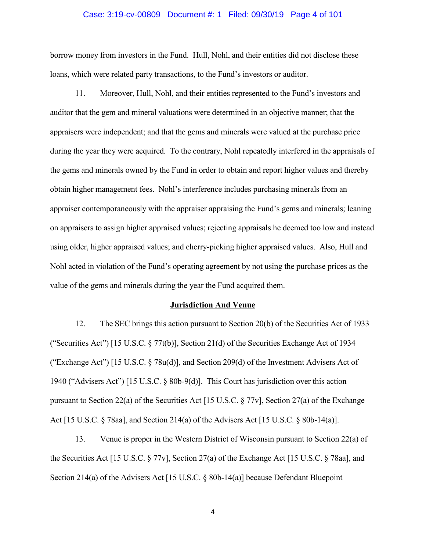#### Case: 3:19-cv-00809 Document #: 1 Filed: 09/30/19 Page 4 of 101

borrow money from investors in the Fund. Hull, Nohl, and their entities did not disclose these loans, which were related party transactions, to the Fund's investors or auditor.

11. Moreover, Hull, Nohl, and their entities represented to the Fund's investors and auditor that the gem and mineral valuations were determined in an objective manner; that the appraisers were independent; and that the gems and minerals were valued at the purchase price during the year they were acquired. To the contrary, Nohl repeatedly interfered in the appraisals of the gems and minerals owned by the Fund in order to obtain and report higher values and thereby obtain higher management fees. Nohl's interference includes purchasing minerals from an appraiser contemporaneously with the appraiser appraising the Fund's gems and minerals; leaning on appraisers to assign higher appraised values; rejecting appraisals he deemed too low and instead using older, higher appraised values; and cherry-picking higher appraised values. Also, Hull and Nohl acted in violation of the Fund's operating agreement by not using the purchase prices as the value of the gems and minerals during the year the Fund acquired them.

#### **Jurisdiction And Venue**

12. The SEC brings this action pursuant to Section 20(b) of the Securities Act of 1933 ("Securities Act") [15 U.S.C. § 77t(b)], Section 21(d) of the Securities Exchange Act of 1934 ("Exchange Act") [15 U.S.C. § 78u(d)], and Section 209(d) of the Investment Advisers Act of 1940 ("Advisers Act") [15 U.S.C. § 80b-9(d)]. This Court has jurisdiction over this action pursuant to Section 22(a) of the Securities Act [15 U.S.C. § 77v], Section 27(a) of the Exchange Act [15 U.S.C. § 78aa], and Section 214(a) of the Advisers Act [15 U.S.C. § 80b-14(a)].

13. Venue is proper in the Western District of Wisconsin pursuant to Section 22(a) of the Securities Act [15 U.S.C. § 77v], Section 27(a) of the Exchange Act [15 U.S.C. § 78aa], and Section 214(a) of the Advisers Act [15 U.S.C. § 80b-14(a)] because Defendant Bluepoint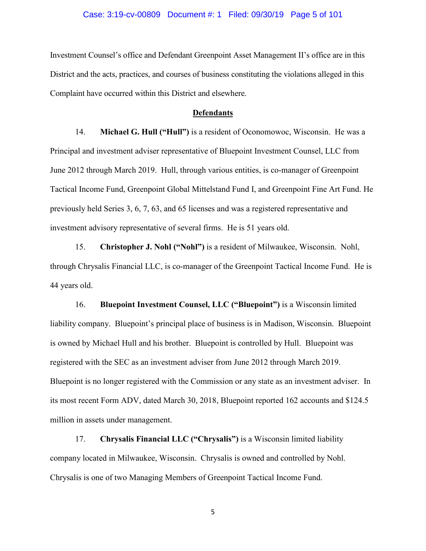### Case: 3:19-cv-00809 Document #: 1 Filed: 09/30/19 Page 5 of 101

Investment Counsel's office and Defendant Greenpoint Asset Management II's office are in this District and the acts, practices, and courses of business constituting the violations alleged in this Complaint have occurred within this District and elsewhere.

#### **Defendants**

14. **Michael G. Hull ("Hull")** is a resident of Oconomowoc, Wisconsin. He was a Principal and investment adviser representative of Bluepoint Investment Counsel, LLC from June 2012 through March 2019. Hull, through various entities, is co-manager of Greenpoint Tactical Income Fund, Greenpoint Global Mittelstand Fund I, and Greenpoint Fine Art Fund. He previously held Series 3, 6, 7, 63, and 65 licenses and was a registered representative and investment advisory representative of several firms. He is 51 years old.

15. **Christopher J. Nohl ("Nohl")** is a resident of Milwaukee, Wisconsin. Nohl, through Chrysalis Financial LLC, is co-manager of the Greenpoint Tactical Income Fund. He is 44 years old.

16. **Bluepoint Investment Counsel, LLC ("Bluepoint")** is a Wisconsin limited liability company. Bluepoint's principal place of business is in Madison, Wisconsin. Bluepoint is owned by Michael Hull and his brother. Bluepoint is controlled by Hull. Bluepoint was registered with the SEC as an investment adviser from June 2012 through March 2019. Bluepoint is no longer registered with the Commission or any state as an investment adviser. In its most recent Form ADV, dated March 30, 2018, Bluepoint reported 162 accounts and \$124.5 million in assets under management.

17. **Chrysalis Financial LLC ("Chrysalis")** is a Wisconsin limited liability company located in Milwaukee, Wisconsin. Chrysalis is owned and controlled by Nohl. Chrysalis is one of two Managing Members of Greenpoint Tactical Income Fund.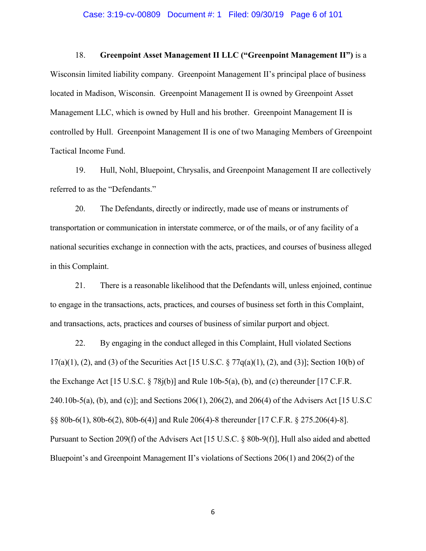#### Case: 3:19-cv-00809 Document #: 1 Filed: 09/30/19 Page 6 of 101

18. **Greenpoint Asset Management II LLC ("Greenpoint Management II")** is a Wisconsin limited liability company. Greenpoint Management II's principal place of business located in Madison, Wisconsin. Greenpoint Management II is owned by Greenpoint Asset Management LLC, which is owned by Hull and his brother. Greenpoint Management II is

controlled by Hull. Greenpoint Management II is one of two Managing Members of Greenpoint Tactical Income Fund.

19. Hull, Nohl, Bluepoint, Chrysalis, and Greenpoint Management II are collectively referred to as the "Defendants."

20. The Defendants, directly or indirectly, made use of means or instruments of transportation or communication in interstate commerce, or of the mails, or of any facility of a national securities exchange in connection with the acts, practices, and courses of business alleged in this Complaint.

21. There is a reasonable likelihood that the Defendants will, unless enjoined, continue to engage in the transactions, acts, practices, and courses of business set forth in this Complaint, and transactions, acts, practices and courses of business of similar purport and object.

22. By engaging in the conduct alleged in this Complaint, Hull violated Sections 17(a)(1), (2), and (3) of the Securities Act [15 U.S.C.  $\S 77q(a)(1)$ , (2), and (3)]; Section 10(b) of the Exchange Act [15 U.S.C.  $\S 78j(b)$ ] and Rule 10b-5(a), (b), and (c) thereunder [17 C.F.R. 240.10b-5(a), (b), and (c)]; and Sections 206(1), 206(2), and 206(4) of the Advisers Act [15 U.S.C §§ 80b-6(1), 80b-6(2), 80b-6(4)] and Rule 206(4)-8 thereunder [17 C.F.R. § 275.206(4)-8]. Pursuant to Section 209(f) of the Advisers Act [15 U.S.C. § 80b-9(f)], Hull also aided and abetted Bluepoint's and Greenpoint Management II's violations of Sections 206(1) and 206(2) of the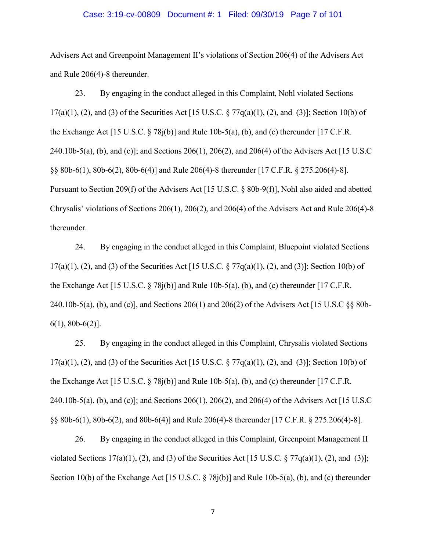#### Case: 3:19-cv-00809 Document #: 1 Filed: 09/30/19 Page 7 of 101

Advisers Act and Greenpoint Management II's violations of Section 206(4) of the Advisers Act and Rule 206(4)-8 thereunder.

23. By engaging in the conduct alleged in this Complaint, Nohl violated Sections  $17(a)(1)$ , (2), and (3) of the Securities Act [15 U.S.C. § 77q(a)(1), (2), and (3)]; Section 10(b) of the Exchange Act [15 U.S.C.  $\S 78j(b)$ ] and Rule 10b-5(a), (b), and (c) thereunder [17 C.F.R. 240.10b-5(a), (b), and (c)]; and Sections 206(1), 206(2), and 206(4) of the Advisers Act [15 U.S.C §§ 80b-6(1), 80b-6(2), 80b-6(4)] and Rule 206(4)-8 thereunder [17 C.F.R. § 275.206(4)-8]. Pursuant to Section 209(f) of the Advisers Act [15 U.S.C. § 80b-9(f)], Nohl also aided and abetted Chrysalis' violations of Sections 206(1), 206(2), and 206(4) of the Advisers Act and Rule 206(4)-8 thereunder.

24. By engaging in the conduct alleged in this Complaint, Bluepoint violated Sections  $17(a)(1)$ , (2), and (3) of the Securities Act [15 U.S.C. § 77 $q(a)(1)$ , (2), and (3)]; Section 10(b) of the Exchange Act [15 U.S.C.  $\S 78j(b)$ ] and Rule 10b-5(a), (b), and (c) thereunder [17 C.F.R. 240.10b-5(a), (b), and (c)], and Sections 206(1) and 206(2) of the Advisers Act [15 U.S.C §§ 80b-6(1), 80b-6(2)].

25. By engaging in the conduct alleged in this Complaint, Chrysalis violated Sections  $17(a)(1)$ , (2), and (3) of the Securities Act [15 U.S.C. § 77 $q(a)(1)$ , (2), and (3)]; Section 10(b) of the Exchange Act [15 U.S.C.  $\S$  78j(b)] and Rule 10b-5(a), (b), and (c) thereunder [17 C.F.R. 240.10b-5(a), (b), and (c)]; and Sections 206(1), 206(2), and 206(4) of the Advisers Act [15 U.S.C §§ 80b-6(1), 80b-6(2), and 80b-6(4)] and Rule 206(4)-8 thereunder [17 C.F.R. § 275.206(4)-8].

26. By engaging in the conduct alleged in this Complaint, Greenpoint Management II violated Sections 17(a)(1), (2), and (3) of the Securities Act [15 U.S.C.  $\S 77q(a)(1)$ , (2), and (3)]; Section 10(b) of the Exchange Act [15 U.S.C. § 78j(b)] and Rule 10b-5(a), (b), and (c) thereunder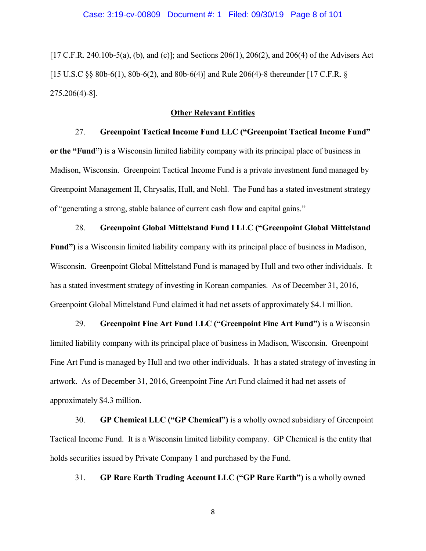[17 C.F.R. 240.10b-5(a), (b), and (c)]; and Sections 206(1), 206(2), and 206(4) of the Advisers Act [15 U.S.C §§ 80b-6(1), 80b-6(2), and 80b-6(4)] and Rule 206(4)-8 thereunder [17 C.F.R. § 275.206(4)-8].

### **Other Relevant Entities**

# 27. **Greenpoint Tactical Income Fund LLC ("Greenpoint Tactical Income Fund"**

**or the "Fund")** is a Wisconsin limited liability company with its principal place of business in Madison, Wisconsin. Greenpoint Tactical Income Fund is a private investment fund managed by Greenpoint Management II, Chrysalis, Hull, and Nohl. The Fund has a stated investment strategy of "generating a strong, stable balance of current cash flow and capital gains."

#### 28. **Greenpoint Global Mittelstand Fund I LLC ("Greenpoint Global Mittelstand**

**Fund")** is a Wisconsin limited liability company with its principal place of business in Madison, Wisconsin. Greenpoint Global Mittelstand Fund is managed by Hull and two other individuals. It has a stated investment strategy of investing in Korean companies. As of December 31, 2016, Greenpoint Global Mittelstand Fund claimed it had net assets of approximately \$4.1 million.

29. **Greenpoint Fine Art Fund LLC ("Greenpoint Fine Art Fund")** is a Wisconsin limited liability company with its principal place of business in Madison, Wisconsin. Greenpoint Fine Art Fund is managed by Hull and two other individuals. It has a stated strategy of investing in artwork. As of December 31, 2016, Greenpoint Fine Art Fund claimed it had net assets of approximately \$4.3 million.

30. **GP Chemical LLC ("GP Chemical")** is a wholly owned subsidiary of Greenpoint Tactical Income Fund. It is a Wisconsin limited liability company. GP Chemical is the entity that holds securities issued by Private Company 1 and purchased by the Fund.

31. **GP Rare Earth Trading Account LLC ("GP Rare Earth")** is a wholly owned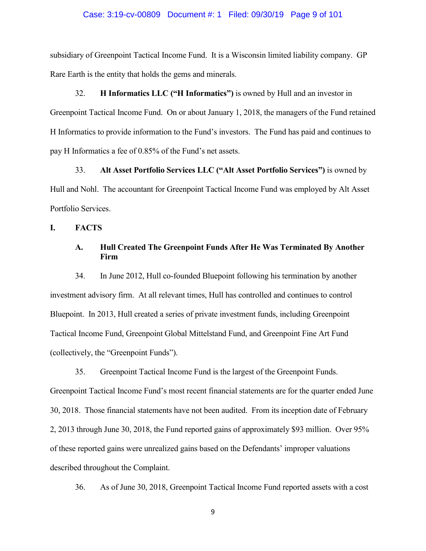### Case: 3:19-cv-00809 Document #: 1 Filed: 09/30/19 Page 9 of 101

subsidiary of Greenpoint Tactical Income Fund. It is a Wisconsin limited liability company. GP Rare Earth is the entity that holds the gems and minerals.

32. **H Informatics LLC ("H Informatics")** is owned by Hull and an investor in Greenpoint Tactical Income Fund. On or about January 1, 2018, the managers of the Fund retained H Informatics to provide information to the Fund's investors. The Fund has paid and continues to pay H Informatics a fee of 0.85% of the Fund's net assets.

33. **Alt Asset Portfolio Services LLC ("Alt Asset Portfolio Services")** is owned by Hull and Nohl. The accountant for Greenpoint Tactical Income Fund was employed by Alt Asset Portfolio Services.

**I. FACTS**

## **A. Hull Created The Greenpoint Funds After He Was Terminated By Another Firm**

34. In June 2012, Hull co-founded Bluepoint following his termination by another investment advisory firm. At all relevant times, Hull has controlled and continues to control Bluepoint. In 2013, Hull created a series of private investment funds, including Greenpoint Tactical Income Fund, Greenpoint Global Mittelstand Fund, and Greenpoint Fine Art Fund (collectively, the "Greenpoint Funds").

35. Greenpoint Tactical Income Fund is the largest of the Greenpoint Funds. Greenpoint Tactical Income Fund's most recent financial statements are for the quarter ended June 30, 2018. Those financial statements have not been audited. From its inception date of February 2, 2013 through June 30, 2018, the Fund reported gains of approximately \$93 million. Over 95% of these reported gains were unrealized gains based on the Defendants' improper valuations described throughout the Complaint.

36. As of June 30, 2018, Greenpoint Tactical Income Fund reported assets with a cost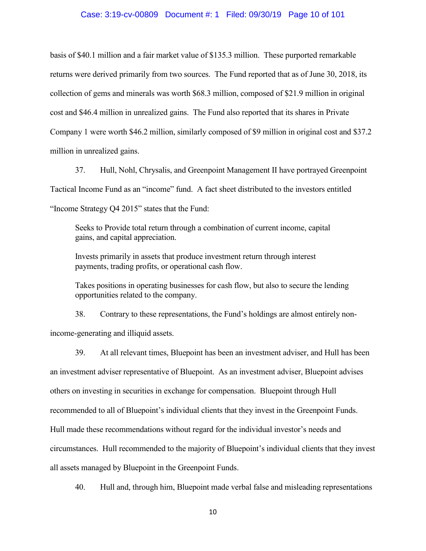### Case: 3:19-cv-00809 Document #: 1 Filed: 09/30/19 Page 10 of 101

basis of \$40.1 million and a fair market value of \$135.3 million. These purported remarkable returns were derived primarily from two sources. The Fund reported that as of June 30, 2018, its collection of gems and minerals was worth \$68.3 million, composed of \$21.9 million in original cost and \$46.4 million in unrealized gains. The Fund also reported that its shares in Private Company 1 were worth \$46.2 million, similarly composed of \$9 million in original cost and \$37.2 million in unrealized gains.

37. Hull, Nohl, Chrysalis, and Greenpoint Management II have portrayed Greenpoint Tactical Income Fund as an "income" fund. A fact sheet distributed to the investors entitled "Income Strategy Q4 2015" states that the Fund:

Seeks to Provide total return through a combination of current income, capital gains, and capital appreciation.

Invests primarily in assets that produce investment return through interest payments, trading profits, or operational cash flow.

Takes positions in operating businesses for cash flow, but also to secure the lending opportunities related to the company.

38. Contrary to these representations, the Fund's holdings are almost entirely nonincome-generating and illiquid assets.

39. At all relevant times, Bluepoint has been an investment adviser, and Hull has been an investment adviser representative of Bluepoint. As an investment adviser, Bluepoint advises others on investing in securities in exchange for compensation. Bluepoint through Hull recommended to all of Bluepoint's individual clients that they invest in the Greenpoint Funds. Hull made these recommendations without regard for the individual investor's needs and circumstances. Hull recommended to the majority of Bluepoint's individual clients that they invest all assets managed by Bluepoint in the Greenpoint Funds.

40. Hull and, through him, Bluepoint made verbal false and misleading representations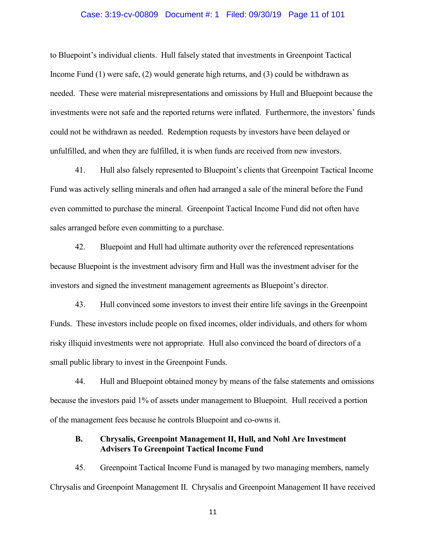### Case: 3:19-cv-00809 Document #: 1 Filed: 09/30/19 Page 11 of 101

to Bluepoint's individual clients. Hull falsely stated that investments in Greenpoint Tactical Income Fund (1) were safe, (2) would generate high returns, and (3) could be withdrawn as needed. These were material misrepresentations and omissions by Hull and Bluepoint because the investments were not safe and the reported returns were inflated. Furthermore, the investors' funds could not be withdrawn as needed. Redemption requests by investors have been delayed or unfulfilled, and when they are fulfilled, it is when funds are received from new investors.

41. Hull also falsely represented to Bluepoint's clients that Greenpoint Tactical Income Fund was actively selling minerals and often had arranged a sale of the mineral before the Fund even committed to purchase the mineral. Greenpoint Tactical Income Fund did not often have sales arranged before even committing to a purchase.

42. Bluepoint and Hull had ultimate authority over the referenced representations because Bluepoint is the investment advisory firm and Hull was the investment adviser for the investors and signed the investment management agreements as Bluepoint's director.

43. Hull convinced some investors to invest their entire life savings in the Greenpoint Funds. These investors include people on fixed incomes, older individuals, and others for whom risky illiquid investments were not appropriate. Hull also convinced the board of directors of a small public library to invest in the Greenpoint Funds.

44. Hull and Bluepoint obtained money by means of the false statements and omissions because the investors paid 1% of assets under management to Bluepoint. Hull received a portion of the management fees because he controls Bluepoint and co-owns it.

## **B. Chrysalis, Greenpoint Management II, Hull, and Nohl Are Investment Advisers To Greenpoint Tactical Income Fund**

45. Greenpoint Tactical Income Fund is managed by two managing members, namely Chrysalis and Greenpoint Management II. Chrysalis and Greenpoint Management II have received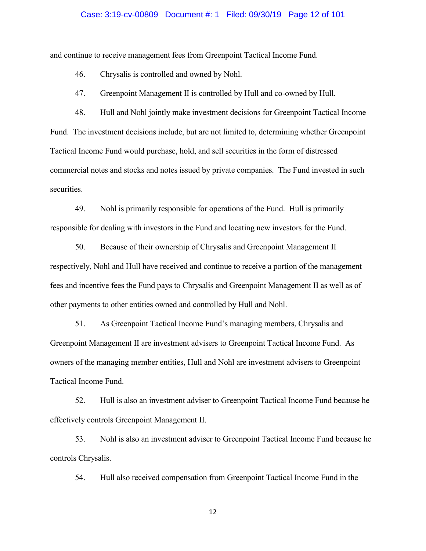### Case: 3:19-cv-00809 Document #: 1 Filed: 09/30/19 Page 12 of 101

and continue to receive management fees from Greenpoint Tactical Income Fund.

46. Chrysalis is controlled and owned by Nohl.

47. Greenpoint Management II is controlled by Hull and co-owned by Hull.

48. Hull and Nohl jointly make investment decisions for Greenpoint Tactical Income Fund. The investment decisions include, but are not limited to, determining whether Greenpoint Tactical Income Fund would purchase, hold, and sell securities in the form of distressed commercial notes and stocks and notes issued by private companies. The Fund invested in such securities.

49. Nohl is primarily responsible for operations of the Fund. Hull is primarily responsible for dealing with investors in the Fund and locating new investors for the Fund.

50. Because of their ownership of Chrysalis and Greenpoint Management II respectively, Nohl and Hull have received and continue to receive a portion of the management fees and incentive fees the Fund pays to Chrysalis and Greenpoint Management II as well as of other payments to other entities owned and controlled by Hull and Nohl.

51. As Greenpoint Tactical Income Fund's managing members, Chrysalis and Greenpoint Management II are investment advisers to Greenpoint Tactical Income Fund. As owners of the managing member entities, Hull and Nohl are investment advisers to Greenpoint Tactical Income Fund.

52. Hull is also an investment adviser to Greenpoint Tactical Income Fund because he effectively controls Greenpoint Management II.

53. Nohl is also an investment adviser to Greenpoint Tactical Income Fund because he controls Chrysalis.

54. Hull also received compensation from Greenpoint Tactical Income Fund in the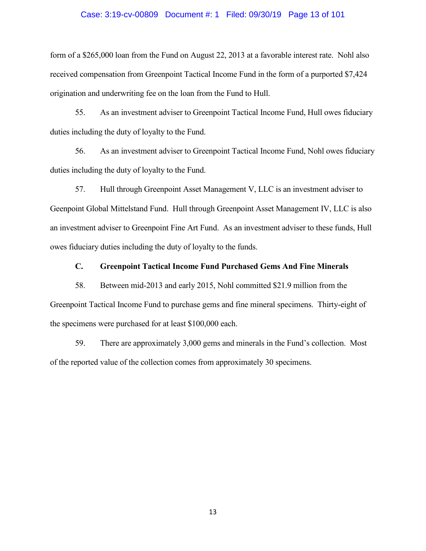### Case: 3:19-cv-00809 Document #: 1 Filed: 09/30/19 Page 13 of 101

form of a \$265,000 loan from the Fund on August 22, 2013 at a favorable interest rate. Nohl also received compensation from Greenpoint Tactical Income Fund in the form of a purported \$7,424 origination and underwriting fee on the loan from the Fund to Hull.

55. As an investment adviser to Greenpoint Tactical Income Fund, Hull owes fiduciary duties including the duty of loyalty to the Fund.

56. As an investment adviser to Greenpoint Tactical Income Fund, Nohl owes fiduciary duties including the duty of loyalty to the Fund.

57. Hull through Greenpoint Asset Management V, LLC is an investment adviser to Geenpoint Global Mittelstand Fund. Hull through Greenpoint Asset Management IV, LLC is also an investment adviser to Greenpoint Fine Art Fund. As an investment adviser to these funds, Hull owes fiduciary duties including the duty of loyalty to the funds.

**C. Greenpoint Tactical Income Fund Purchased Gems And Fine Minerals**

58. Between mid-2013 and early 2015, Nohl committed \$21.9 million from the Greenpoint Tactical Income Fund to purchase gems and fine mineral specimens. Thirty-eight of the specimens were purchased for at least \$100,000 each.

59. There are approximately 3,000 gems and minerals in the Fund's collection. Most of the reported value of the collection comes from approximately 30 specimens.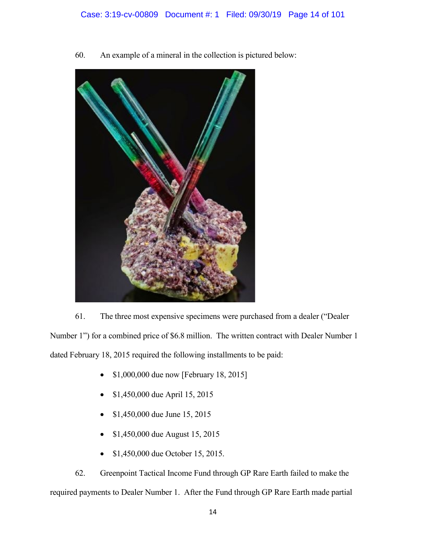60. An example of a mineral in the collection is pictured below:



61. The three most expensive specimens were purchased from a dealer ("Dealer Number 1") for a combined price of \$6.8 million. The written contract with Dealer Number 1 dated February 18, 2015 required the following installments to be paid:

- \$1,000,000 due now [February 18, 2015]
- \$1,450,000 due April 15, 2015
- \$1,450,000 due June 15, 2015
- \$1,450,000 due August 15, 2015
- \$1,450,000 due October 15, 2015.

62. Greenpoint Tactical Income Fund through GP Rare Earth failed to make the required payments to Dealer Number 1. After the Fund through GP Rare Earth made partial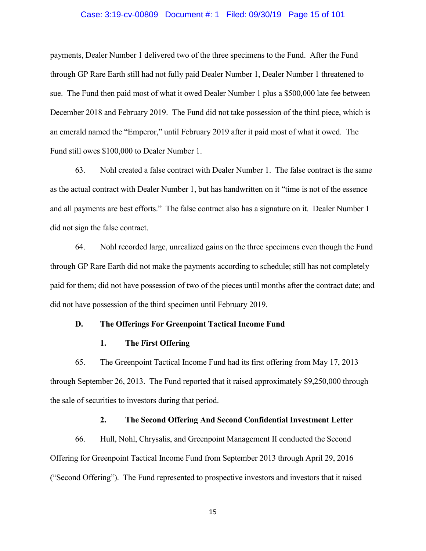#### Case: 3:19-cv-00809 Document #: 1 Filed: 09/30/19 Page 15 of 101

payments, Dealer Number 1 delivered two of the three specimens to the Fund. After the Fund through GP Rare Earth still had not fully paid Dealer Number 1, Dealer Number 1 threatened to sue. The Fund then paid most of what it owed Dealer Number 1 plus a \$500,000 late fee between December 2018 and February 2019. The Fund did not take possession of the third piece, which is an emerald named the "Emperor," until February 2019 after it paid most of what it owed. The Fund still owes \$100,000 to Dealer Number 1.

63. Nohl created a false contract with Dealer Number 1. The false contract is the same as the actual contract with Dealer Number 1, but has handwritten on it "time is not of the essence and all payments are best efforts." The false contract also has a signature on it. Dealer Number 1 did not sign the false contract.

64. Nohl recorded large, unrealized gains on the three specimens even though the Fund through GP Rare Earth did not make the payments according to schedule; still has not completely paid for them; did not have possession of two of the pieces until months after the contract date; and did not have possession of the third specimen until February 2019.

### **D. The Offerings For Greenpoint Tactical Income Fund**

### **1. The First Offering**

65. The Greenpoint Tactical Income Fund had its first offering from May 17, 2013 through September 26, 2013. The Fund reported that it raised approximately \$9,250,000 through the sale of securities to investors during that period.

### **2. The Second Offering And Second Confidential Investment Letter**

66. Hull, Nohl, Chrysalis, and Greenpoint Management II conducted the Second Offering for Greenpoint Tactical Income Fund from September 2013 through April 29, 2016 ("Second Offering"). The Fund represented to prospective investors and investors that it raised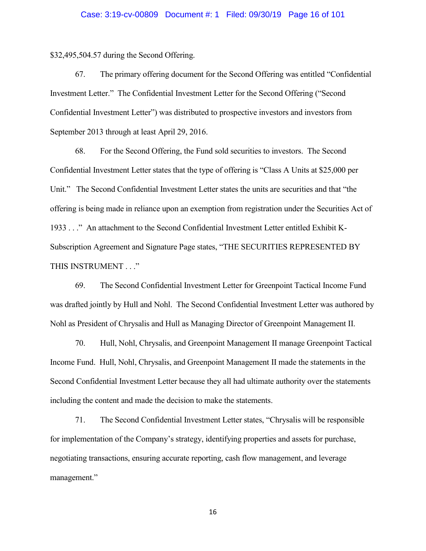\$32,495,504.57 during the Second Offering.

67. The primary offering document for the Second Offering was entitled "Confidential Investment Letter." The Confidential Investment Letter for the Second Offering ("Second Confidential Investment Letter") was distributed to prospective investors and investors from September 2013 through at least April 29, 2016.

68. For the Second Offering, the Fund sold securities to investors. The Second Confidential Investment Letter states that the type of offering is "Class A Units at \$25,000 per Unit." The Second Confidential Investment Letter states the units are securities and that "the offering is being made in reliance upon an exemption from registration under the Securities Act of 1933 . . ." An attachment to the Second Confidential Investment Letter entitled Exhibit K-Subscription Agreement and Signature Page states, "THE SECURITIES REPRESENTED BY THIS INSTRUMENT . . ."

69. The Second Confidential Investment Letter for Greenpoint Tactical Income Fund was drafted jointly by Hull and Nohl. The Second Confidential Investment Letter was authored by Nohl as President of Chrysalis and Hull as Managing Director of Greenpoint Management II.

70. Hull, Nohl, Chrysalis, and Greenpoint Management II manage Greenpoint Tactical Income Fund. Hull, Nohl, Chrysalis, and Greenpoint Management II made the statements in the Second Confidential Investment Letter because they all had ultimate authority over the statements including the content and made the decision to make the statements.

71. The Second Confidential Investment Letter states, "Chrysalis will be responsible for implementation of the Company's strategy, identifying properties and assets for purchase, negotiating transactions, ensuring accurate reporting, cash flow management, and leverage management."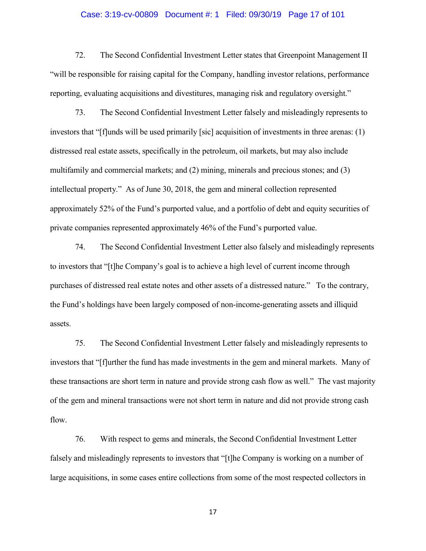### Case: 3:19-cv-00809 Document #: 1 Filed: 09/30/19 Page 17 of 101

72. The Second Confidential Investment Letter states that Greenpoint Management II "will be responsible for raising capital for the Company, handling investor relations, performance reporting, evaluating acquisitions and divestitures, managing risk and regulatory oversight."

73. The Second Confidential Investment Letter falsely and misleadingly represents to investors that "[f]unds will be used primarily [sic] acquisition of investments in three arenas: (1) distressed real estate assets, specifically in the petroleum, oil markets, but may also include multifamily and commercial markets; and (2) mining, minerals and precious stones; and (3) intellectual property." As of June 30, 2018, the gem and mineral collection represented approximately 52% of the Fund's purported value, and a portfolio of debt and equity securities of private companies represented approximately 46% of the Fund's purported value.

74. The Second Confidential Investment Letter also falsely and misleadingly represents to investors that "[t]he Company's goal is to achieve a high level of current income through purchases of distressed real estate notes and other assets of a distressed nature." To the contrary, the Fund's holdings have been largely composed of non-income-generating assets and illiquid assets.

75. The Second Confidential Investment Letter falsely and misleadingly represents to investors that "[f]urther the fund has made investments in the gem and mineral markets. Many of these transactions are short term in nature and provide strong cash flow as well." The vast majority of the gem and mineral transactions were not short term in nature and did not provide strong cash flow.

76. With respect to gems and minerals, the Second Confidential Investment Letter falsely and misleadingly represents to investors that "[t]he Company is working on a number of large acquisitions, in some cases entire collections from some of the most respected collectors in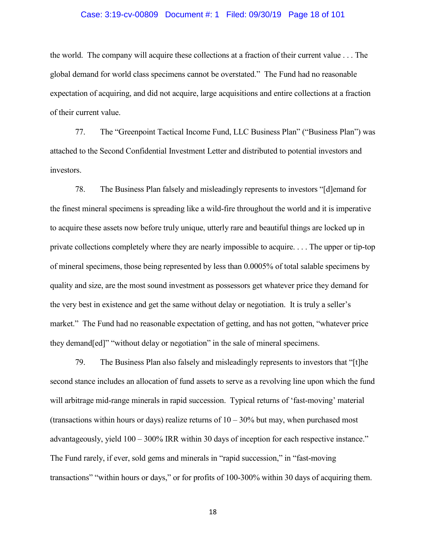#### Case: 3:19-cv-00809 Document #: 1 Filed: 09/30/19 Page 18 of 101

the world. The company will acquire these collections at a fraction of their current value . . . The global demand for world class specimens cannot be overstated." The Fund had no reasonable expectation of acquiring, and did not acquire, large acquisitions and entire collections at a fraction of their current value.

77. The "Greenpoint Tactical Income Fund, LLC Business Plan" ("Business Plan") was attached to the Second Confidential Investment Letter and distributed to potential investors and investors.

78. The Business Plan falsely and misleadingly represents to investors "[d]emand for the finest mineral specimens is spreading like a wild-fire throughout the world and it is imperative to acquire these assets now before truly unique, utterly rare and beautiful things are locked up in private collections completely where they are nearly impossible to acquire. . . . The upper or tip-top of mineral specimens, those being represented by less than 0.0005% of total salable specimens by quality and size, are the most sound investment as possessors get whatever price they demand for the very best in existence and get the same without delay or negotiation. It is truly a seller's market." The Fund had no reasonable expectation of getting, and has not gotten, "whatever price they demand[ed]" "without delay or negotiation" in the sale of mineral specimens.

79. The Business Plan also falsely and misleadingly represents to investors that "[t]he second stance includes an allocation of fund assets to serve as a revolving line upon which the fund will arbitrage mid-range minerals in rapid succession. Typical returns of 'fast-moving' material (transactions within hours or days) realize returns of  $10 - 30\%$  but may, when purchased most advantageously, yield 100 – 300% IRR within 30 days of inception for each respective instance." The Fund rarely, if ever, sold gems and minerals in "rapid succession," in "fast-moving transactions" "within hours or days," or for profits of 100-300% within 30 days of acquiring them.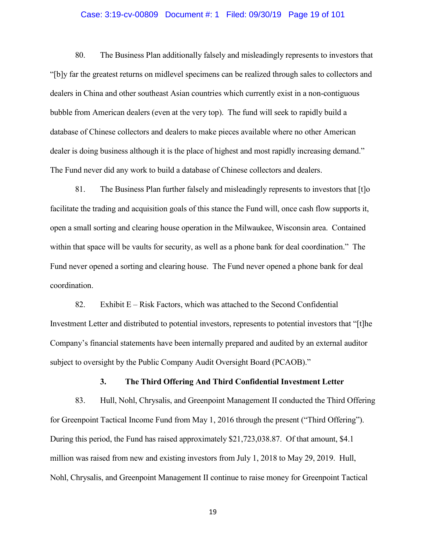### Case: 3:19-cv-00809 Document #: 1 Filed: 09/30/19 Page 19 of 101

80. The Business Plan additionally falsely and misleadingly represents to investors that "[b]y far the greatest returns on midlevel specimens can be realized through sales to collectors and dealers in China and other southeast Asian countries which currently exist in a non-contiguous bubble from American dealers (even at the very top). The fund will seek to rapidly build a database of Chinese collectors and dealers to make pieces available where no other American dealer is doing business although it is the place of highest and most rapidly increasing demand." The Fund never did any work to build a database of Chinese collectors and dealers.

81. The Business Plan further falsely and misleadingly represents to investors that [t]o facilitate the trading and acquisition goals of this stance the Fund will, once cash flow supports it, open a small sorting and clearing house operation in the Milwaukee, Wisconsin area. Contained within that space will be vaults for security, as well as a phone bank for deal coordination." The Fund never opened a sorting and clearing house. The Fund never opened a phone bank for deal coordination.

82. Exhibit  $E - R$  isk Factors, which was attached to the Second Confidential Investment Letter and distributed to potential investors, represents to potential investors that "[t]he Company's financial statements have been internally prepared and audited by an external auditor subject to oversight by the Public Company Audit Oversight Board (PCAOB)."

## **3. The Third Offering And Third Confidential Investment Letter**

83. Hull, Nohl, Chrysalis, and Greenpoint Management II conducted the Third Offering for Greenpoint Tactical Income Fund from May 1, 2016 through the present ("Third Offering"). During this period, the Fund has raised approximately \$21,723,038.87. Of that amount, \$4.1 million was raised from new and existing investors from July 1, 2018 to May 29, 2019. Hull, Nohl, Chrysalis, and Greenpoint Management II continue to raise money for Greenpoint Tactical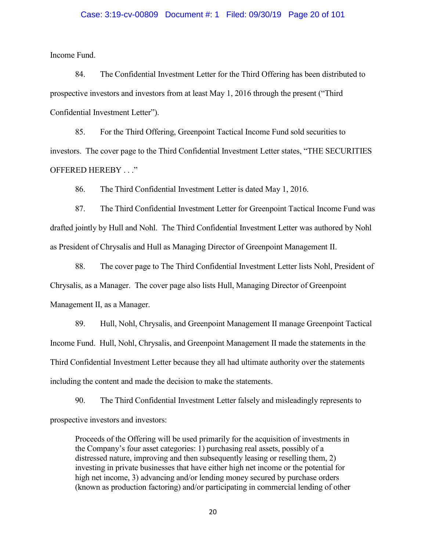#### Case: 3:19-cv-00809 Document #: 1 Filed: 09/30/19 Page 20 of 101

Income Fund.

84. The Confidential Investment Letter for the Third Offering has been distributed to prospective investors and investors from at least May 1, 2016 through the present ("Third Confidential Investment Letter").

85. For the Third Offering, Greenpoint Tactical Income Fund sold securities to investors. The cover page to the Third Confidential Investment Letter states, "THE SECURITIES OFFERED HEREBY . . ."

86. The Third Confidential Investment Letter is dated May 1, 2016.

87. The Third Confidential Investment Letter for Greenpoint Tactical Income Fund was drafted jointly by Hull and Nohl. The Third Confidential Investment Letter was authored by Nohl as President of Chrysalis and Hull as Managing Director of Greenpoint Management II.

88. The cover page to The Third Confidential Investment Letter lists Nohl, President of Chrysalis, as a Manager. The cover page also lists Hull, Managing Director of Greenpoint Management II, as a Manager.

89. Hull, Nohl, Chrysalis, and Greenpoint Management II manage Greenpoint Tactical Income Fund. Hull, Nohl, Chrysalis, and Greenpoint Management II made the statements in the Third Confidential Investment Letter because they all had ultimate authority over the statements including the content and made the decision to make the statements.

90. The Third Confidential Investment Letter falsely and misleadingly represents to prospective investors and investors:

Proceeds of the Offering will be used primarily for the acquisition of investments in the Company's four asset categories: 1) purchasing real assets, possibly of a distressed nature, improving and then subsequently leasing or reselling them, 2) investing in private businesses that have either high net income or the potential for high net income, 3) advancing and/or lending money secured by purchase orders (known as production factoring) and/or participating in commercial lending of other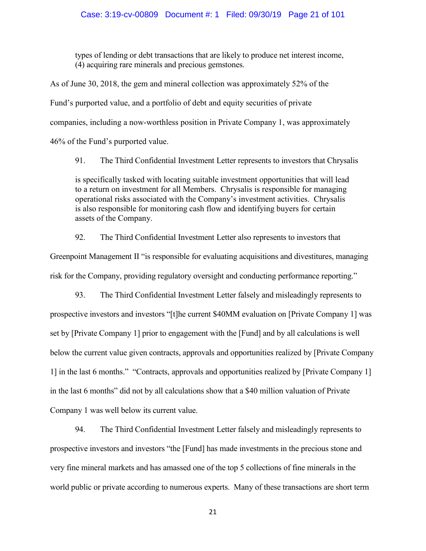types of lending or debt transactions that are likely to produce net interest income, (4) acquiring rare minerals and precious gemstones.

As of June 30, 2018, the gem and mineral collection was approximately 52% of the Fund's purported value, and a portfolio of debt and equity securities of private companies, including a now-worthless position in Private Company 1, was approximately 46% of the Fund's purported value.

91. The Third Confidential Investment Letter represents to investors that Chrysalis is specifically tasked with locating suitable investment opportunities that will lead to a return on investment for all Members. Chrysalis is responsible for managing operational risks associated with the Company's investment activities. Chrysalis is also responsible for monitoring cash flow and identifying buyers for certain assets of the Company.

92. The Third Confidential Investment Letter also represents to investors that Greenpoint Management II "is responsible for evaluating acquisitions and divestitures, managing risk for the Company, providing regulatory oversight and conducting performance reporting."

93. The Third Confidential Investment Letter falsely and misleadingly represents to prospective investors and investors "[t]he current \$40MM evaluation on [Private Company 1] was set by [Private Company 1] prior to engagement with the [Fund] and by all calculations is well below the current value given contracts, approvals and opportunities realized by [Private Company 1] in the last 6 months." "Contracts, approvals and opportunities realized by [Private Company 1] in the last 6 months" did not by all calculations show that a \$40 million valuation of Private Company 1 was well below its current value.

94. The Third Confidential Investment Letter falsely and misleadingly represents to prospective investors and investors "the [Fund] has made investments in the precious stone and very fine mineral markets and has amassed one of the top 5 collections of fine minerals in the world public or private according to numerous experts. Many of these transactions are short term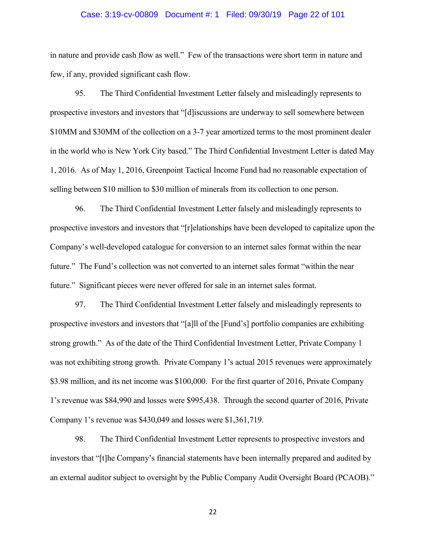### Case: 3:19-cv-00809 Document #: 1 Filed: 09/30/19 Page 22 of 101

in nature and provide cash flow as well." Few of the transactions were short term in nature and few, if any, provided significant cash flow.

95. The Third Confidential Investment Letter falsely and misleadingly represents to prospective investors and investors that "[d]iscussions are underway to sell somewhere between \$10MM and \$30MM of the collection on a 3-7 year amortized terms to the most prominent dealer in the world who is New York City based." The Third Confidential Investment Letter is dated May 1, 2016. As of May 1, 2016, Greenpoint Tactical Income Fund had no reasonable expectation of selling between \$10 million to \$30 million of minerals from its collection to one person.

96. The Third Confidential Investment Letter falsely and misleadingly represents to prospective investors and investors that "[r]elationships have been developed to capitalize upon the Company's well-developed catalogue for conversion to an internet sales format within the near future." The Fund's collection was not converted to an internet sales format "within the near future." Significant pieces were never offered for sale in an internet sales format.

97. The Third Confidential Investment Letter falsely and misleadingly represents to prospective investors and investors that "[a]ll of the [Fund's] portfolio companies are exhibiting strong growth." As of the date of the Third Confidential Investment Letter, Private Company 1 was not exhibiting strong growth. Private Company 1's actual 2015 revenues were approximately \$3.98 million, and its net income was \$100,000. For the first quarter of 2016, Private Company 1's revenue was \$84,990 and losses were \$995,438. Through the second quarter of 2016, Private Company 1's revenue was \$430,049 and losses were \$1,361,719.

98. The Third Confidential Investment Letter represents to prospective investors and investors that "[t]he Company's financial statements have been internally prepared and audited by an external auditor subject to oversight by the Public Company Audit Oversight Board (PCAOB)."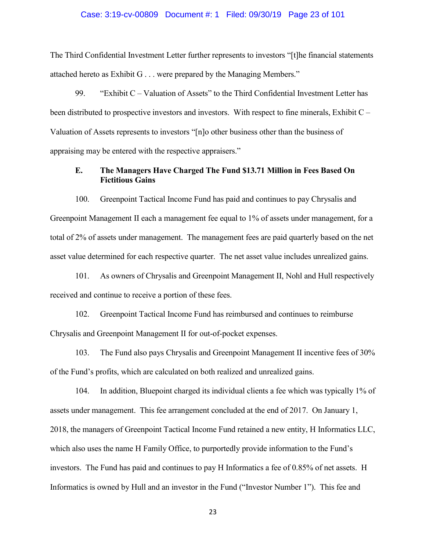### Case: 3:19-cv-00809 Document #: 1 Filed: 09/30/19 Page 23 of 101

The Third Confidential Investment Letter further represents to investors "[t]he financial statements attached hereto as Exhibit G . . . were prepared by the Managing Members."

99. "Exhibit C – Valuation of Assets" to the Third Confidential Investment Letter has been distributed to prospective investors and investors. With respect to fine minerals, Exhibit C – Valuation of Assets represents to investors "[n]o other business other than the business of appraising may be entered with the respective appraisers."

## **E. The Managers Have Charged The Fund \$13.71 Million in Fees Based On Fictitious Gains**

100. Greenpoint Tactical Income Fund has paid and continues to pay Chrysalis and Greenpoint Management II each a management fee equal to 1% of assets under management, for a total of 2% of assets under management. The management fees are paid quarterly based on the net asset value determined for each respective quarter. The net asset value includes unrealized gains.

101. As owners of Chrysalis and Greenpoint Management II, Nohl and Hull respectively received and continue to receive a portion of these fees.

102. Greenpoint Tactical Income Fund has reimbursed and continues to reimburse Chrysalis and Greenpoint Management II for out-of-pocket expenses.

103. The Fund also pays Chrysalis and Greenpoint Management II incentive fees of 30% of the Fund's profits, which are calculated on both realized and unrealized gains.

104. In addition, Bluepoint charged its individual clients a fee which was typically 1% of assets under management. This fee arrangement concluded at the end of 2017. On January 1, 2018, the managers of Greenpoint Tactical Income Fund retained a new entity, H Informatics LLC, which also uses the name H Family Office, to purportedly provide information to the Fund's investors. The Fund has paid and continues to pay H Informatics a fee of 0.85% of net assets. H Informatics is owned by Hull and an investor in the Fund ("Investor Number 1"). This fee and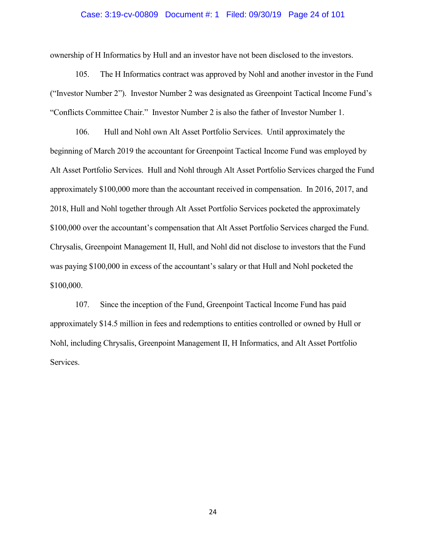### Case: 3:19-cv-00809 Document #: 1 Filed: 09/30/19 Page 24 of 101

ownership of H Informatics by Hull and an investor have not been disclosed to the investors.

105. The H Informatics contract was approved by Nohl and another investor in the Fund ("Investor Number 2"). Investor Number 2 was designated as Greenpoint Tactical Income Fund's "Conflicts Committee Chair." Investor Number 2 is also the father of Investor Number 1.

106. Hull and Nohl own Alt Asset Portfolio Services. Until approximately the beginning of March 2019 the accountant for Greenpoint Tactical Income Fund was employed by Alt Asset Portfolio Services. Hull and Nohl through Alt Asset Portfolio Services charged the Fund approximately \$100,000 more than the accountant received in compensation. In 2016, 2017, and 2018, Hull and Nohl together through Alt Asset Portfolio Services pocketed the approximately \$100,000 over the accountant's compensation that Alt Asset Portfolio Services charged the Fund. Chrysalis, Greenpoint Management II, Hull, and Nohl did not disclose to investors that the Fund was paying \$100,000 in excess of the accountant's salary or that Hull and Nohl pocketed the \$100,000.

107. Since the inception of the Fund, Greenpoint Tactical Income Fund has paid approximately \$14.5 million in fees and redemptions to entities controlled or owned by Hull or Nohl, including Chrysalis, Greenpoint Management II, H Informatics, and Alt Asset Portfolio Services.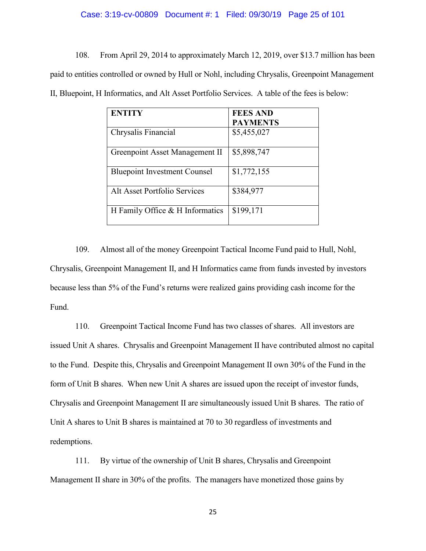#### Case: 3:19-cv-00809 Document #: 1 Filed: 09/30/19 Page 25 of 101

108. From April 29, 2014 to approximately March 12, 2019, over \$13.7 million has been paid to entities controlled or owned by Hull or Nohl, including Chrysalis, Greenpoint Management II, Bluepoint, H Informatics, and Alt Asset Portfolio Services. A table of the fees is below:

| <b>ENTITY</b>                       | <b>FEES AND</b> |
|-------------------------------------|-----------------|
|                                     | <b>PAYMENTS</b> |
| Chrysalis Financial                 | \$5,455,027     |
| Greenpoint Asset Management II      | \$5,898,747     |
| <b>Bluepoint Investment Counsel</b> | \$1,772,155     |
| Alt Asset Portfolio Services        | \$384,977       |
| H Family Office & H Informatics     | \$199,171       |

109. Almost all of the money Greenpoint Tactical Income Fund paid to Hull, Nohl, Chrysalis, Greenpoint Management II, and H Informatics came from funds invested by investors because less than 5% of the Fund's returns were realized gains providing cash income for the Fund.

110. Greenpoint Tactical Income Fund has two classes of shares. All investors are issued Unit A shares. Chrysalis and Greenpoint Management II have contributed almost no capital to the Fund. Despite this, Chrysalis and Greenpoint Management II own 30% of the Fund in the form of Unit B shares. When new Unit A shares are issued upon the receipt of investor funds, Chrysalis and Greenpoint Management II are simultaneously issued Unit B shares. The ratio of Unit A shares to Unit B shares is maintained at 70 to 30 regardless of investments and redemptions.

111. By virtue of the ownership of Unit B shares, Chrysalis and Greenpoint Management II share in 30% of the profits. The managers have monetized those gains by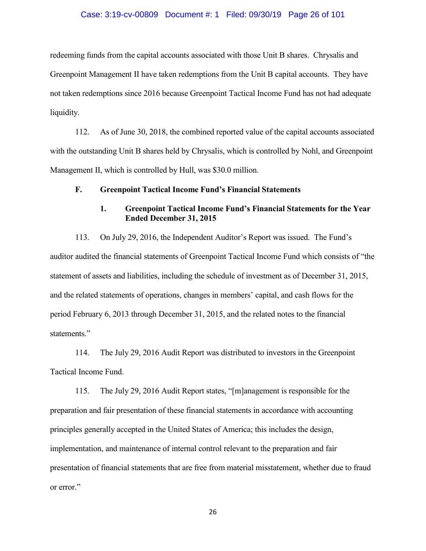### Case: 3:19-cv-00809 Document #: 1 Filed: 09/30/19 Page 26 of 101

redeeming funds from the capital accounts associated with those Unit B shares. Chrysalis and Greenpoint Management II have taken redemptions from the Unit B capital accounts. They have not taken redemptions since 2016 because Greenpoint Tactical Income Fund has not had adequate liquidity.

112. As of June 30, 2018, the combined reported value of the capital accounts associated with the outstanding Unit B shares held by Chrysalis, which is controlled by Nohl, and Greenpoint Management II, which is controlled by Hull, was \$30.0 million.

### **F. Greenpoint Tactical Income Fund's Financial Statements**

# **1. Greenpoint Tactical Income Fund's Financial Statements for the Year Ended December 31, 2015**

113. On July 29, 2016, the Independent Auditor's Report was issued. The Fund's auditor audited the financial statements of Greenpoint Tactical Income Fund which consists of "the statement of assets and liabilities, including the schedule of investment as of December 31, 2015, and the related statements of operations, changes in members' capital, and cash flows for the period February 6, 2013 through December 31, 2015, and the related notes to the financial statements."

114. The July 29, 2016 Audit Report was distributed to investors in the Greenpoint Tactical Income Fund.

115. The July 29, 2016 Audit Report states, "[m]anagement is responsible for the preparation and fair presentation of these financial statements in accordance with accounting principles generally accepted in the United States of America; this includes the design, implementation, and maintenance of internal control relevant to the preparation and fair presentation of financial statements that are free from material misstatement, whether due to fraud or error."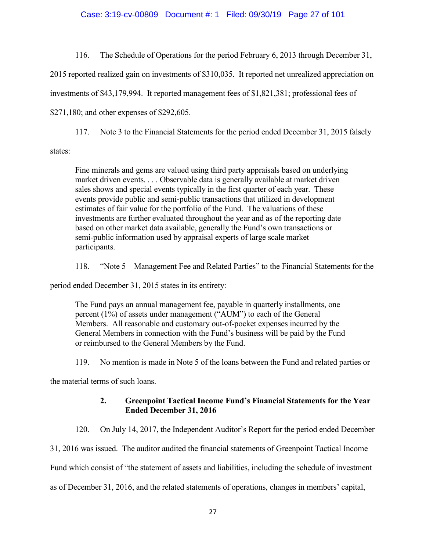### Case: 3:19-cv-00809 Document #: 1 Filed: 09/30/19 Page 27 of 101

116. The Schedule of Operations for the period February 6, 2013 through December 31,

2015 reported realized gain on investments of \$310,035. It reported net unrealized appreciation on

investments of \$43,179,994. It reported management fees of \$1,821,381; professional fees of

\$271,180; and other expenses of \$292,605.

117. Note 3 to the Financial Statements for the period ended December 31, 2015 falsely

states:

Fine minerals and gems are valued using third party appraisals based on underlying market driven events. . . . Observable data is generally available at market driven sales shows and special events typically in the first quarter of each year. These events provide public and semi-public transactions that utilized in development estimates of fair value for the portfolio of the Fund. The valuations of these investments are further evaluated throughout the year and as of the reporting date based on other market data available, generally the Fund's own transactions or semi-public information used by appraisal experts of large scale market participants.

118. "Note 5 – Management Fee and Related Parties" to the Financial Statements for the

period ended December 31, 2015 states in its entirety:

The Fund pays an annual management fee, payable in quarterly installments, one percent (1%) of assets under management ("AUM") to each of the General Members. All reasonable and customary out-of-pocket expenses incurred by the General Members in connection with the Fund's business will be paid by the Fund or reimbursed to the General Members by the Fund.

119. No mention is made in Note 5 of the loans between the Fund and related parties or

the material terms of such loans.

# **2. Greenpoint Tactical Income Fund's Financial Statements for the Year Ended December 31, 2016**

120. On July 14, 2017, the Independent Auditor's Report for the period ended December

31, 2016 was issued. The auditor audited the financial statements of Greenpoint Tactical Income

Fund which consist of "the statement of assets and liabilities, including the schedule of investment

as of December 31, 2016, and the related statements of operations, changes in members' capital,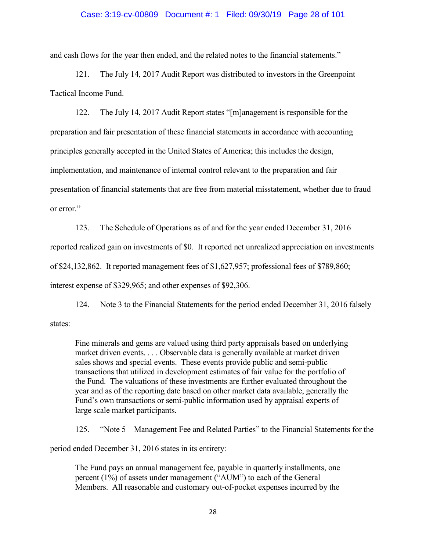### Case: 3:19-cv-00809 Document #: 1 Filed: 09/30/19 Page 28 of 101

and cash flows for the year then ended, and the related notes to the financial statements."

121. The July 14, 2017 Audit Report was distributed to investors in the Greenpoint Tactical Income Fund.

122. The July 14, 2017 Audit Report states "[m]anagement is responsible for the preparation and fair presentation of these financial statements in accordance with accounting principles generally accepted in the United States of America; this includes the design, implementation, and maintenance of internal control relevant to the preparation and fair presentation of financial statements that are free from material misstatement, whether due to fraud or error."

123. The Schedule of Operations as of and for the year ended December 31, 2016 reported realized gain on investments of \$0. It reported net unrealized appreciation on investments of \$24,132,862. It reported management fees of \$1,627,957; professional fees of \$789,860; interest expense of \$329,965; and other expenses of \$92,306.

124. Note 3 to the Financial Statements for the period ended December 31, 2016 falsely states:

Fine minerals and gems are valued using third party appraisals based on underlying market driven events. . . . Observable data is generally available at market driven sales shows and special events. These events provide public and semi-public transactions that utilized in development estimates of fair value for the portfolio of the Fund. The valuations of these investments are further evaluated throughout the year and as of the reporting date based on other market data available, generally the Fund's own transactions or semi-public information used by appraisal experts of large scale market participants.

125. "Note 5 – Management Fee and Related Parties" to the Financial Statements for the

period ended December 31, 2016 states in its entirety:

The Fund pays an annual management fee, payable in quarterly installments, one percent (1%) of assets under management ("AUM") to each of the General Members. All reasonable and customary out-of-pocket expenses incurred by the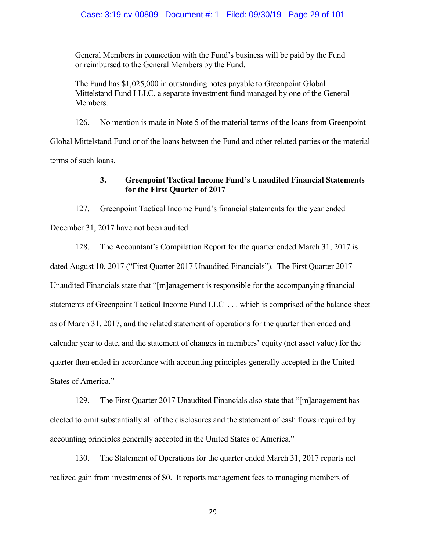## Case: 3:19-cv-00809 Document #: 1 Filed: 09/30/19 Page 29 of 101

General Members in connection with the Fund's business will be paid by the Fund or reimbursed to the General Members by the Fund.

The Fund has \$1,025,000 in outstanding notes payable to Greenpoint Global Mittelstand Fund I LLC, a separate investment fund managed by one of the General Members.

126. No mention is made in Note 5 of the material terms of the loans from Greenpoint

Global Mittelstand Fund or of the loans between the Fund and other related parties or the material terms of such loans.

# **3. Greenpoint Tactical Income Fund's Unaudited Financial Statements for the First Quarter of 2017**

127. Greenpoint Tactical Income Fund's financial statements for the year ended December 31, 2017 have not been audited.

128. The Accountant's Compilation Report for the quarter ended March 31, 2017 is dated August 10, 2017 ("First Quarter 2017 Unaudited Financials"). The First Quarter 2017 Unaudited Financials state that "[m]anagement is responsible for the accompanying financial statements of Greenpoint Tactical Income Fund LLC . . . which is comprised of the balance sheet as of March 31, 2017, and the related statement of operations for the quarter then ended and calendar year to date, and the statement of changes in members' equity (net asset value) for the quarter then ended in accordance with accounting principles generally accepted in the United States of America."

129. The First Quarter 2017 Unaudited Financials also state that "[m]anagement has elected to omit substantially all of the disclosures and the statement of cash flows required by accounting principles generally accepted in the United States of America."

130. The Statement of Operations for the quarter ended March 31, 2017 reports net realized gain from investments of \$0. It reports management fees to managing members of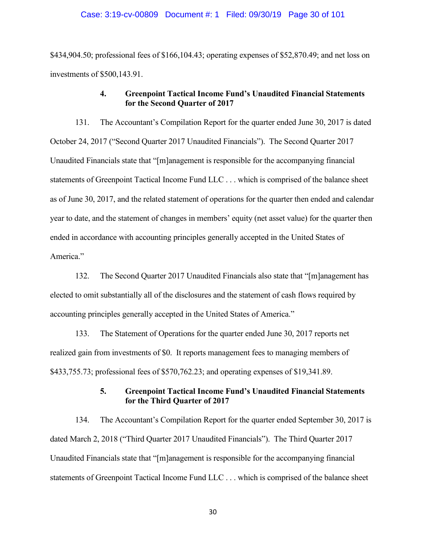#### Case: 3:19-cv-00809 Document #: 1 Filed: 09/30/19 Page 30 of 101

\$434,904.50; professional fees of \$166,104.43; operating expenses of \$52,870.49; and net loss on investments of \$500,143.91.

# **4. Greenpoint Tactical Income Fund's Unaudited Financial Statements for the Second Quarter of 2017**

131. The Accountant's Compilation Report for the quarter ended June 30, 2017 is dated October 24, 2017 ("Second Quarter 2017 Unaudited Financials"). The Second Quarter 2017 Unaudited Financials state that "[m]anagement is responsible for the accompanying financial statements of Greenpoint Tactical Income Fund LLC . . . which is comprised of the balance sheet as of June 30, 2017, and the related statement of operations for the quarter then ended and calendar year to date, and the statement of changes in members' equity (net asset value) for the quarter then ended in accordance with accounting principles generally accepted in the United States of America."

132. The Second Quarter 2017 Unaudited Financials also state that "[m]anagement has elected to omit substantially all of the disclosures and the statement of cash flows required by accounting principles generally accepted in the United States of America."

133. The Statement of Operations for the quarter ended June 30, 2017 reports net realized gain from investments of \$0. It reports management fees to managing members of \$433,755.73; professional fees of \$570,762.23; and operating expenses of \$19,341.89.

## **5. Greenpoint Tactical Income Fund's Unaudited Financial Statements for the Third Quarter of 2017**

134. The Accountant's Compilation Report for the quarter ended September 30, 2017 is dated March 2, 2018 ("Third Quarter 2017 Unaudited Financials"). The Third Quarter 2017 Unaudited Financials state that "[m]anagement is responsible for the accompanying financial statements of Greenpoint Tactical Income Fund LLC . . . which is comprised of the balance sheet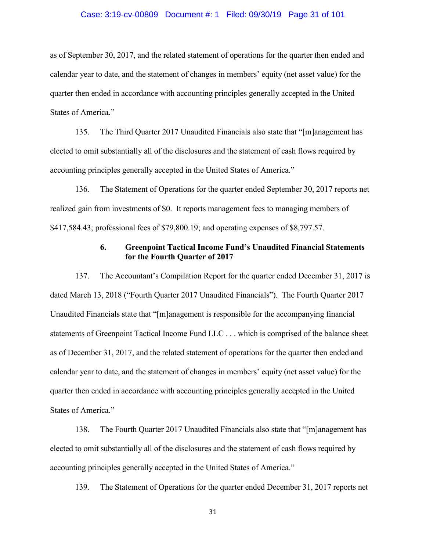### Case: 3:19-cv-00809 Document #: 1 Filed: 09/30/19 Page 31 of 101

as of September 30, 2017, and the related statement of operations for the quarter then ended and calendar year to date, and the statement of changes in members' equity (net asset value) for the quarter then ended in accordance with accounting principles generally accepted in the United States of America."

135. The Third Quarter 2017 Unaudited Financials also state that "[m]anagement has elected to omit substantially all of the disclosures and the statement of cash flows required by accounting principles generally accepted in the United States of America."

136. The Statement of Operations for the quarter ended September 30, 2017 reports net realized gain from investments of \$0. It reports management fees to managing members of \$417,584.43; professional fees of \$79,800.19; and operating expenses of \$8,797.57.

## **6. Greenpoint Tactical Income Fund's Unaudited Financial Statements for the Fourth Quarter of 2017**

137. The Accountant's Compilation Report for the quarter ended December 31, 2017 is dated March 13, 2018 ("Fourth Quarter 2017 Unaudited Financials"). The Fourth Quarter 2017 Unaudited Financials state that "[m]anagement is responsible for the accompanying financial statements of Greenpoint Tactical Income Fund LLC . . . which is comprised of the balance sheet as of December 31, 2017, and the related statement of operations for the quarter then ended and calendar year to date, and the statement of changes in members' equity (net asset value) for the quarter then ended in accordance with accounting principles generally accepted in the United States of America."

138. The Fourth Quarter 2017 Unaudited Financials also state that "[m]anagement has elected to omit substantially all of the disclosures and the statement of cash flows required by accounting principles generally accepted in the United States of America."

139. The Statement of Operations for the quarter ended December 31, 2017 reports net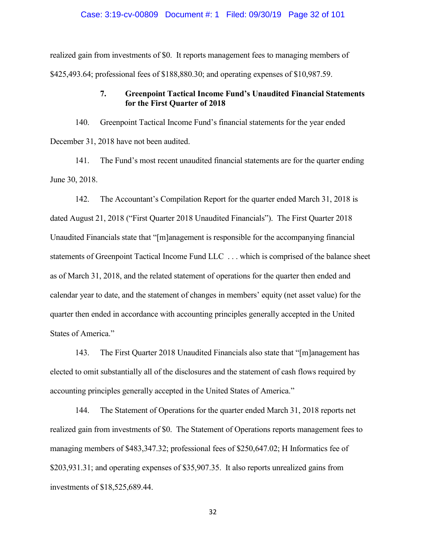### Case: 3:19-cv-00809 Document #: 1 Filed: 09/30/19 Page 32 of 101

realized gain from investments of \$0. It reports management fees to managing members of \$425,493.64; professional fees of \$188,880.30; and operating expenses of \$10,987.59.

# **7. Greenpoint Tactical Income Fund's Unaudited Financial Statements for the First Quarter of 2018**

140. Greenpoint Tactical Income Fund's financial statements for the year ended December 31, 2018 have not been audited.

141. The Fund's most recent unaudited financial statements are for the quarter ending June 30, 2018.

142. The Accountant's Compilation Report for the quarter ended March 31, 2018 is dated August 21, 2018 ("First Quarter 2018 Unaudited Financials"). The First Quarter 2018 Unaudited Financials state that "[m]anagement is responsible for the accompanying financial statements of Greenpoint Tactical Income Fund LLC . . . which is comprised of the balance sheet as of March 31, 2018, and the related statement of operations for the quarter then ended and calendar year to date, and the statement of changes in members' equity (net asset value) for the quarter then ended in accordance with accounting principles generally accepted in the United States of America."

143. The First Quarter 2018 Unaudited Financials also state that "[m]anagement has elected to omit substantially all of the disclosures and the statement of cash flows required by accounting principles generally accepted in the United States of America."

144. The Statement of Operations for the quarter ended March 31, 2018 reports net realized gain from investments of \$0. The Statement of Operations reports management fees to managing members of \$483,347.32; professional fees of \$250,647.02; H Informatics fee of \$203,931.31; and operating expenses of \$35,907.35. It also reports unrealized gains from investments of \$18,525,689.44.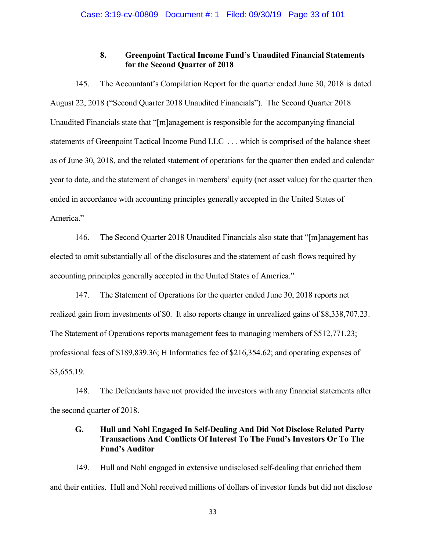# **8. Greenpoint Tactical Income Fund's Unaudited Financial Statements for the Second Quarter of 2018**

145. The Accountant's Compilation Report for the quarter ended June 30, 2018 is dated August 22, 2018 ("Second Quarter 2018 Unaudited Financials"). The Second Quarter 2018 Unaudited Financials state that "[m]anagement is responsible for the accompanying financial statements of Greenpoint Tactical Income Fund LLC . . . which is comprised of the balance sheet as of June 30, 2018, and the related statement of operations for the quarter then ended and calendar year to date, and the statement of changes in members' equity (net asset value) for the quarter then ended in accordance with accounting principles generally accepted in the United States of America."

146. The Second Quarter 2018 Unaudited Financials also state that "[m]anagement has elected to omit substantially all of the disclosures and the statement of cash flows required by accounting principles generally accepted in the United States of America."

147. The Statement of Operations for the quarter ended June 30, 2018 reports net realized gain from investments of \$0. It also reports change in unrealized gains of \$8,338,707.23. The Statement of Operations reports management fees to managing members of \$512,771.23; professional fees of \$189,839.36; H Informatics fee of \$216,354.62; and operating expenses of \$3,655.19.

148. The Defendants have not provided the investors with any financial statements after the second quarter of 2018.

# **G. Hull and Nohl Engaged In Self-Dealing And Did Not Disclose Related Party Transactions And Conflicts Of Interest To The Fund's Investors Or To The Fund's Auditor**

149. Hull and Nohl engaged in extensive undisclosed self-dealing that enriched them and their entities. Hull and Nohl received millions of dollars of investor funds but did not disclose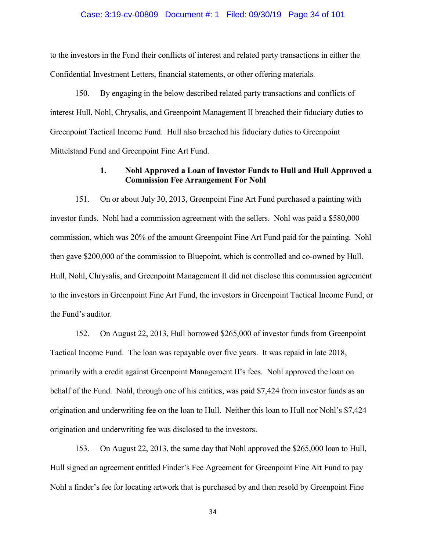### Case: 3:19-cv-00809 Document #: 1 Filed: 09/30/19 Page 34 of 101

to the investors in the Fund their conflicts of interest and related party transactions in either the Confidential Investment Letters, financial statements, or other offering materials.

150. By engaging in the below described related party transactions and conflicts of interest Hull, Nohl, Chrysalis, and Greenpoint Management II breached their fiduciary duties to Greenpoint Tactical Income Fund. Hull also breached his fiduciary duties to Greenpoint Mittelstand Fund and Greenpoint Fine Art Fund.

## **1. Nohl Approved a Loan of Investor Funds to Hull and Hull Approved a Commission Fee Arrangement For Nohl**

151. On or about July 30, 2013, Greenpoint Fine Art Fund purchased a painting with investor funds. Nohl had a commission agreement with the sellers. Nohl was paid a \$580,000 commission, which was 20% of the amount Greenpoint Fine Art Fund paid for the painting. Nohl then gave \$200,000 of the commission to Bluepoint, which is controlled and co-owned by Hull. Hull, Nohl, Chrysalis, and Greenpoint Management II did not disclose this commission agreement to the investors in Greenpoint Fine Art Fund, the investors in Greenpoint Tactical Income Fund, or the Fund's auditor.

152. On August 22, 2013, Hull borrowed \$265,000 of investor funds from Greenpoint Tactical Income Fund. The loan was repayable over five years. It was repaid in late 2018, primarily with a credit against Greenpoint Management II's fees. Nohl approved the loan on behalf of the Fund. Nohl, through one of his entities, was paid \$7,424 from investor funds as an origination and underwriting fee on the loan to Hull. Neither this loan to Hull nor Nohl's \$7,424 origination and underwriting fee was disclosed to the investors.

153. On August 22, 2013, the same day that Nohl approved the \$265,000 loan to Hull, Hull signed an agreement entitled Finder's Fee Agreement for Greenpoint Fine Art Fund to pay Nohl a finder's fee for locating artwork that is purchased by and then resold by Greenpoint Fine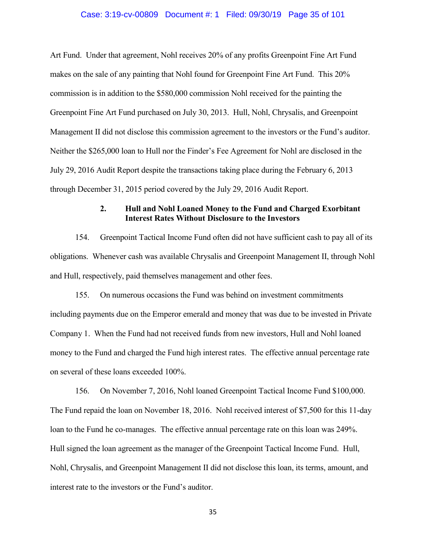### Case: 3:19-cv-00809 Document #: 1 Filed: 09/30/19 Page 35 of 101

Art Fund. Under that agreement, Nohl receives 20% of any profits Greenpoint Fine Art Fund makes on the sale of any painting that Nohl found for Greenpoint Fine Art Fund. This 20% commission is in addition to the \$580,000 commission Nohl received for the painting the Greenpoint Fine Art Fund purchased on July 30, 2013. Hull, Nohl, Chrysalis, and Greenpoint Management II did not disclose this commission agreement to the investors or the Fund's auditor. Neither the \$265,000 loan to Hull nor the Finder's Fee Agreement for Nohl are disclosed in the July 29, 2016 Audit Report despite the transactions taking place during the February 6, 2013 through December 31, 2015 period covered by the July 29, 2016 Audit Report.

# **2. Hull and Nohl Loaned Money to the Fund and Charged Exorbitant Interest Rates Without Disclosure to the Investors**

154. Greenpoint Tactical Income Fund often did not have sufficient cash to pay all of its obligations. Whenever cash was available Chrysalis and Greenpoint Management II, through Nohl and Hull, respectively, paid themselves management and other fees.

155. On numerous occasions the Fund was behind on investment commitments including payments due on the Emperor emerald and money that was due to be invested in Private Company 1. When the Fund had not received funds from new investors, Hull and Nohl loaned money to the Fund and charged the Fund high interest rates. The effective annual percentage rate on several of these loans exceeded 100%.

156. On November 7, 2016, Nohl loaned Greenpoint Tactical Income Fund \$100,000. The Fund repaid the loan on November 18, 2016. Nohl received interest of \$7,500 for this 11-day loan to the Fund he co-manages. The effective annual percentage rate on this loan was 249%. Hull signed the loan agreement as the manager of the Greenpoint Tactical Income Fund. Hull, Nohl, Chrysalis, and Greenpoint Management II did not disclose this loan, its terms, amount, and interest rate to the investors or the Fund's auditor.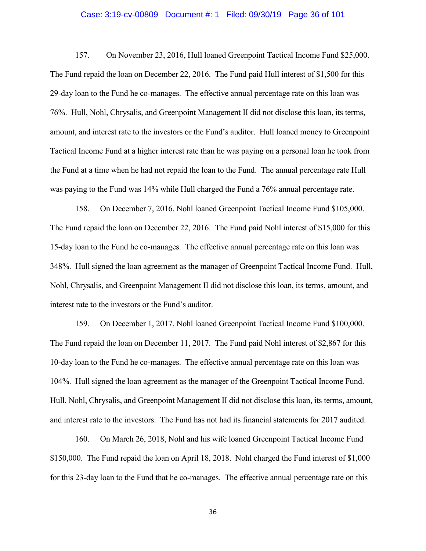#### Case: 3:19-cv-00809 Document #: 1 Filed: 09/30/19 Page 36 of 101

157. On November 23, 2016, Hull loaned Greenpoint Tactical Income Fund \$25,000. The Fund repaid the loan on December 22, 2016. The Fund paid Hull interest of \$1,500 for this 29-day loan to the Fund he co-manages. The effective annual percentage rate on this loan was 76%. Hull, Nohl, Chrysalis, and Greenpoint Management II did not disclose this loan, its terms, amount, and interest rate to the investors or the Fund's auditor. Hull loaned money to Greenpoint Tactical Income Fund at a higher interest rate than he was paying on a personal loan he took from the Fund at a time when he had not repaid the loan to the Fund. The annual percentage rate Hull was paying to the Fund was 14% while Hull charged the Fund a 76% annual percentage rate.

158. On December 7, 2016, Nohl loaned Greenpoint Tactical Income Fund \$105,000. The Fund repaid the loan on December 22, 2016. The Fund paid Nohl interest of \$15,000 for this 15-day loan to the Fund he co-manages. The effective annual percentage rate on this loan was 348%. Hull signed the loan agreement as the manager of Greenpoint Tactical Income Fund. Hull, Nohl, Chrysalis, and Greenpoint Management II did not disclose this loan, its terms, amount, and interest rate to the investors or the Fund's auditor.

159. On December 1, 2017, Nohl loaned Greenpoint Tactical Income Fund \$100,000. The Fund repaid the loan on December 11, 2017. The Fund paid Nohl interest of \$2,867 for this 10-day loan to the Fund he co-manages. The effective annual percentage rate on this loan was 104%. Hull signed the loan agreement as the manager of the Greenpoint Tactical Income Fund. Hull, Nohl, Chrysalis, and Greenpoint Management II did not disclose this loan, its terms, amount, and interest rate to the investors. The Fund has not had its financial statements for 2017 audited.

160. On March 26, 2018, Nohl and his wife loaned Greenpoint Tactical Income Fund \$150,000. The Fund repaid the loan on April 18, 2018. Nohl charged the Fund interest of \$1,000 for this 23-day loan to the Fund that he co-manages. The effective annual percentage rate on this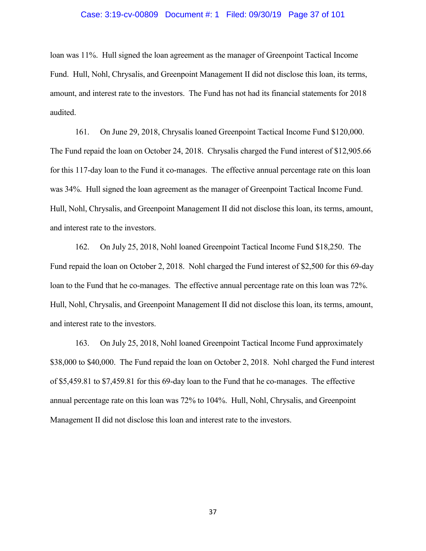#### Case: 3:19-cv-00809 Document #: 1 Filed: 09/30/19 Page 37 of 101

loan was 11%. Hull signed the loan agreement as the manager of Greenpoint Tactical Income Fund. Hull, Nohl, Chrysalis, and Greenpoint Management II did not disclose this loan, its terms, amount, and interest rate to the investors. The Fund has not had its financial statements for 2018 audited.

161. On June 29, 2018, Chrysalis loaned Greenpoint Tactical Income Fund \$120,000. The Fund repaid the loan on October 24, 2018. Chrysalis charged the Fund interest of \$12,905.66 for this 117-day loan to the Fund it co-manages. The effective annual percentage rate on this loan was 34%. Hull signed the loan agreement as the manager of Greenpoint Tactical Income Fund. Hull, Nohl, Chrysalis, and Greenpoint Management II did not disclose this loan, its terms, amount, and interest rate to the investors.

162. On July 25, 2018, Nohl loaned Greenpoint Tactical Income Fund \$18,250. The Fund repaid the loan on October 2, 2018. Nohl charged the Fund interest of \$2,500 for this 69-day loan to the Fund that he co-manages. The effective annual percentage rate on this loan was 72%. Hull, Nohl, Chrysalis, and Greenpoint Management II did not disclose this loan, its terms, amount, and interest rate to the investors.

163. On July 25, 2018, Nohl loaned Greenpoint Tactical Income Fund approximately \$38,000 to \$40,000. The Fund repaid the loan on October 2, 2018. Nohl charged the Fund interest of \$5,459.81 to \$7,459.81 for this 69-day loan to the Fund that he co-manages. The effective annual percentage rate on this loan was 72% to 104%. Hull, Nohl, Chrysalis, and Greenpoint Management II did not disclose this loan and interest rate to the investors.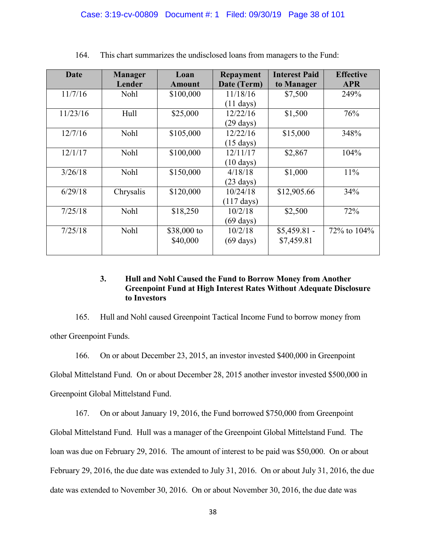| <b>Date</b> | <b>Manager</b><br>Lender | Loan<br>Amount          | <b>Repayment</b><br>Date (Term)  | <b>Interest Paid</b><br>to Manager | <b>Effective</b><br><b>APR</b> |
|-------------|--------------------------|-------------------------|----------------------------------|------------------------------------|--------------------------------|
| 11/7/16     | Nohl                     | \$100,000               | 11/18/16<br>$(11 \text{ days})$  | \$7,500                            | 249%                           |
| 11/23/16    | Hull                     | \$25,000                | 12/22/16<br>$(29 \text{ days})$  | \$1,500                            | 76%                            |
| 12/7/16     | Nohl                     | \$105,000               | 12/22/16<br>$(15 \text{ days})$  | \$15,000                           | 348%                           |
| 12/1/17     | <b>Nohl</b>              | \$100,000               | 12/11/17<br>$(10 \text{ days})$  | \$2,867                            | 104%                           |
| 3/26/18     | <b>Nohl</b>              | \$150,000               | 4/18/18<br>$(23 \text{ days})$   | \$1,000                            | 11%                            |
| 6/29/18     | Chrysalis                | \$120,000               | 10/24/18<br>$(117 \text{ days})$ | \$12,905.66                        | 34%                            |
| 7/25/18     | Nohl                     | \$18,250                | 10/2/18<br>$(69 \text{ days})$   | \$2,500                            | 72%                            |
| 7/25/18     | <b>Nohl</b>              | \$38,000 to<br>\$40,000 | 10/2/18<br>$(69 \text{ days})$   | $$5,459.81$ -<br>\$7,459.81        | 72\% to 104\%                  |

164. This chart summarizes the undisclosed loans from managers to the Fund:

# **3. Hull and Nohl Caused the Fund to Borrow Money from Another Greenpoint Fund at High Interest Rates Without Adequate Disclosure to Investors**

165. Hull and Nohl caused Greenpoint Tactical Income Fund to borrow money from other Greenpoint Funds.

166. On or about December 23, 2015, an investor invested \$400,000 in Greenpoint Global Mittelstand Fund. On or about December 28, 2015 another investor invested \$500,000 in Greenpoint Global Mittelstand Fund.

167. On or about January 19, 2016, the Fund borrowed \$750,000 from Greenpoint Global Mittelstand Fund. Hull was a manager of the Greenpoint Global Mittelstand Fund. The loan was due on February 29, 2016. The amount of interest to be paid was \$50,000. On or about February 29, 2016, the due date was extended to July 31, 2016. On or about July 31, 2016, the due date was extended to November 30, 2016. On or about November 30, 2016, the due date was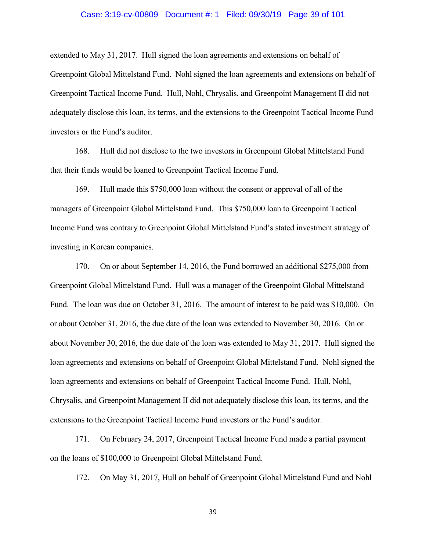#### Case: 3:19-cv-00809 Document #: 1 Filed: 09/30/19 Page 39 of 101

extended to May 31, 2017. Hull signed the loan agreements and extensions on behalf of Greenpoint Global Mittelstand Fund. Nohl signed the loan agreements and extensions on behalf of Greenpoint Tactical Income Fund. Hull, Nohl, Chrysalis, and Greenpoint Management II did not adequately disclose this loan, its terms, and the extensions to the Greenpoint Tactical Income Fund investors or the Fund's auditor.

168. Hull did not disclose to the two investors in Greenpoint Global Mittelstand Fund that their funds would be loaned to Greenpoint Tactical Income Fund.

169. Hull made this \$750,000 loan without the consent or approval of all of the managers of Greenpoint Global Mittelstand Fund. This \$750,000 loan to Greenpoint Tactical Income Fund was contrary to Greenpoint Global Mittelstand Fund's stated investment strategy of investing in Korean companies.

170. On or about September 14, 2016, the Fund borrowed an additional \$275,000 from Greenpoint Global Mittelstand Fund. Hull was a manager of the Greenpoint Global Mittelstand Fund. The loan was due on October 31, 2016. The amount of interest to be paid was \$10,000. On or about October 31, 2016, the due date of the loan was extended to November 30, 2016. On or about November 30, 2016, the due date of the loan was extended to May 31, 2017. Hull signed the loan agreements and extensions on behalf of Greenpoint Global Mittelstand Fund. Nohl signed the loan agreements and extensions on behalf of Greenpoint Tactical Income Fund. Hull, Nohl, Chrysalis, and Greenpoint Management II did not adequately disclose this loan, its terms, and the extensions to the Greenpoint Tactical Income Fund investors or the Fund's auditor.

171. On February 24, 2017, Greenpoint Tactical Income Fund made a partial payment on the loans of \$100,000 to Greenpoint Global Mittelstand Fund.

172. On May 31, 2017, Hull on behalf of Greenpoint Global Mittelstand Fund and Nohl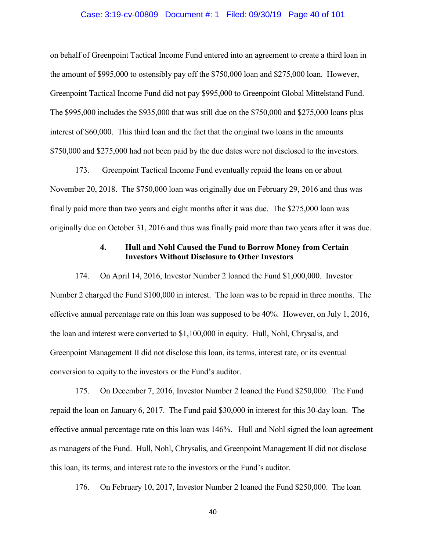### Case: 3:19-cv-00809 Document #: 1 Filed: 09/30/19 Page 40 of 101

on behalf of Greenpoint Tactical Income Fund entered into an agreement to create a third loan in the amount of \$995,000 to ostensibly pay off the \$750,000 loan and \$275,000 loan. However, Greenpoint Tactical Income Fund did not pay \$995,000 to Greenpoint Global Mittelstand Fund. The \$995,000 includes the \$935,000 that was still due on the \$750,000 and \$275,000 loans plus interest of \$60,000. This third loan and the fact that the original two loans in the amounts \$750,000 and \$275,000 had not been paid by the due dates were not disclosed to the investors.

173. Greenpoint Tactical Income Fund eventually repaid the loans on or about November 20, 2018. The \$750,000 loan was originally due on February 29, 2016 and thus was finally paid more than two years and eight months after it was due. The \$275,000 loan was originally due on October 31, 2016 and thus was finally paid more than two years after it was due.

## **4. Hull and Nohl Caused the Fund to Borrow Money from Certain Investors Without Disclosure to Other Investors**

174. On April 14, 2016, Investor Number 2 loaned the Fund \$1,000,000. Investor Number 2 charged the Fund \$100,000 in interest. The loan was to be repaid in three months. The effective annual percentage rate on this loan was supposed to be 40%. However, on July 1, 2016, the loan and interest were converted to \$1,100,000 in equity. Hull, Nohl, Chrysalis, and Greenpoint Management II did not disclose this loan, its terms, interest rate, or its eventual conversion to equity to the investors or the Fund's auditor.

175. On December 7, 2016, Investor Number 2 loaned the Fund \$250,000. The Fund repaid the loan on January 6, 2017. The Fund paid \$30,000 in interest for this 30-day loan. The effective annual percentage rate on this loan was 146%. Hull and Nohl signed the loan agreement as managers of the Fund. Hull, Nohl, Chrysalis, and Greenpoint Management II did not disclose this loan, its terms, and interest rate to the investors or the Fund's auditor.

176. On February 10, 2017, Investor Number 2 loaned the Fund \$250,000. The loan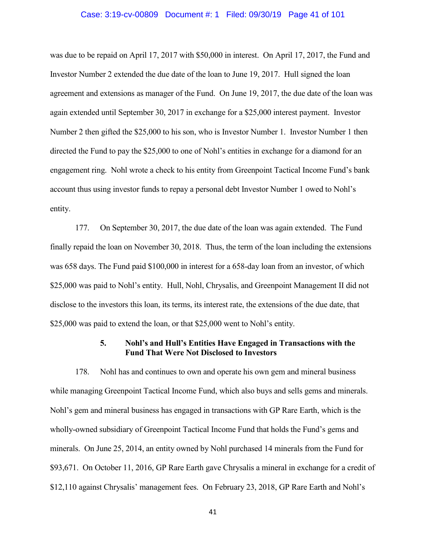### Case: 3:19-cv-00809 Document #: 1 Filed: 09/30/19 Page 41 of 101

was due to be repaid on April 17, 2017 with \$50,000 in interest. On April 17, 2017, the Fund and Investor Number 2 extended the due date of the loan to June 19, 2017. Hull signed the loan agreement and extensions as manager of the Fund. On June 19, 2017, the due date of the loan was again extended until September 30, 2017 in exchange for a \$25,000 interest payment. Investor Number 2 then gifted the \$25,000 to his son, who is Investor Number 1. Investor Number 1 then directed the Fund to pay the \$25,000 to one of Nohl's entities in exchange for a diamond for an engagement ring. Nohl wrote a check to his entity from Greenpoint Tactical Income Fund's bank account thus using investor funds to repay a personal debt Investor Number 1 owed to Nohl's entity.

177. On September 30, 2017, the due date of the loan was again extended. The Fund finally repaid the loan on November 30, 2018. Thus, the term of the loan including the extensions was 658 days. The Fund paid \$100,000 in interest for a 658-day loan from an investor, of which \$25,000 was paid to Nohl's entity. Hull, Nohl, Chrysalis, and Greenpoint Management II did not disclose to the investors this loan, its terms, its interest rate, the extensions of the due date, that \$25,000 was paid to extend the loan, or that \$25,000 went to Nohl's entity.

### **5. Nohl's and Hull's Entities Have Engaged in Transactions with the Fund That Were Not Disclosed to Investors**

178. Nohl has and continues to own and operate his own gem and mineral business while managing Greenpoint Tactical Income Fund, which also buys and sells gems and minerals. Nohl's gem and mineral business has engaged in transactions with GP Rare Earth, which is the wholly-owned subsidiary of Greenpoint Tactical Income Fund that holds the Fund's gems and minerals. On June 25, 2014, an entity owned by Nohl purchased 14 minerals from the Fund for \$93,671. On October 11, 2016, GP Rare Earth gave Chrysalis a mineral in exchange for a credit of \$12,110 against Chrysalis' management fees. On February 23, 2018, GP Rare Earth and Nohl's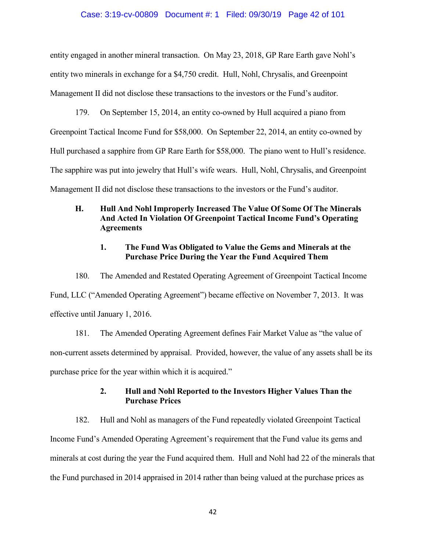### Case: 3:19-cv-00809 Document #: 1 Filed: 09/30/19 Page 42 of 101

entity engaged in another mineral transaction. On May 23, 2018, GP Rare Earth gave Nohl's entity two minerals in exchange for a \$4,750 credit. Hull, Nohl, Chrysalis, and Greenpoint Management II did not disclose these transactions to the investors or the Fund's auditor.

179. On September 15, 2014, an entity co-owned by Hull acquired a piano from Greenpoint Tactical Income Fund for \$58,000. On September 22, 2014, an entity co-owned by Hull purchased a sapphire from GP Rare Earth for \$58,000. The piano went to Hull's residence. The sapphire was put into jewelry that Hull's wife wears. Hull, Nohl, Chrysalis, and Greenpoint Management II did not disclose these transactions to the investors or the Fund's auditor.

# **H. Hull And Nohl Improperly Increased The Value Of Some Of The Minerals And Acted In Violation Of Greenpoint Tactical Income Fund's Operating Agreements**

# **1. The Fund Was Obligated to Value the Gems and Minerals at the Purchase Price During the Year the Fund Acquired Them**

180. The Amended and Restated Operating Agreement of Greenpoint Tactical Income Fund, LLC ("Amended Operating Agreement") became effective on November 7, 2013. It was effective until January 1, 2016.

181. The Amended Operating Agreement defines Fair Market Value as "the value of non-current assets determined by appraisal. Provided, however, the value of any assets shall be its purchase price for the year within which it is acquired."

# **2. Hull and Nohl Reported to the Investors Higher Values Than the Purchase Prices**

182. Hull and Nohl as managers of the Fund repeatedly violated Greenpoint Tactical Income Fund's Amended Operating Agreement's requirement that the Fund value its gems and minerals at cost during the year the Fund acquired them. Hull and Nohl had 22 of the minerals that the Fund purchased in 2014 appraised in 2014 rather than being valued at the purchase prices as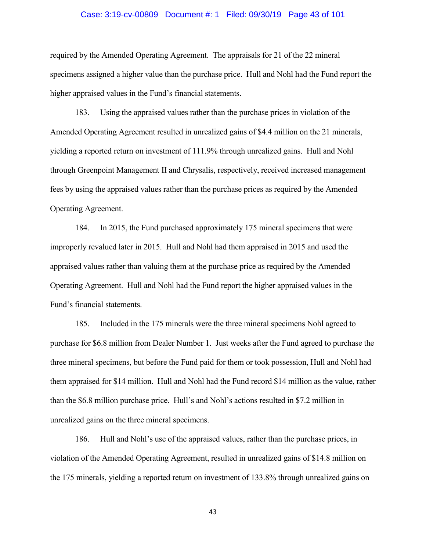### Case: 3:19-cv-00809 Document #: 1 Filed: 09/30/19 Page 43 of 101

required by the Amended Operating Agreement. The appraisals for 21 of the 22 mineral specimens assigned a higher value than the purchase price. Hull and Nohl had the Fund report the higher appraised values in the Fund's financial statements.

183. Using the appraised values rather than the purchase prices in violation of the Amended Operating Agreement resulted in unrealized gains of \$4.4 million on the 21 minerals, yielding a reported return on investment of 111.9% through unrealized gains. Hull and Nohl through Greenpoint Management II and Chrysalis, respectively, received increased management fees by using the appraised values rather than the purchase prices as required by the Amended Operating Agreement.

184. In 2015, the Fund purchased approximately 175 mineral specimens that were improperly revalued later in 2015. Hull and Nohl had them appraised in 2015 and used the appraised values rather than valuing them at the purchase price as required by the Amended Operating Agreement. Hull and Nohl had the Fund report the higher appraised values in the Fund's financial statements.

185. Included in the 175 minerals were the three mineral specimens Nohl agreed to purchase for \$6.8 million from Dealer Number 1. Just weeks after the Fund agreed to purchase the three mineral specimens, but before the Fund paid for them or took possession, Hull and Nohl had them appraised for \$14 million. Hull and Nohl had the Fund record \$14 million as the value, rather than the \$6.8 million purchase price. Hull's and Nohl's actions resulted in \$7.2 million in unrealized gains on the three mineral specimens.

186. Hull and Nohl's use of the appraised values, rather than the purchase prices, in violation of the Amended Operating Agreement, resulted in unrealized gains of \$14.8 million on the 175 minerals, yielding a reported return on investment of 133.8% through unrealized gains on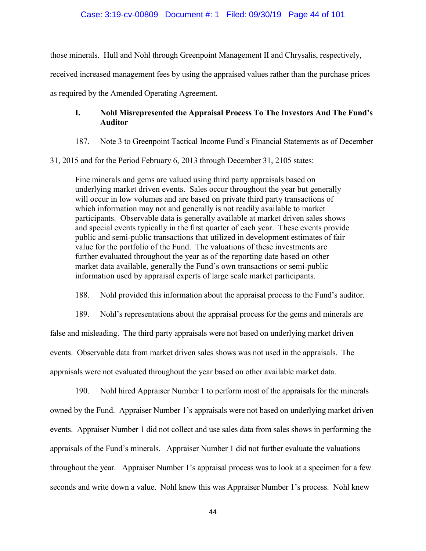those minerals. Hull and Nohl through Greenpoint Management II and Chrysalis, respectively,

received increased management fees by using the appraised values rather than the purchase prices

as required by the Amended Operating Agreement.

# **I. Nohl Misrepresented the Appraisal Process To The Investors And The Fund's Auditor**

187. Note 3 to Greenpoint Tactical Income Fund's Financial Statements as of December

31, 2015 and for the Period February 6, 2013 through December 31, 2105 states:

Fine minerals and gems are valued using third party appraisals based on underlying market driven events. Sales occur throughout the year but generally will occur in low volumes and are based on private third party transactions of which information may not and generally is not readily available to market participants. Observable data is generally available at market driven sales shows and special events typically in the first quarter of each year. These events provide public and semi-public transactions that utilized in development estimates of fair value for the portfolio of the Fund. The valuations of these investments are further evaluated throughout the year as of the reporting date based on other market data available, generally the Fund's own transactions or semi-public information used by appraisal experts of large scale market participants.

188. Nohl provided this information about the appraisal process to the Fund's auditor.

189. Nohl's representations about the appraisal process for the gems and minerals are false and misleading. The third party appraisals were not based on underlying market driven events. Observable data from market driven sales shows was not used in the appraisals. The appraisals were not evaluated throughout the year based on other available market data.

190. Nohl hired Appraiser Number 1 to perform most of the appraisals for the minerals owned by the Fund. Appraiser Number 1's appraisals were not based on underlying market driven events. Appraiser Number 1 did not collect and use sales data from sales shows in performing the appraisals of the Fund's minerals. Appraiser Number 1 did not further evaluate the valuations throughout the year. Appraiser Number 1's appraisal process was to look at a specimen for a few seconds and write down a value. Nohl knew this was Appraiser Number 1's process. Nohl knew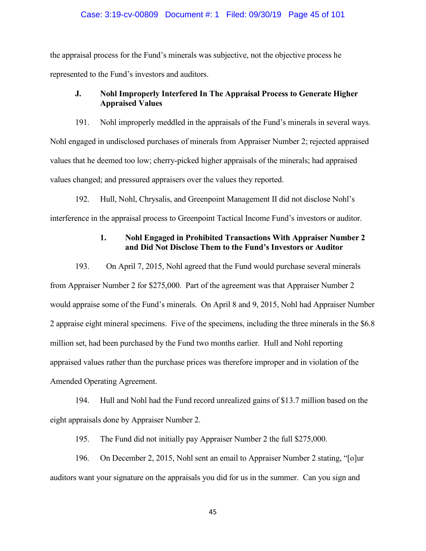### Case: 3:19-cv-00809 Document #: 1 Filed: 09/30/19 Page 45 of 101

the appraisal process for the Fund's minerals was subjective, not the objective process he represented to the Fund's investors and auditors.

# **J. Nohl Improperly Interfered In The Appraisal Process to Generate Higher Appraised Values**

191. Nohl improperly meddled in the appraisals of the Fund's minerals in several ways. Nohl engaged in undisclosed purchases of minerals from Appraiser Number 2; rejected appraised values that he deemed too low; cherry-picked higher appraisals of the minerals; had appraised values changed; and pressured appraisers over the values they reported.

192. Hull, Nohl, Chrysalis, and Greenpoint Management II did not disclose Nohl's interference in the appraisal process to Greenpoint Tactical Income Fund's investors or auditor.

# **1. Nohl Engaged in Prohibited Transactions With Appraiser Number 2 and Did Not Disclose Them to the Fund's Investors or Auditor**

193. On April 7, 2015, Nohl agreed that the Fund would purchase several minerals from Appraiser Number 2 for \$275,000. Part of the agreement was that Appraiser Number 2 would appraise some of the Fund's minerals. On April 8 and 9, 2015, Nohl had Appraiser Number 2 appraise eight mineral specimens. Five of the specimens, including the three minerals in the \$6.8 million set, had been purchased by the Fund two months earlier. Hull and Nohl reporting appraised values rather than the purchase prices was therefore improper and in violation of the Amended Operating Agreement.

194. Hull and Nohl had the Fund record unrealized gains of \$13.7 million based on the eight appraisals done by Appraiser Number 2.

195. The Fund did not initially pay Appraiser Number 2 the full \$275,000.

196. On December 2, 2015, Nohl sent an email to Appraiser Number 2 stating, "[o]ur auditors want your signature on the appraisals you did for us in the summer. Can you sign and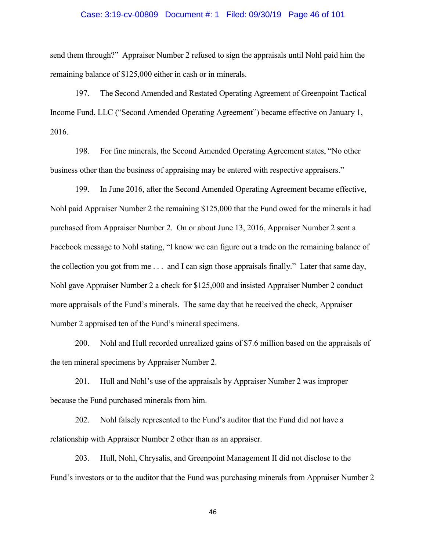### Case: 3:19-cv-00809 Document #: 1 Filed: 09/30/19 Page 46 of 101

send them through?" Appraiser Number 2 refused to sign the appraisals until Nohl paid him the remaining balance of \$125,000 either in cash or in minerals.

197. The Second Amended and Restated Operating Agreement of Greenpoint Tactical Income Fund, LLC ("Second Amended Operating Agreement") became effective on January 1, 2016.

198. For fine minerals, the Second Amended Operating Agreement states, "No other business other than the business of appraising may be entered with respective appraisers."

199. In June 2016, after the Second Amended Operating Agreement became effective, Nohl paid Appraiser Number 2 the remaining \$125,000 that the Fund owed for the minerals it had purchased from Appraiser Number 2. On or about June 13, 2016, Appraiser Number 2 sent a Facebook message to Nohl stating, "I know we can figure out a trade on the remaining balance of the collection you got from me . . . and I can sign those appraisals finally." Later that same day, Nohl gave Appraiser Number 2 a check for \$125,000 and insisted Appraiser Number 2 conduct more appraisals of the Fund's minerals. The same day that he received the check, Appraiser Number 2 appraised ten of the Fund's mineral specimens.

200. Nohl and Hull recorded unrealized gains of \$7.6 million based on the appraisals of the ten mineral specimens by Appraiser Number 2.

201. Hull and Nohl's use of the appraisals by Appraiser Number 2 was improper because the Fund purchased minerals from him.

202. Nohl falsely represented to the Fund's auditor that the Fund did not have a relationship with Appraiser Number 2 other than as an appraiser.

203. Hull, Nohl, Chrysalis, and Greenpoint Management II did not disclose to the Fund's investors or to the auditor that the Fund was purchasing minerals from Appraiser Number 2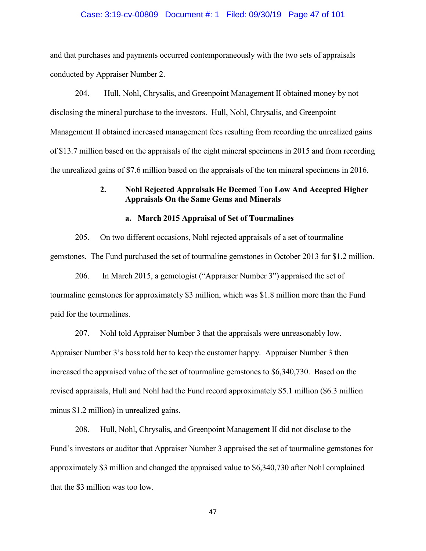### Case: 3:19-cv-00809 Document #: 1 Filed: 09/30/19 Page 47 of 101

and that purchases and payments occurred contemporaneously with the two sets of appraisals conducted by Appraiser Number 2.

204. Hull, Nohl, Chrysalis, and Greenpoint Management II obtained money by not disclosing the mineral purchase to the investors. Hull, Nohl, Chrysalis, and Greenpoint Management II obtained increased management fees resulting from recording the unrealized gains of \$13.7 million based on the appraisals of the eight mineral specimens in 2015 and from recording the unrealized gains of \$7.6 million based on the appraisals of the ten mineral specimens in 2016.

## **2. Nohl Rejected Appraisals He Deemed Too Low And Accepted Higher Appraisals On the Same Gems and Minerals**

### **a. March 2015 Appraisal of Set of Tourmalines**

205. On two different occasions, Nohl rejected appraisals of a set of tourmaline gemstones. The Fund purchased the set of tourmaline gemstones in October 2013 for \$1.2 million.

206. In March 2015, a gemologist ("Appraiser Number 3") appraised the set of tourmaline gemstones for approximately \$3 million, which was \$1.8 million more than the Fund paid for the tourmalines.

207. Nohl told Appraiser Number 3 that the appraisals were unreasonably low.

Appraiser Number 3's boss told her to keep the customer happy. Appraiser Number 3 then increased the appraised value of the set of tourmaline gemstones to \$6,340,730. Based on the revised appraisals, Hull and Nohl had the Fund record approximately \$5.1 million (\$6.3 million minus \$1.2 million) in unrealized gains.

208. Hull, Nohl, Chrysalis, and Greenpoint Management II did not disclose to the Fund's investors or auditor that Appraiser Number 3 appraised the set of tourmaline gemstones for approximately \$3 million and changed the appraised value to \$6,340,730 after Nohl complained that the \$3 million was too low.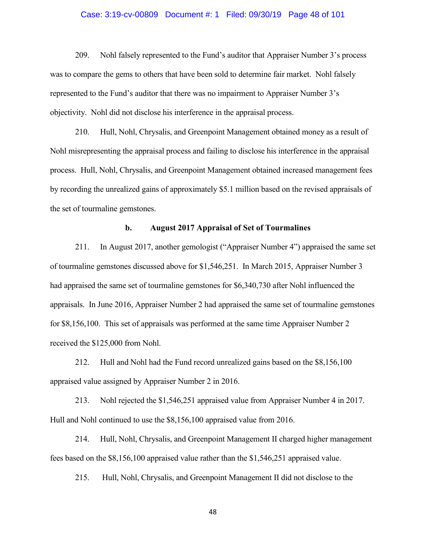### Case: 3:19-cv-00809 Document #: 1 Filed: 09/30/19 Page 48 of 101

209. Nohl falsely represented to the Fund's auditor that Appraiser Number 3's process was to compare the gems to others that have been sold to determine fair market. Nohl falsely represented to the Fund's auditor that there was no impairment to Appraiser Number 3's objectivity. Nohl did not disclose his interference in the appraisal process.

210. Hull, Nohl, Chrysalis, and Greenpoint Management obtained money as a result of Nohl misrepresenting the appraisal process and failing to disclose his interference in the appraisal process. Hull, Nohl, Chrysalis, and Greenpoint Management obtained increased management fees by recording the unrealized gains of approximately \$5.1 million based on the revised appraisals of the set of tourmaline gemstones.

### **b. August 2017 Appraisal of Set of Tourmalines**

211. In August 2017, another gemologist ("Appraiser Number 4") appraised the same set of tourmaline gemstones discussed above for \$1,546,251. In March 2015, Appraiser Number 3 had appraised the same set of tourmaline gemstones for \$6,340,730 after Nohl influenced the appraisals. In June 2016, Appraiser Number 2 had appraised the same set of tourmaline gemstones for \$8,156,100. This set of appraisals was performed at the same time Appraiser Number 2 received the \$125,000 from Nohl.

212. Hull and Nohl had the Fund record unrealized gains based on the \$8,156,100 appraised value assigned by Appraiser Number 2 in 2016.

213. Nohl rejected the \$1,546,251 appraised value from Appraiser Number 4 in 2017. Hull and Nohl continued to use the \$8,156,100 appraised value from 2016.

214. Hull, Nohl, Chrysalis, and Greenpoint Management II charged higher management fees based on the \$8,156,100 appraised value rather than the \$1,546,251 appraised value.

215. Hull, Nohl, Chrysalis, and Greenpoint Management II did not disclose to the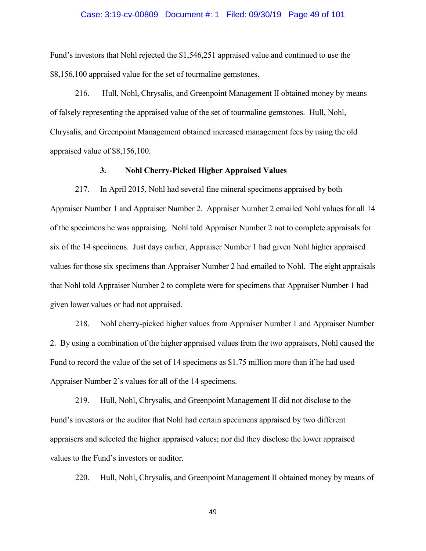#### Case: 3:19-cv-00809 Document #: 1 Filed: 09/30/19 Page 49 of 101

Fund's investors that Nohl rejected the \$1,546,251 appraised value and continued to use the \$8,156,100 appraised value for the set of tourmaline gemstones.

216. Hull, Nohl, Chrysalis, and Greenpoint Management II obtained money by means of falsely representing the appraised value of the set of tourmaline gemstones. Hull, Nohl, Chrysalis, and Greenpoint Management obtained increased management fees by using the old appraised value of \$8,156,100.

### **3. Nohl Cherry-Picked Higher Appraised Values**

217. In April 2015, Nohl had several fine mineral specimens appraised by both Appraiser Number 1 and Appraiser Number 2. Appraiser Number 2 emailed Nohl values for all 14 of the specimens he was appraising. Nohl told Appraiser Number 2 not to complete appraisals for six of the 14 specimens. Just days earlier, Appraiser Number 1 had given Nohl higher appraised values for those six specimens than Appraiser Number 2 had emailed to Nohl. The eight appraisals that Nohl told Appraiser Number 2 to complete were for specimens that Appraiser Number 1 had given lower values or had not appraised.

218. Nohl cherry-picked higher values from Appraiser Number 1 and Appraiser Number 2. By using a combination of the higher appraised values from the two appraisers, Nohl caused the Fund to record the value of the set of 14 specimens as \$1.75 million more than if he had used Appraiser Number 2's values for all of the 14 specimens.

219. Hull, Nohl, Chrysalis, and Greenpoint Management II did not disclose to the Fund's investors or the auditor that Nohl had certain specimens appraised by two different appraisers and selected the higher appraised values; nor did they disclose the lower appraised values to the Fund's investors or auditor.

220. Hull, Nohl, Chrysalis, and Greenpoint Management II obtained money by means of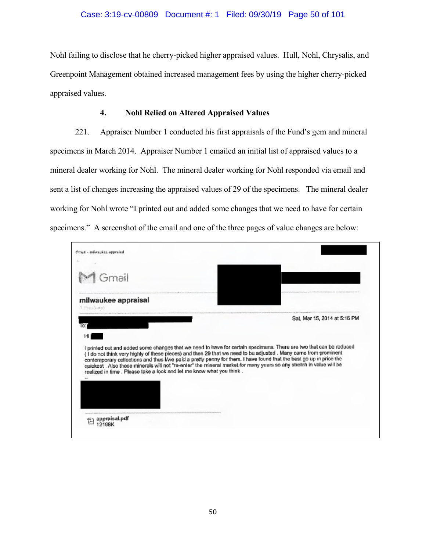## Case: 3:19-cv-00809 Document #: 1 Filed: 09/30/19 Page 50 of 101

Nohl failing to disclose that he cherry-picked higher appraised values. Hull, Nohl, Chrysalis, and Greenpoint Management obtained increased management fees by using the higher cherry-picked appraised values.

### **4. Nohl Relied on Altered Appraised Values**

221. Appraiser Number 1 conducted his first appraisals of the Fund's gem and mineral specimens in March 2014. Appraiser Number 1 emailed an initial list of appraised values to a mineral dealer working for Nohl. The mineral dealer working for Nohl responded via email and sent a list of changes increasing the appraised values of 29 of the specimens. The mineral dealer working for Nohl wrote "I printed out and added some changes that we need to have for certain specimens." A screenshot of the email and one of the three pages of value changes are below:

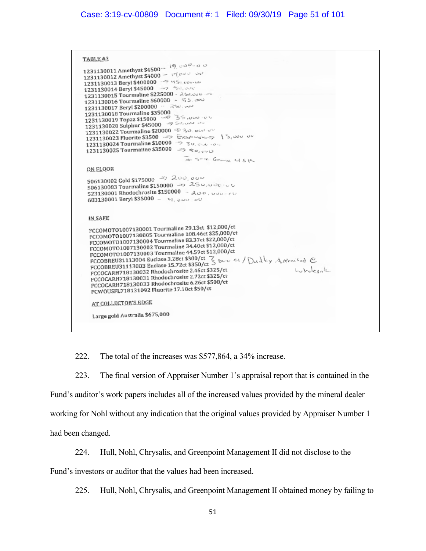## Case: 3:19-cv-00809 Document #: 1 Filed: 09/30/19 Page 51 of 101

TABLE #3 18888826<br>1231130011 Amethyst \$4500 =  $(9, 00\%00)$ 1231130011 Amethyst \$4500  $\sqrt{900}$   $\sqrt{1231130012}$  Amethyst \$4000 1231130012 Allengst 340000 1231130014 Beryl \$45000 -- 2 1231130015 Tourmaline \$225000 - 250,000 1231130016 Tourmaline \$60000 ~ % S. cross 1231130017 Beryl \$200000 - 250,000 1231130017 Beryl \$200000<br>1231130018 Tourmaline \$35000<br>1231130019 Topaz \$150000 1231130020 Surprise \$20000 \$ 30.000 1231130023 Fluorite \$3500 => Exsensives 15,000 00 1231130024 Tourmaline \$10000 -> 30,000 -0 1231130025 Tourmaline \$35000 => Sa, www a som George USK ON FLOOR 506130002 Gold \$175000 - 200,000 506130002 Gold \$175000<br>506130003 Tourmaline \$150000 - 250,000 603130001 Beryl \$35000 - 4, 000 00 **IN SAEE** PCCOMOTO1007130001 Tourmaline 29.13ct \$12,000/ct FCCOMOTO1007130001 Tourmaline 198.46ct \$25,000/ct FCCOMOTO1007130004 Tourmaline 83.37ct \$22,000/ct FCCOMOTO1007130002 Tourmaline 34.40ct \$12,000/ct FCCOMOTO1007130002 Tournaline 44.59ct \$12,000/ct FCCOMOT01007130003 Tourmaline 44.5900312,000700<br>FCCOBREU31113004 Euclase 3.2800 \$300/00 7 Book 4 / Dudley A Wester C<br>FCCOBREU31113003 Euclase 15.7200 \$350/00 24.000 \$4.000 \$4.000 \$4.000 \$4.000 \$4.000 \$ Lubelevak FCCOBREUS1113003 Butlese 337 Ethele 2.45ct \$325/ct<br>FCCOCARH718130032 Rhodochrosite 2.72ct \$325/ct FCCOCARH718130031 Rhodochrosite 2.72ct \$325/ct<br>FCCOCARH718130031 Rhodochrosite 2.72ct \$325/ct FCCOCARH718130031 Rhodochrosite 2.72ct \$525/ct<br>FCCOCARH718130033 Rhodochrosite 6.26ct \$500/ct FLUOLARD 10150000 Records 17.10ct \$50/ct AT COLLECTOR'S EDGE Large gold Australia \$675,000

222. The total of the increases was \$577,864, a 34% increase.

223. The final version of Appraiser Number 1's appraisal report that is contained in the Fund's auditor's work papers includes all of the increased values provided by the mineral dealer working for Nohl without any indication that the original values provided by Appraiser Number 1 had been changed.

224. Hull, Nohl, Chrysalis, and Greenpoint Management II did not disclose to the

Fund's investors or auditor that the values had been increased.

225. Hull, Nohl, Chrysalis, and Greenpoint Management II obtained money by failing to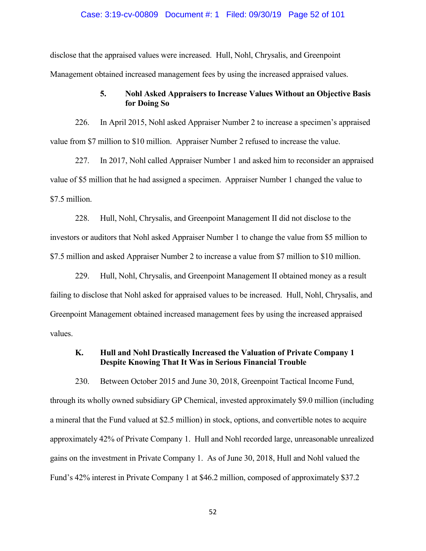### Case: 3:19-cv-00809 Document #: 1 Filed: 09/30/19 Page 52 of 101

disclose that the appraised values were increased. Hull, Nohl, Chrysalis, and Greenpoint Management obtained increased management fees by using the increased appraised values.

## **5. Nohl Asked Appraisers to Increase Values Without an Objective Basis for Doing So**

226. In April 2015, Nohl asked Appraiser Number 2 to increase a specimen's appraised value from \$7 million to \$10 million. Appraiser Number 2 refused to increase the value.

227. In 2017, Nohl called Appraiser Number 1 and asked him to reconsider an appraised value of \$5 million that he had assigned a specimen. Appraiser Number 1 changed the value to \$7.5 million.

228. Hull, Nohl, Chrysalis, and Greenpoint Management II did not disclose to the investors or auditors that Nohl asked Appraiser Number 1 to change the value from \$5 million to \$7.5 million and asked Appraiser Number 2 to increase a value from \$7 million to \$10 million.

229. Hull, Nohl, Chrysalis, and Greenpoint Management II obtained money as a result failing to disclose that Nohl asked for appraised values to be increased. Hull, Nohl, Chrysalis, and Greenpoint Management obtained increased management fees by using the increased appraised values.

# **K. Hull and Nohl Drastically Increased the Valuation of Private Company 1 Despite Knowing That It Was in Serious Financial Trouble**

230. Between October 2015 and June 30, 2018, Greenpoint Tactical Income Fund, through its wholly owned subsidiary GP Chemical, invested approximately \$9.0 million (including a mineral that the Fund valued at \$2.5 million) in stock, options, and convertible notes to acquire approximately 42% of Private Company 1. Hull and Nohl recorded large, unreasonable unrealized gains on the investment in Private Company 1. As of June 30, 2018, Hull and Nohl valued the Fund's 42% interest in Private Company 1 at \$46.2 million, composed of approximately \$37.2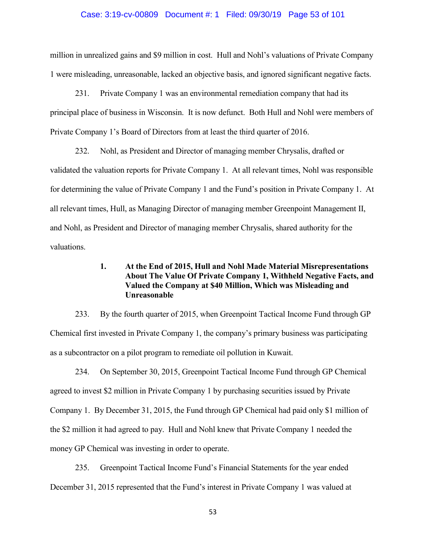### Case: 3:19-cv-00809 Document #: 1 Filed: 09/30/19 Page 53 of 101

million in unrealized gains and \$9 million in cost. Hull and Nohl's valuations of Private Company 1 were misleading, unreasonable, lacked an objective basis, and ignored significant negative facts.

231. Private Company 1 was an environmental remediation company that had its principal place of business in Wisconsin. It is now defunct. Both Hull and Nohl were members of Private Company 1's Board of Directors from at least the third quarter of 2016.

232. Nohl, as President and Director of managing member Chrysalis, drafted or validated the valuation reports for Private Company 1. At all relevant times, Nohl was responsible for determining the value of Private Company 1 and the Fund's position in Private Company 1. At all relevant times, Hull, as Managing Director of managing member Greenpoint Management II, and Nohl, as President and Director of managing member Chrysalis, shared authority for the valuations.

# **1. At the End of 2015, Hull and Nohl Made Material Misrepresentations About The Value Of Private Company 1, Withheld Negative Facts, and Valued the Company at \$40 Million, Which was Misleading and Unreasonable**

233. By the fourth quarter of 2015, when Greenpoint Tactical Income Fund through GP Chemical first invested in Private Company 1, the company's primary business was participating as a subcontractor on a pilot program to remediate oil pollution in Kuwait.

234. On September 30, 2015, Greenpoint Tactical Income Fund through GP Chemical agreed to invest \$2 million in Private Company 1 by purchasing securities issued by Private Company 1. By December 31, 2015, the Fund through GP Chemical had paid only \$1 million of the \$2 million it had agreed to pay. Hull and Nohl knew that Private Company 1 needed the money GP Chemical was investing in order to operate.

235. Greenpoint Tactical Income Fund's Financial Statements for the year ended December 31, 2015 represented that the Fund's interest in Private Company 1 was valued at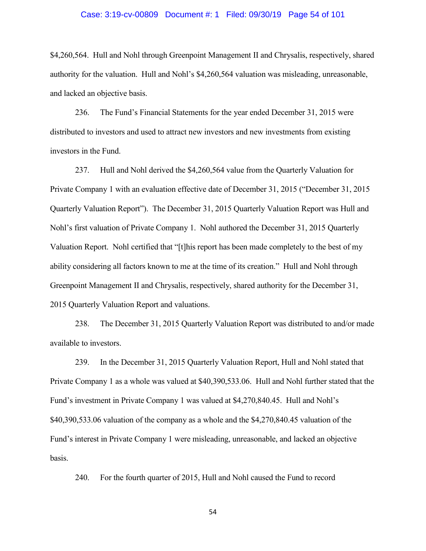#### Case: 3:19-cv-00809 Document #: 1 Filed: 09/30/19 Page 54 of 101

\$4,260,564. Hull and Nohl through Greenpoint Management II and Chrysalis, respectively, shared authority for the valuation. Hull and Nohl's \$4,260,564 valuation was misleading, unreasonable, and lacked an objective basis.

236. The Fund's Financial Statements for the year ended December 31, 2015 were distributed to investors and used to attract new investors and new investments from existing investors in the Fund.

237. Hull and Nohl derived the \$4,260,564 value from the Quarterly Valuation for Private Company 1 with an evaluation effective date of December 31, 2015 ("December 31, 2015 Quarterly Valuation Report"). The December 31, 2015 Quarterly Valuation Report was Hull and Nohl's first valuation of Private Company 1. Nohl authored the December 31, 2015 Quarterly Valuation Report. Nohl certified that "[t]his report has been made completely to the best of my ability considering all factors known to me at the time of its creation." Hull and Nohl through Greenpoint Management II and Chrysalis, respectively, shared authority for the December 31, 2015 Quarterly Valuation Report and valuations.

238. The December 31, 2015 Quarterly Valuation Report was distributed to and/or made available to investors.

239. In the December 31, 2015 Quarterly Valuation Report, Hull and Nohl stated that Private Company 1 as a whole was valued at \$40,390,533.06. Hull and Nohl further stated that the Fund's investment in Private Company 1 was valued at \$4,270,840.45. Hull and Nohl's \$40,390,533.06 valuation of the company as a whole and the \$4,270,840.45 valuation of the Fund's interest in Private Company 1 were misleading, unreasonable, and lacked an objective basis.

240. For the fourth quarter of 2015, Hull and Nohl caused the Fund to record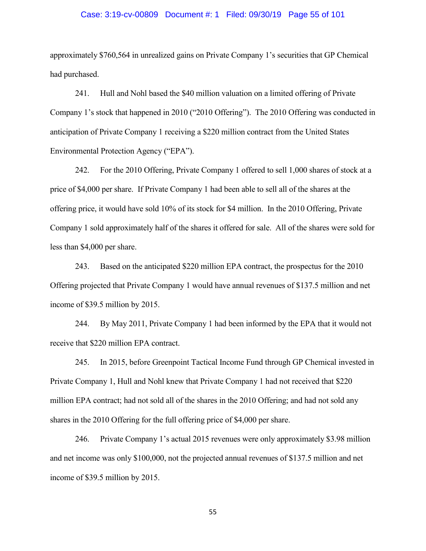### Case: 3:19-cv-00809 Document #: 1 Filed: 09/30/19 Page 55 of 101

approximately \$760,564 in unrealized gains on Private Company 1's securities that GP Chemical had purchased.

241. Hull and Nohl based the \$40 million valuation on a limited offering of Private Company 1's stock that happened in 2010 ("2010 Offering"). The 2010 Offering was conducted in anticipation of Private Company 1 receiving a \$220 million contract from the United States Environmental Protection Agency ("EPA").

242. For the 2010 Offering, Private Company 1 offered to sell 1,000 shares of stock at a price of \$4,000 per share. If Private Company 1 had been able to sell all of the shares at the offering price, it would have sold 10% of its stock for \$4 million. In the 2010 Offering, Private Company 1 sold approximately half of the shares it offered for sale. All of the shares were sold for less than \$4,000 per share.

243. Based on the anticipated \$220 million EPA contract, the prospectus for the 2010 Offering projected that Private Company 1 would have annual revenues of \$137.5 million and net income of \$39.5 million by 2015.

244. By May 2011, Private Company 1 had been informed by the EPA that it would not receive that \$220 million EPA contract.

245. In 2015, before Greenpoint Tactical Income Fund through GP Chemical invested in Private Company 1, Hull and Nohl knew that Private Company 1 had not received that \$220 million EPA contract; had not sold all of the shares in the 2010 Offering; and had not sold any shares in the 2010 Offering for the full offering price of \$4,000 per share.

246. Private Company 1's actual 2015 revenues were only approximately \$3.98 million and net income was only \$100,000, not the projected annual revenues of \$137.5 million and net income of \$39.5 million by 2015.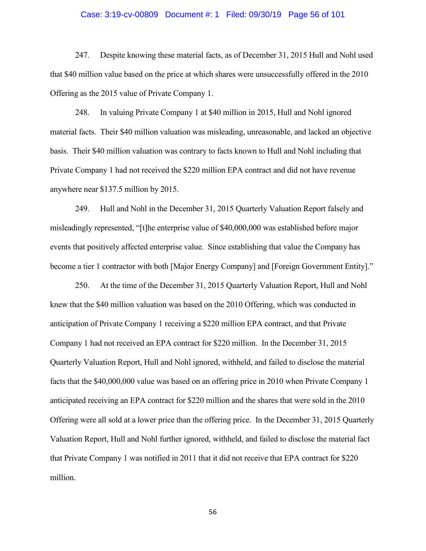### Case: 3:19-cv-00809 Document #: 1 Filed: 09/30/19 Page 56 of 101

247. Despite knowing these material facts, as of December 31, 2015 Hull and Nohl used that \$40 million value based on the price at which shares were unsuccessfully offered in the 2010 Offering as the 2015 value of Private Company 1.

248. In valuing Private Company 1 at \$40 million in 2015, Hull and Nohl ignored material facts. Their \$40 million valuation was misleading, unreasonable, and lacked an objective basis. Their \$40 million valuation was contrary to facts known to Hull and Nohl including that Private Company 1 had not received the \$220 million EPA contract and did not have revenue anywhere near \$137.5 million by 2015.

249. Hull and Nohl in the December 31, 2015 Quarterly Valuation Report falsely and misleadingly represented, "[t]he enterprise value of \$40,000,000 was established before major events that positively affected enterprise value. Since establishing that value the Company has become a tier 1 contractor with both [Major Energy Company] and [Foreign Government Entity]."

250. At the time of the December 31, 2015 Quarterly Valuation Report, Hull and Nohl knew that the \$40 million valuation was based on the 2010 Offering, which was conducted in anticipation of Private Company 1 receiving a \$220 million EPA contract, and that Private Company 1 had not received an EPA contract for \$220 million. In the December 31, 2015 Quarterly Valuation Report, Hull and Nohl ignored, withheld, and failed to disclose the material facts that the \$40,000,000 value was based on an offering price in 2010 when Private Company 1 anticipated receiving an EPA contract for \$220 million and the shares that were sold in the 2010 Offering were all sold at a lower price than the offering price. In the December 31, 2015 Quarterly Valuation Report, Hull and Nohl further ignored, withheld, and failed to disclose the material fact that Private Company 1 was notified in 2011 that it did not receive that EPA contract for \$220 million.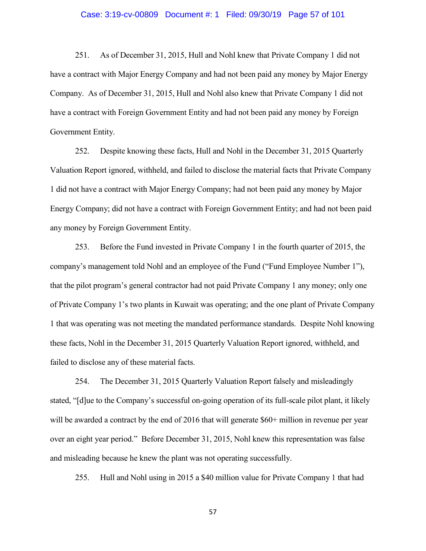### Case: 3:19-cv-00809 Document #: 1 Filed: 09/30/19 Page 57 of 101

251. As of December 31, 2015, Hull and Nohl knew that Private Company 1 did not have a contract with Major Energy Company and had not been paid any money by Major Energy Company. As of December 31, 2015, Hull and Nohl also knew that Private Company 1 did not have a contract with Foreign Government Entity and had not been paid any money by Foreign Government Entity.

252. Despite knowing these facts, Hull and Nohl in the December 31, 2015 Quarterly Valuation Report ignored, withheld, and failed to disclose the material facts that Private Company 1 did not have a contract with Major Energy Company; had not been paid any money by Major Energy Company; did not have a contract with Foreign Government Entity; and had not been paid any money by Foreign Government Entity.

253. Before the Fund invested in Private Company 1 in the fourth quarter of 2015, the company's management told Nohl and an employee of the Fund ("Fund Employee Number 1"), that the pilot program's general contractor had not paid Private Company 1 any money; only one of Private Company 1's two plants in Kuwait was operating; and the one plant of Private Company 1 that was operating was not meeting the mandated performance standards. Despite Nohl knowing these facts, Nohl in the December 31, 2015 Quarterly Valuation Report ignored, withheld, and failed to disclose any of these material facts.

254. The December 31, 2015 Quarterly Valuation Report falsely and misleadingly stated, "[d]ue to the Company's successful on-going operation of its full-scale pilot plant, it likely will be awarded a contract by the end of 2016 that will generate \$60+ million in revenue per year over an eight year period." Before December 31, 2015, Nohl knew this representation was false and misleading because he knew the plant was not operating successfully.

255. Hull and Nohl using in 2015 a \$40 million value for Private Company 1 that had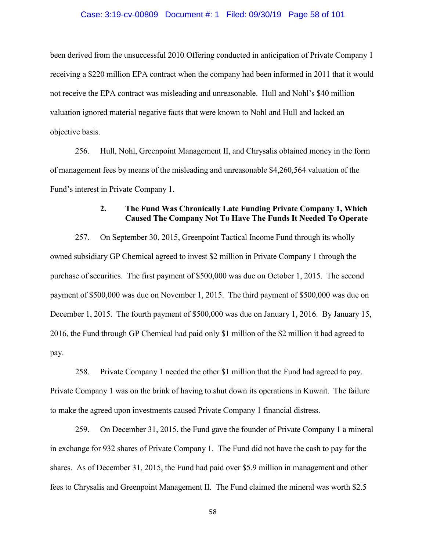### Case: 3:19-cv-00809 Document #: 1 Filed: 09/30/19 Page 58 of 101

been derived from the unsuccessful 2010 Offering conducted in anticipation of Private Company 1 receiving a \$220 million EPA contract when the company had been informed in 2011 that it would not receive the EPA contract was misleading and unreasonable. Hull and Nohl's \$40 million valuation ignored material negative facts that were known to Nohl and Hull and lacked an objective basis.

256. Hull, Nohl, Greenpoint Management II, and Chrysalis obtained money in the form of management fees by means of the misleading and unreasonable \$4,260,564 valuation of the Fund's interest in Private Company 1.

# **2. The Fund Was Chronically Late Funding Private Company 1, Which Caused The Company Not To Have The Funds It Needed To Operate**

257. On September 30, 2015, Greenpoint Tactical Income Fund through its wholly owned subsidiary GP Chemical agreed to invest \$2 million in Private Company 1 through the purchase of securities. The first payment of \$500,000 was due on October 1, 2015. The second payment of \$500,000 was due on November 1, 2015. The third payment of \$500,000 was due on December 1, 2015. The fourth payment of \$500,000 was due on January 1, 2016. By January 15, 2016, the Fund through GP Chemical had paid only \$1 million of the \$2 million it had agreed to pay.

258. Private Company 1 needed the other \$1 million that the Fund had agreed to pay. Private Company 1 was on the brink of having to shut down its operations in Kuwait. The failure to make the agreed upon investments caused Private Company 1 financial distress.

259. On December 31, 2015, the Fund gave the founder of Private Company 1 a mineral in exchange for 932 shares of Private Company 1. The Fund did not have the cash to pay for the shares. As of December 31, 2015, the Fund had paid over \$5.9 million in management and other fees to Chrysalis and Greenpoint Management II. The Fund claimed the mineral was worth \$2.5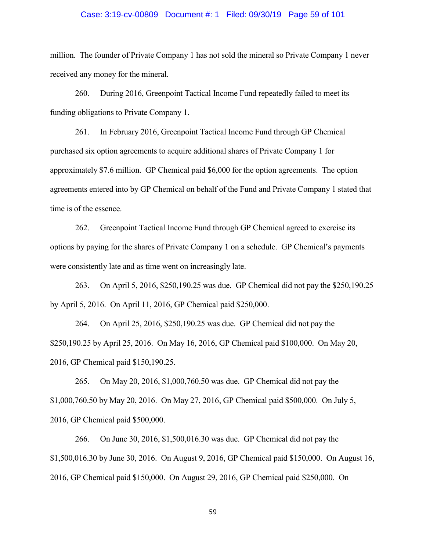#### Case: 3:19-cv-00809 Document #: 1 Filed: 09/30/19 Page 59 of 101

million. The founder of Private Company 1 has not sold the mineral so Private Company 1 never received any money for the mineral.

260. During 2016, Greenpoint Tactical Income Fund repeatedly failed to meet its funding obligations to Private Company 1.

261. In February 2016, Greenpoint Tactical Income Fund through GP Chemical purchased six option agreements to acquire additional shares of Private Company 1 for approximately \$7.6 million. GP Chemical paid \$6,000 for the option agreements. The option agreements entered into by GP Chemical on behalf of the Fund and Private Company 1 stated that time is of the essence.

262. Greenpoint Tactical Income Fund through GP Chemical agreed to exercise its options by paying for the shares of Private Company 1 on a schedule. GP Chemical's payments were consistently late and as time went on increasingly late.

263. On April 5, 2016, \$250,190.25 was due. GP Chemical did not pay the \$250,190.25 by April 5, 2016. On April 11, 2016, GP Chemical paid \$250,000.

264. On April 25, 2016, \$250,190.25 was due. GP Chemical did not pay the \$250,190.25 by April 25, 2016. On May 16, 2016, GP Chemical paid \$100,000. On May 20, 2016, GP Chemical paid \$150,190.25.

265. On May 20, 2016, \$1,000,760.50 was due. GP Chemical did not pay the \$1,000,760.50 by May 20, 2016. On May 27, 2016, GP Chemical paid \$500,000. On July 5, 2016, GP Chemical paid \$500,000.

266. On June 30, 2016, \$1,500,016.30 was due. GP Chemical did not pay the \$1,500,016.30 by June 30, 2016. On August 9, 2016, GP Chemical paid \$150,000. On August 16, 2016, GP Chemical paid \$150,000. On August 29, 2016, GP Chemical paid \$250,000. On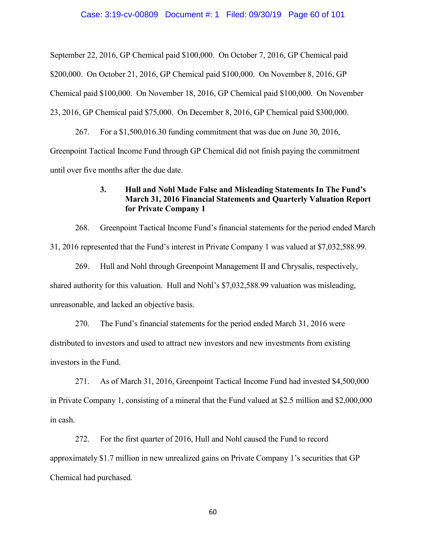September 22, 2016, GP Chemical paid \$100,000. On October 7, 2016, GP Chemical paid \$200,000. On October 21, 2016, GP Chemical paid \$100,000. On November 8, 2016, GP Chemical paid \$100,000. On November 18, 2016, GP Chemical paid \$100,000. On November 23, 2016, GP Chemical paid \$75,000. On December 8, 2016, GP Chemical paid \$300,000.

267. For a \$1,500,016.30 funding commitment that was due on June 30, 2016, Greenpoint Tactical Income Fund through GP Chemical did not finish paying the commitment until over five months after the due date.

# **3. Hull and Nohl Made False and Misleading Statements In The Fund's March 31, 2016 Financial Statements and Quarterly Valuation Report for Private Company 1**

268. Greenpoint Tactical Income Fund's financial statements for the period ended March 31, 2016 represented that the Fund's interest in Private Company 1 was valued at \$7,032,588.99.

269. Hull and Nohl through Greenpoint Management II and Chrysalis, respectively, shared authority for this valuation. Hull and Nohl's \$7,032,588.99 valuation was misleading, unreasonable, and lacked an objective basis.

270. The Fund's financial statements for the period ended March 31, 2016 were distributed to investors and used to attract new investors and new investments from existing investors in the Fund.

271. As of March 31, 2016, Greenpoint Tactical Income Fund had invested \$4,500,000 in Private Company 1, consisting of a mineral that the Fund valued at \$2.5 million and \$2,000,000 in cash.

272. For the first quarter of 2016, Hull and Nohl caused the Fund to record approximately \$1.7 million in new unrealized gains on Private Company 1's securities that GP Chemical had purchased.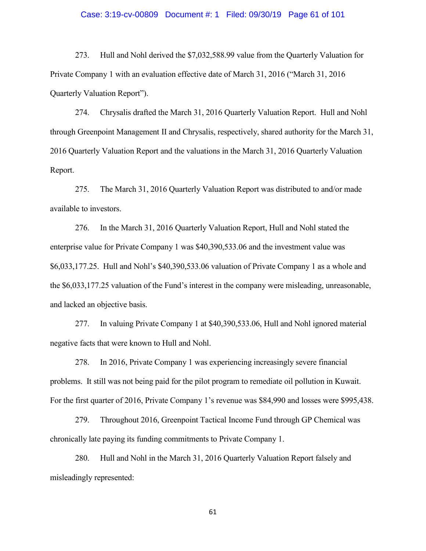#### Case: 3:19-cv-00809 Document #: 1 Filed: 09/30/19 Page 61 of 101

273. Hull and Nohl derived the \$7,032,588.99 value from the Quarterly Valuation for Private Company 1 with an evaluation effective date of March 31, 2016 ("March 31, 2016 Quarterly Valuation Report").

274. Chrysalis drafted the March 31, 2016 Quarterly Valuation Report. Hull and Nohl through Greenpoint Management II and Chrysalis, respectively, shared authority for the March 31, 2016 Quarterly Valuation Report and the valuations in the March 31, 2016 Quarterly Valuation Report.

275. The March 31, 2016 Quarterly Valuation Report was distributed to and/or made available to investors.

276. In the March 31, 2016 Quarterly Valuation Report, Hull and Nohl stated the enterprise value for Private Company 1 was \$40,390,533.06 and the investment value was \$6,033,177.25. Hull and Nohl's \$40,390,533.06 valuation of Private Company 1 as a whole and the \$6,033,177.25 valuation of the Fund's interest in the company were misleading, unreasonable, and lacked an objective basis.

277. In valuing Private Company 1 at \$40,390,533.06, Hull and Nohl ignored material negative facts that were known to Hull and Nohl.

278. In 2016, Private Company 1 was experiencing increasingly severe financial problems. It still was not being paid for the pilot program to remediate oil pollution in Kuwait. For the first quarter of 2016, Private Company 1's revenue was \$84,990 and losses were \$995,438.

279. Throughout 2016, Greenpoint Tactical Income Fund through GP Chemical was chronically late paying its funding commitments to Private Company 1.

280. Hull and Nohl in the March 31, 2016 Quarterly Valuation Report falsely and misleadingly represented: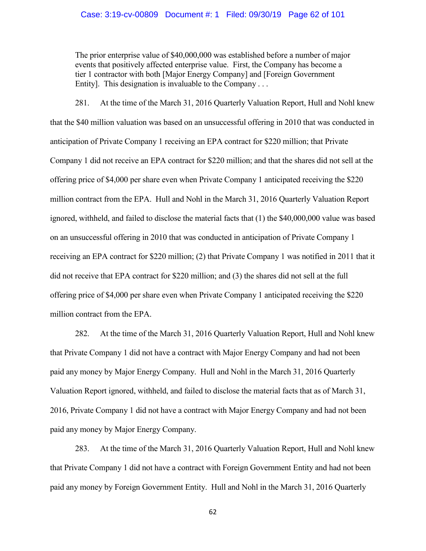## Case: 3:19-cv-00809 Document #: 1 Filed: 09/30/19 Page 62 of 101

The prior enterprise value of \$40,000,000 was established before a number of major events that positively affected enterprise value. First, the Company has become a tier 1 contractor with both [Major Energy Company] and [Foreign Government Entity]. This designation is invaluable to the Company ...

281. At the time of the March 31, 2016 Quarterly Valuation Report, Hull and Nohl knew that the \$40 million valuation was based on an unsuccessful offering in 2010 that was conducted in anticipation of Private Company 1 receiving an EPA contract for \$220 million; that Private Company 1 did not receive an EPA contract for \$220 million; and that the shares did not sell at the offering price of \$4,000 per share even when Private Company 1 anticipated receiving the \$220 million contract from the EPA. Hull and Nohl in the March 31, 2016 Quarterly Valuation Report ignored, withheld, and failed to disclose the material facts that (1) the \$40,000,000 value was based on an unsuccessful offering in 2010 that was conducted in anticipation of Private Company 1 receiving an EPA contract for \$220 million; (2) that Private Company 1 was notified in 2011 that it did not receive that EPA contract for \$220 million; and (3) the shares did not sell at the full offering price of \$4,000 per share even when Private Company 1 anticipated receiving the \$220 million contract from the EPA.

282. At the time of the March 31, 2016 Quarterly Valuation Report, Hull and Nohl knew that Private Company 1 did not have a contract with Major Energy Company and had not been paid any money by Major Energy Company. Hull and Nohl in the March 31, 2016 Quarterly Valuation Report ignored, withheld, and failed to disclose the material facts that as of March 31, 2016, Private Company 1 did not have a contract with Major Energy Company and had not been paid any money by Major Energy Company.

283. At the time of the March 31, 2016 Quarterly Valuation Report, Hull and Nohl knew that Private Company 1 did not have a contract with Foreign Government Entity and had not been paid any money by Foreign Government Entity. Hull and Nohl in the March 31, 2016 Quarterly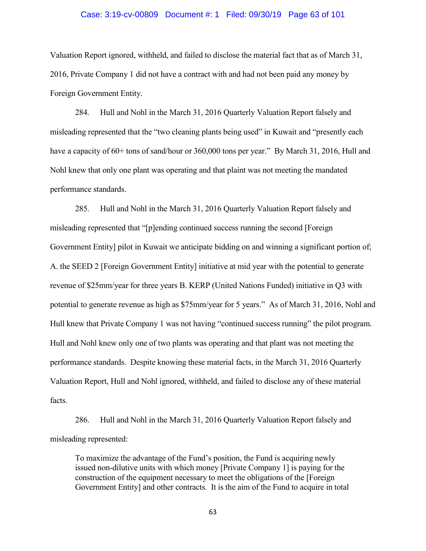#### Case: 3:19-cv-00809 Document #: 1 Filed: 09/30/19 Page 63 of 101

Valuation Report ignored, withheld, and failed to disclose the material fact that as of March 31, 2016, Private Company 1 did not have a contract with and had not been paid any money by Foreign Government Entity.

284. Hull and Nohl in the March 31, 2016 Quarterly Valuation Report falsely and misleading represented that the "two cleaning plants being used" in Kuwait and "presently each have a capacity of 60+ tons of sand/hour or 360,000 tons per year." By March 31, 2016, Hull and Nohl knew that only one plant was operating and that plaint was not meeting the mandated performance standards.

285. Hull and Nohl in the March 31, 2016 Quarterly Valuation Report falsely and misleading represented that "[p]ending continued success running the second [Foreign Government Entity] pilot in Kuwait we anticipate bidding on and winning a significant portion of; A. the SEED 2 [Foreign Government Entity] initiative at mid year with the potential to generate revenue of \$25mm/year for three years B. KERP (United Nations Funded) initiative in Q3 with potential to generate revenue as high as \$75mm/year for 5 years." As of March 31, 2016, Nohl and Hull knew that Private Company 1 was not having "continued success running" the pilot program. Hull and Nohl knew only one of two plants was operating and that plant was not meeting the performance standards. Despite knowing these material facts, in the March 31, 2016 Quarterly Valuation Report, Hull and Nohl ignored, withheld, and failed to disclose any of these material facts.

286. Hull and Nohl in the March 31, 2016 Quarterly Valuation Report falsely and misleading represented:

To maximize the advantage of the Fund's position, the Fund is acquiring newly issued non-dilutive units with which money [Private Company 1] is paying for the construction of the equipment necessary to meet the obligations of the [Foreign Government Entity] and other contracts. It is the aim of the Fund to acquire in total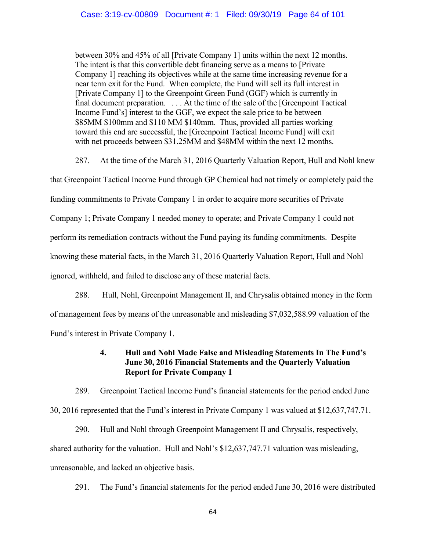between 30% and 45% of all [Private Company 1] units within the next 12 months. The intent is that this convertible debt financing serve as a means to [Private Company 1] reaching its objectives while at the same time increasing revenue for a near term exit for the Fund. When complete, the Fund will sell its full interest in [Private Company 1] to the Greenpoint Green Fund (GGF) which is currently in final document preparation. . . . At the time of the sale of the [Greenpoint Tactical Income Fund's] interest to the GGF, we expect the sale price to be between \$85MM \$100mm and \$110 MM \$140mm. Thus, provided all parties working toward this end are successful, the [Greenpoint Tactical Income Fund] will exit with net proceeds between \$31.25MM and \$48MM within the next 12 months.

287. At the time of the March 31, 2016 Quarterly Valuation Report, Hull and Nohl knew

that Greenpoint Tactical Income Fund through GP Chemical had not timely or completely paid the funding commitments to Private Company 1 in order to acquire more securities of Private Company 1; Private Company 1 needed money to operate; and Private Company 1 could not perform its remediation contracts without the Fund paying its funding commitments. Despite knowing these material facts, in the March 31, 2016 Quarterly Valuation Report, Hull and Nohl ignored, withheld, and failed to disclose any of these material facts.

288. Hull, Nohl, Greenpoint Management II, and Chrysalis obtained money in the form of management fees by means of the unreasonable and misleading \$7,032,588.99 valuation of the Fund's interest in Private Company 1.

# **4. Hull and Nohl Made False and Misleading Statements In The Fund's June 30, 2016 Financial Statements and the Quarterly Valuation Report for Private Company 1**

289. Greenpoint Tactical Income Fund's financial statements for the period ended June 30, 2016 represented that the Fund's interest in Private Company 1 was valued at \$12,637,747.71.

290. Hull and Nohl through Greenpoint Management II and Chrysalis, respectively, shared authority for the valuation. Hull and Nohl's \$12,637,747.71 valuation was misleading, unreasonable, and lacked an objective basis.

291. The Fund's financial statements for the period ended June 30, 2016 were distributed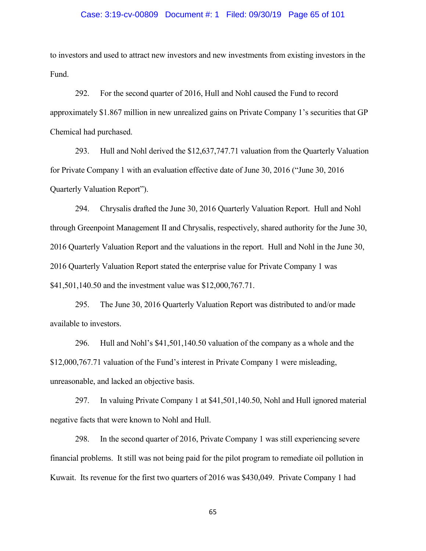#### Case: 3:19-cv-00809 Document #: 1 Filed: 09/30/19 Page 65 of 101

to investors and used to attract new investors and new investments from existing investors in the Fund.

292. For the second quarter of 2016, Hull and Nohl caused the Fund to record approximately \$1.867 million in new unrealized gains on Private Company 1's securities that GP Chemical had purchased.

293. Hull and Nohl derived the \$12,637,747.71 valuation from the Quarterly Valuation for Private Company 1 with an evaluation effective date of June 30, 2016 ("June 30, 2016 Quarterly Valuation Report").

294. Chrysalis drafted the June 30, 2016 Quarterly Valuation Report. Hull and Nohl through Greenpoint Management II and Chrysalis, respectively, shared authority for the June 30, 2016 Quarterly Valuation Report and the valuations in the report. Hull and Nohl in the June 30, 2016 Quarterly Valuation Report stated the enterprise value for Private Company 1 was \$41,501,140.50 and the investment value was \$12,000,767.71.

295. The June 30, 2016 Quarterly Valuation Report was distributed to and/or made available to investors.

296. Hull and Nohl's \$41,501,140.50 valuation of the company as a whole and the \$12,000,767.71 valuation of the Fund's interest in Private Company 1 were misleading, unreasonable, and lacked an objective basis.

297. In valuing Private Company 1 at \$41,501,140.50, Nohl and Hull ignored material negative facts that were known to Nohl and Hull.

298. In the second quarter of 2016, Private Company 1 was still experiencing severe financial problems. It still was not being paid for the pilot program to remediate oil pollution in Kuwait. Its revenue for the first two quarters of 2016 was \$430,049. Private Company 1 had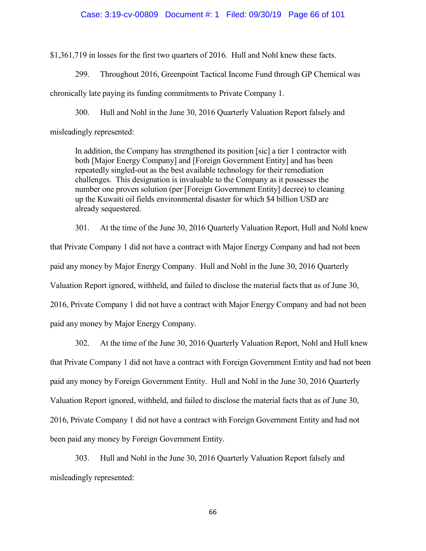### Case: 3:19-cv-00809 Document #: 1 Filed: 09/30/19 Page 66 of 101

\$1,361,719 in losses for the first two quarters of 2016. Hull and Nohl knew these facts.

299. Throughout 2016, Greenpoint Tactical Income Fund through GP Chemical was

chronically late paying its funding commitments to Private Company 1.

300. Hull and Nohl in the June 30, 2016 Quarterly Valuation Report falsely and

misleadingly represented:

In addition, the Company has strengthened its position [sic] a tier 1 contractor with both [Major Energy Company] and [Foreign Government Entity] and has been repeatedly singled-out as the best available technology for their remediation challenges. This designation is invaluable to the Company as it possesses the number one proven solution (per [Foreign Government Entity] decree) to cleaning up the Kuwaiti oil fields environmental disaster for which \$4 billion USD are already sequestered.

301. At the time of the June 30, 2016 Quarterly Valuation Report, Hull and Nohl knew that Private Company 1 did not have a contract with Major Energy Company and had not been paid any money by Major Energy Company. Hull and Nohl in the June 30, 2016 Quarterly Valuation Report ignored, withheld, and failed to disclose the material facts that as of June 30, 2016, Private Company 1 did not have a contract with Major Energy Company and had not been paid any money by Major Energy Company.

302. At the time of the June 30, 2016 Quarterly Valuation Report, Nohl and Hull knew that Private Company 1 did not have a contract with Foreign Government Entity and had not been paid any money by Foreign Government Entity. Hull and Nohl in the June 30, 2016 Quarterly Valuation Report ignored, withheld, and failed to disclose the material facts that as of June 30, 2016, Private Company 1 did not have a contract with Foreign Government Entity and had not been paid any money by Foreign Government Entity.

303. Hull and Nohl in the June 30, 2016 Quarterly Valuation Report falsely and misleadingly represented: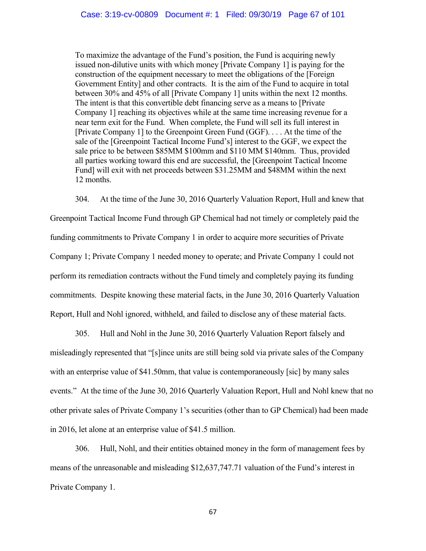To maximize the advantage of the Fund's position, the Fund is acquiring newly issued non-dilutive units with which money [Private Company 1] is paying for the construction of the equipment necessary to meet the obligations of the [Foreign Government Entity] and other contracts. It is the aim of the Fund to acquire in total between 30% and 45% of all [Private Company 1] units within the next 12 months. The intent is that this convertible debt financing serve as a means to [Private Company 1] reaching its objectives while at the same time increasing revenue for a near term exit for the Fund. When complete, the Fund will sell its full interest in [Private Company 1] to the Greenpoint Green Fund (GGF). . . . At the time of the sale of the [Greenpoint Tactical Income Fund's] interest to the GGF, we expect the sale price to be between \$85MM \$100mm and \$110 MM \$140mm. Thus, provided all parties working toward this end are successful, the [Greenpoint Tactical Income Fund] will exit with net proceeds between \$31.25MM and \$48MM within the next 12 months.

304. At the time of the June 30, 2016 Quarterly Valuation Report, Hull and knew that Greenpoint Tactical Income Fund through GP Chemical had not timely or completely paid the funding commitments to Private Company 1 in order to acquire more securities of Private Company 1; Private Company 1 needed money to operate; and Private Company 1 could not perform its remediation contracts without the Fund timely and completely paying its funding commitments. Despite knowing these material facts, in the June 30, 2016 Quarterly Valuation Report, Hull and Nohl ignored, withheld, and failed to disclose any of these material facts.

305. Hull and Nohl in the June 30, 2016 Quarterly Valuation Report falsely and misleadingly represented that "[s]ince units are still being sold via private sales of the Company with an enterprise value of \$41.50mm, that value is contemporaneously [sic] by many sales events." At the time of the June 30, 2016 Quarterly Valuation Report, Hull and Nohl knew that no other private sales of Private Company 1's securities (other than to GP Chemical) had been made in 2016, let alone at an enterprise value of \$41.5 million.

306. Hull, Nohl, and their entities obtained money in the form of management fees by means of the unreasonable and misleading \$12,637,747.71 valuation of the Fund's interest in Private Company 1.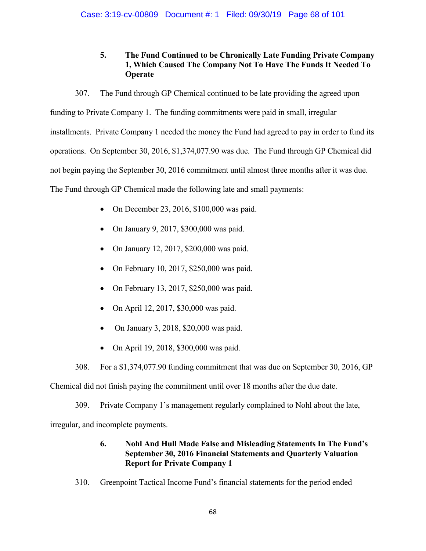**5. The Fund Continued to be Chronically Late Funding Private Company 1, Which Caused The Company Not To Have The Funds It Needed To Operate**

307. The Fund through GP Chemical continued to be late providing the agreed upon funding to Private Company 1. The funding commitments were paid in small, irregular installments. Private Company 1 needed the money the Fund had agreed to pay in order to fund its operations. On September 30, 2016, \$1,374,077.90 was due. The Fund through GP Chemical did not begin paying the September 30, 2016 commitment until almost three months after it was due. The Fund through GP Chemical made the following late and small payments:

- On December 23, 2016, \$100,000 was paid.
- On January 9, 2017, \$300,000 was paid.
- On January 12, 2017, \$200,000 was paid.
- On February 10, 2017, \$250,000 was paid.
- On February 13, 2017, \$250,000 was paid.
- On April 12, 2017, \$30,000 was paid.
- On January 3, 2018, \$20,000 was paid.
- On April 19, 2018, \$300,000 was paid.

308. For a \$1,374,077.90 funding commitment that was due on September 30, 2016, GP

Chemical did not finish paying the commitment until over 18 months after the due date.

309. Private Company 1's management regularly complained to Nohl about the late,

irregular, and incomplete payments.

# **6. Nohl And Hull Made False and Misleading Statements In The Fund's September 30, 2016 Financial Statements and Quarterly Valuation Report for Private Company 1**

310. Greenpoint Tactical Income Fund's financial statements for the period ended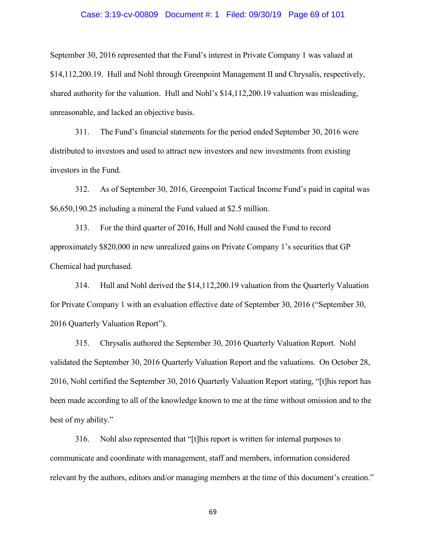#### Case: 3:19-cv-00809 Document #: 1 Filed: 09/30/19 Page 69 of 101

September 30, 2016 represented that the Fund's interest in Private Company 1 was valued at \$14,112,200.19. Hull and Nohl through Greenpoint Management II and Chrysalis, respectively, shared authority for the valuation. Hull and Nohl's \$14,112,200.19 valuation was misleading, unreasonable, and lacked an objective basis.

311. The Fund's financial statements for the period ended September 30, 2016 were distributed to investors and used to attract new investors and new investments from existing investors in the Fund.

312. As of September 30, 2016, Greenpoint Tactical Income Fund's paid in capital was \$6,650,190.25 including a mineral the Fund valued at \$2.5 million.

313. For the third quarter of 2016, Hull and Nohl caused the Fund to record approximately \$820,000 in new unrealized gains on Private Company 1's securities that GP Chemical had purchased.

314. Hull and Nohl derived the \$14,112,200.19 valuation from the Quarterly Valuation for Private Company 1 with an evaluation effective date of September 30, 2016 ("September 30, 2016 Quarterly Valuation Report").

315. Chrysalis authored the September 30, 2016 Quarterly Valuation Report. Nohl validated the September 30, 2016 Quarterly Valuation Report and the valuations. On October 28, 2016, Nohl certified the September 30, 2016 Quarterly Valuation Report stating, "[t]his report has been made according to all of the knowledge known to me at the time without omission and to the best of my ability."

316. Nohl also represented that "[t]his report is written for internal purposes to communicate and coordinate with management, staff and members, information considered relevant by the authors, editors and/or managing members at the time of this document's creation."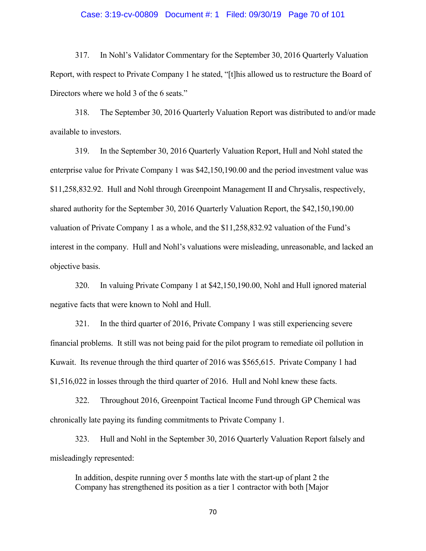### Case: 3:19-cv-00809 Document #: 1 Filed: 09/30/19 Page 70 of 101

317. In Nohl's Validator Commentary for the September 30, 2016 Quarterly Valuation Report, with respect to Private Company 1 he stated, "[t]his allowed us to restructure the Board of Directors where we hold 3 of the 6 seats."

318. The September 30, 2016 Quarterly Valuation Report was distributed to and/or made available to investors.

319. In the September 30, 2016 Quarterly Valuation Report, Hull and Nohl stated the enterprise value for Private Company 1 was \$42,150,190.00 and the period investment value was \$11,258,832.92. Hull and Nohl through Greenpoint Management II and Chrysalis, respectively, shared authority for the September 30, 2016 Quarterly Valuation Report, the \$42,150,190.00 valuation of Private Company 1 as a whole, and the \$11,258,832.92 valuation of the Fund's interest in the company. Hull and Nohl's valuations were misleading, unreasonable, and lacked an objective basis.

320. In valuing Private Company 1 at \$42,150,190.00, Nohl and Hull ignored material negative facts that were known to Nohl and Hull.

321. In the third quarter of 2016, Private Company 1 was still experiencing severe financial problems. It still was not being paid for the pilot program to remediate oil pollution in Kuwait. Its revenue through the third quarter of 2016 was \$565,615. Private Company 1 had \$1,516,022 in losses through the third quarter of 2016. Hull and Nohl knew these facts.

322. Throughout 2016, Greenpoint Tactical Income Fund through GP Chemical was chronically late paying its funding commitments to Private Company 1.

323. Hull and Nohl in the September 30, 2016 Quarterly Valuation Report falsely and misleadingly represented:

In addition, despite running over 5 months late with the start-up of plant 2 the Company has strengthened its position as a tier 1 contractor with both [Major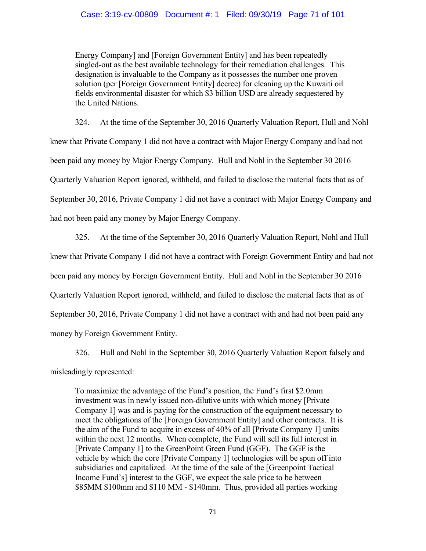## Case: 3:19-cv-00809 Document #: 1 Filed: 09/30/19 Page 71 of 101

Energy Company] and [Foreign Government Entity] and has been repeatedly singled-out as the best available technology for their remediation challenges. This designation is invaluable to the Company as it possesses the number one proven solution (per [Foreign Government Entity] decree) for cleaning up the Kuwaiti oil fields environmental disaster for which \$3 billion USD are already sequestered by the United Nations.

324. At the time of the September 30, 2016 Quarterly Valuation Report, Hull and Nohl knew that Private Company 1 did not have a contract with Major Energy Company and had not been paid any money by Major Energy Company. Hull and Nohl in the September 30 2016 Quarterly Valuation Report ignored, withheld, and failed to disclose the material facts that as of September 30, 2016, Private Company 1 did not have a contract with Major Energy Company and had not been paid any money by Major Energy Company.

325. At the time of the September 30, 2016 Quarterly Valuation Report, Nohl and Hull knew that Private Company 1 did not have a contract with Foreign Government Entity and had not been paid any money by Foreign Government Entity. Hull and Nohl in the September 30 2016 Quarterly Valuation Report ignored, withheld, and failed to disclose the material facts that as of September 30, 2016, Private Company 1 did not have a contract with and had not been paid any money by Foreign Government Entity.

326. Hull and Nohl in the September 30, 2016 Quarterly Valuation Report falsely and misleadingly represented:

To maximize the advantage of the Fund's position, the Fund's first \$2.0mm investment was in newly issued non-dilutive units with which money [Private Company 1] was and is paying for the construction of the equipment necessary to meet the obligations of the [Foreign Government Entity] and other contracts. It is the aim of the Fund to acquire in excess of 40% of all [Private Company 1] units within the next 12 months. When complete, the Fund will sell its full interest in [Private Company 1] to the GreenPoint Green Fund (GGF). The GGF is the vehicle by which the core [Private Company 1] technologies will be spun off into subsidiaries and capitalized. At the time of the sale of the [Greenpoint Tactical] Income Fund's] interest to the GGF, we expect the sale price to be between \$85MM \$100mm and \$110 MM - \$140mm. Thus, provided all parties working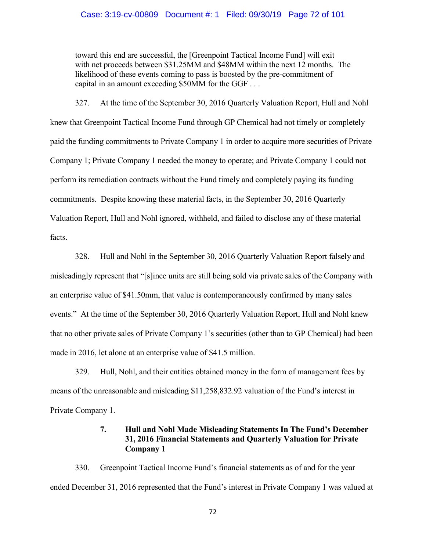### Case: 3:19-cv-00809 Document #: 1 Filed: 09/30/19 Page 72 of 101

toward this end are successful, the [Greenpoint Tactical Income Fund] will exit with net proceeds between \$31.25MM and \$48MM within the next 12 months. The likelihood of these events coming to pass is boosted by the pre-commitment of capital in an amount exceeding \$50MM for the GGF . . .

327. At the time of the September 30, 2016 Quarterly Valuation Report, Hull and Nohl knew that Greenpoint Tactical Income Fund through GP Chemical had not timely or completely paid the funding commitments to Private Company 1 in order to acquire more securities of Private Company 1; Private Company 1 needed the money to operate; and Private Company 1 could not perform its remediation contracts without the Fund timely and completely paying its funding commitments. Despite knowing these material facts, in the September 30, 2016 Quarterly Valuation Report, Hull and Nohl ignored, withheld, and failed to disclose any of these material facts.

328. Hull and Nohl in the September 30, 2016 Quarterly Valuation Report falsely and misleadingly represent that "[s]ince units are still being sold via private sales of the Company with an enterprise value of \$41.50mm, that value is contemporaneously confirmed by many sales events." At the time of the September 30, 2016 Quarterly Valuation Report, Hull and Nohl knew that no other private sales of Private Company 1's securities (other than to GP Chemical) had been made in 2016, let alone at an enterprise value of \$41.5 million.

329. Hull, Nohl, and their entities obtained money in the form of management fees by means of the unreasonable and misleading \$11,258,832.92 valuation of the Fund's interest in Private Company 1.

# **7. Hull and Nohl Made Misleading Statements In The Fund's December 31, 2016 Financial Statements and Quarterly Valuation for Private Company 1**

330. Greenpoint Tactical Income Fund's financial statements as of and for the year ended December 31, 2016 represented that the Fund's interest in Private Company 1 was valued at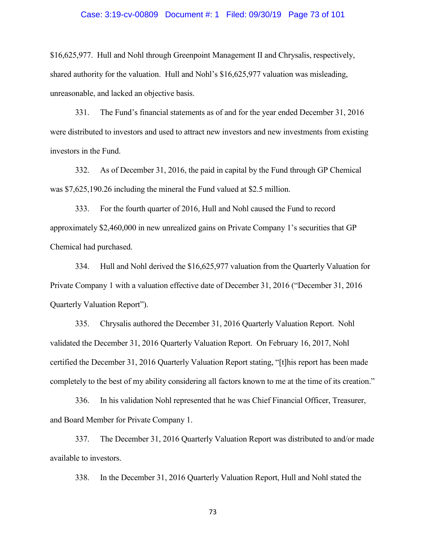## Case: 3:19-cv-00809 Document #: 1 Filed: 09/30/19 Page 73 of 101

\$16,625,977. Hull and Nohl through Greenpoint Management II and Chrysalis, respectively, shared authority for the valuation. Hull and Nohl's \$16,625,977 valuation was misleading, unreasonable, and lacked an objective basis.

331. The Fund's financial statements as of and for the year ended December 31, 2016 were distributed to investors and used to attract new investors and new investments from existing investors in the Fund.

332. As of December 31, 2016, the paid in capital by the Fund through GP Chemical was \$7,625,190.26 including the mineral the Fund valued at \$2.5 million.

333. For the fourth quarter of 2016, Hull and Nohl caused the Fund to record approximately \$2,460,000 in new unrealized gains on Private Company 1's securities that GP Chemical had purchased.

334. Hull and Nohl derived the \$16,625,977 valuation from the Quarterly Valuation for Private Company 1 with a valuation effective date of December 31, 2016 ("December 31, 2016 Quarterly Valuation Report").

335. Chrysalis authored the December 31, 2016 Quarterly Valuation Report. Nohl validated the December 31, 2016 Quarterly Valuation Report. On February 16, 2017, Nohl certified the December 31, 2016 Quarterly Valuation Report stating, "[t]his report has been made completely to the best of my ability considering all factors known to me at the time of its creation."

336. In his validation Nohl represented that he was Chief Financial Officer, Treasurer, and Board Member for Private Company 1.

337. The December 31, 2016 Quarterly Valuation Report was distributed to and/or made available to investors.

338. In the December 31, 2016 Quarterly Valuation Report, Hull and Nohl stated the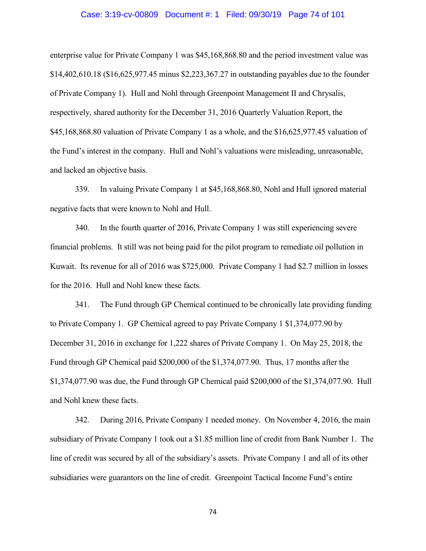## Case: 3:19-cv-00809 Document #: 1 Filed: 09/30/19 Page 74 of 101

enterprise value for Private Company 1 was \$45,168,868.80 and the period investment value was \$14,402,610.18 (\$16,625,977.45 minus \$2,223,367.27 in outstanding payables due to the founder of Private Company 1). Hull and Nohl through Greenpoint Management II and Chrysalis, respectively, shared authority for the December 31, 2016 Quarterly Valuation Report, the \$45,168,868.80 valuation of Private Company 1 as a whole, and the \$16,625,977.45 valuation of the Fund's interest in the company. Hull and Nohl's valuations were misleading, unreasonable, and lacked an objective basis.

339. In valuing Private Company 1 at \$45,168,868.80, Nohl and Hull ignored material negative facts that were known to Nohl and Hull.

340. In the fourth quarter of 2016, Private Company 1 was still experiencing severe financial problems. It still was not being paid for the pilot program to remediate oil pollution in Kuwait. Its revenue for all of 2016 was \$725,000. Private Company 1 had \$2.7 million in losses for the 2016. Hull and Nohl knew these facts.

341. The Fund through GP Chemical continued to be chronically late providing funding to Private Company 1. GP Chemical agreed to pay Private Company 1 \$1,374,077.90 by December 31, 2016 in exchange for 1,222 shares of Private Company 1. On May 25, 2018, the Fund through GP Chemical paid \$200,000 of the \$1,374,077.90. Thus, 17 months after the \$1,374,077.90 was due, the Fund through GP Chemical paid \$200,000 of the \$1,374,077.90. Hull and Nohl knew these facts.

342. During 2016, Private Company 1 needed money. On November 4, 2016, the main subsidiary of Private Company 1 took out a \$1.85 million line of credit from Bank Number 1. The line of credit was secured by all of the subsidiary's assets. Private Company 1 and all of its other subsidiaries were guarantors on the line of credit. Greenpoint Tactical Income Fund's entire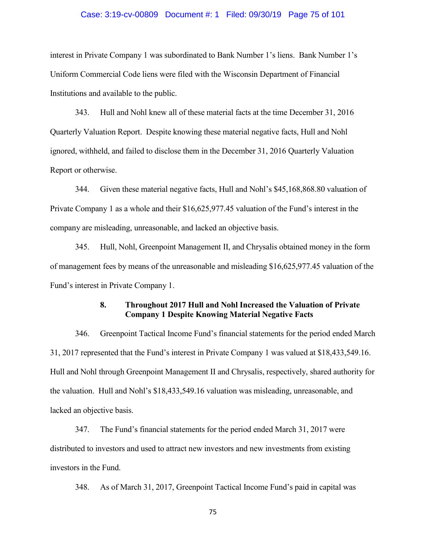## Case: 3:19-cv-00809 Document #: 1 Filed: 09/30/19 Page 75 of 101

interest in Private Company 1 was subordinated to Bank Number 1's liens. Bank Number 1's Uniform Commercial Code liens were filed with the Wisconsin Department of Financial Institutions and available to the public.

343. Hull and Nohl knew all of these material facts at the time December 31, 2016 Quarterly Valuation Report. Despite knowing these material negative facts, Hull and Nohl ignored, withheld, and failed to disclose them in the December 31, 2016 Quarterly Valuation Report or otherwise.

344. Given these material negative facts, Hull and Nohl's \$45,168,868.80 valuation of Private Company 1 as a whole and their \$16,625,977.45 valuation of the Fund's interest in the company are misleading, unreasonable, and lacked an objective basis.

345. Hull, Nohl, Greenpoint Management II, and Chrysalis obtained money in the form of management fees by means of the unreasonable and misleading \$16,625,977.45 valuation of the Fund's interest in Private Company 1.

# **8. Throughout 2017 Hull and Nohl Increased the Valuation of Private Company 1 Despite Knowing Material Negative Facts**

346. Greenpoint Tactical Income Fund's financial statements for the period ended March 31, 2017 represented that the Fund's interest in Private Company 1 was valued at \$18,433,549.16. Hull and Nohl through Greenpoint Management II and Chrysalis, respectively, shared authority for the valuation. Hull and Nohl's \$18,433,549.16 valuation was misleading, unreasonable, and lacked an objective basis.

347. The Fund's financial statements for the period ended March 31, 2017 were distributed to investors and used to attract new investors and new investments from existing investors in the Fund.

348. As of March 31, 2017, Greenpoint Tactical Income Fund's paid in capital was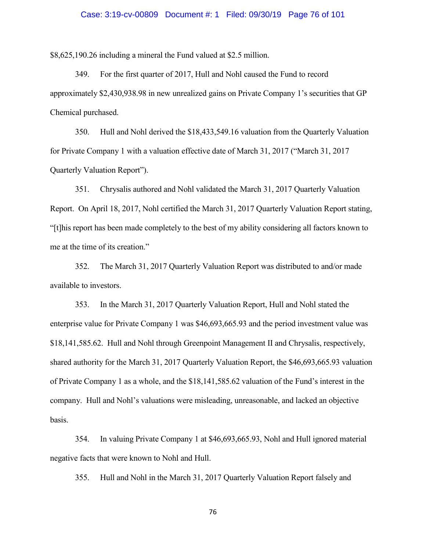#### Case: 3:19-cv-00809 Document #: 1 Filed: 09/30/19 Page 76 of 101

\$8,625,190.26 including a mineral the Fund valued at \$2.5 million.

349. For the first quarter of 2017, Hull and Nohl caused the Fund to record approximately \$2,430,938.98 in new unrealized gains on Private Company 1's securities that GP Chemical purchased.

350. Hull and Nohl derived the \$18,433,549.16 valuation from the Quarterly Valuation for Private Company 1 with a valuation effective date of March 31, 2017 ("March 31, 2017 Quarterly Valuation Report").

351. Chrysalis authored and Nohl validated the March 31, 2017 Quarterly Valuation Report. On April 18, 2017, Nohl certified the March 31, 2017 Quarterly Valuation Report stating, "[t]his report has been made completely to the best of my ability considering all factors known to me at the time of its creation."

352. The March 31, 2017 Quarterly Valuation Report was distributed to and/or made available to investors.

353. In the March 31, 2017 Quarterly Valuation Report, Hull and Nohl stated the enterprise value for Private Company 1 was \$46,693,665.93 and the period investment value was \$18,141,585.62. Hull and Nohl through Greenpoint Management II and Chrysalis, respectively, shared authority for the March 31, 2017 Quarterly Valuation Report, the \$46,693,665.93 valuation of Private Company 1 as a whole, and the \$18,141,585.62 valuation of the Fund's interest in the company. Hull and Nohl's valuations were misleading, unreasonable, and lacked an objective basis.

354. In valuing Private Company 1 at \$46,693,665.93, Nohl and Hull ignored material negative facts that were known to Nohl and Hull.

355. Hull and Nohl in the March 31, 2017 Quarterly Valuation Report falsely and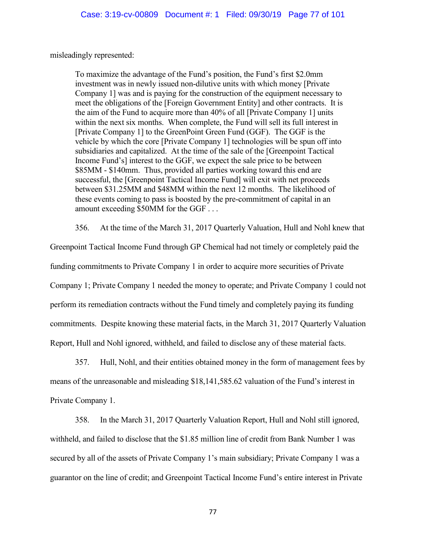misleadingly represented:

To maximize the advantage of the Fund's position, the Fund's first \$2.0mm investment was in newly issued non-dilutive units with which money [Private Company 1] was and is paying for the construction of the equipment necessary to meet the obligations of the [Foreign Government Entity] and other contracts. It is the aim of the Fund to acquire more than 40% of all [Private Company 1] units within the next six months. When complete, the Fund will sell its full interest in [Private Company 1] to the GreenPoint Green Fund (GGF). The GGF is the vehicle by which the core [Private Company 1] technologies will be spun off into subsidiaries and capitalized. At the time of the sale of the [Greenpoint Tactical Income Fund's] interest to the GGF, we expect the sale price to be between \$85MM - \$140mm. Thus, provided all parties working toward this end are successful, the [Greenpoint Tactical Income Fund] will exit with net proceeds between \$31.25MM and \$48MM within the next 12 months. The likelihood of these events coming to pass is boosted by the pre-commitment of capital in an amount exceeding \$50MM for the GGF . . .

356. At the time of the March 31, 2017 Quarterly Valuation, Hull and Nohl knew that Greenpoint Tactical Income Fund through GP Chemical had not timely or completely paid the funding commitments to Private Company 1 in order to acquire more securities of Private Company 1; Private Company 1 needed the money to operate; and Private Company 1 could not perform its remediation contracts without the Fund timely and completely paying its funding commitments. Despite knowing these material facts, in the March 31, 2017 Quarterly Valuation

Report, Hull and Nohl ignored, withheld, and failed to disclose any of these material facts.

357. Hull, Nohl, and their entities obtained money in the form of management fees by means of the unreasonable and misleading \$18,141,585.62 valuation of the Fund's interest in Private Company 1.

358. In the March 31, 2017 Quarterly Valuation Report, Hull and Nohl still ignored, withheld, and failed to disclose that the \$1.85 million line of credit from Bank Number 1 was secured by all of the assets of Private Company 1's main subsidiary; Private Company 1 was a guarantor on the line of credit; and Greenpoint Tactical Income Fund's entire interest in Private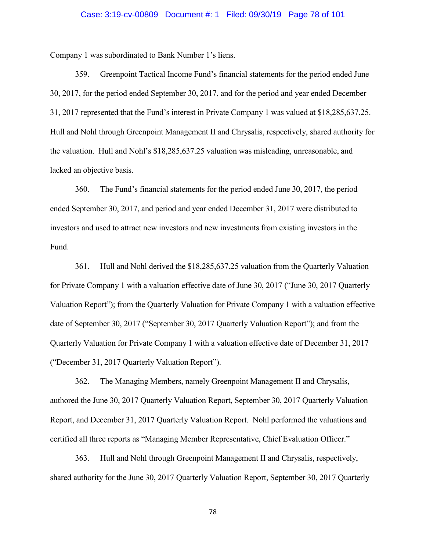#### Case: 3:19-cv-00809 Document #: 1 Filed: 09/30/19 Page 78 of 101

Company 1 was subordinated to Bank Number 1's liens.

359. Greenpoint Tactical Income Fund's financial statements for the period ended June 30, 2017, for the period ended September 30, 2017, and for the period and year ended December 31, 2017 represented that the Fund's interest in Private Company 1 was valued at \$18,285,637.25. Hull and Nohl through Greenpoint Management II and Chrysalis, respectively, shared authority for the valuation. Hull and Nohl's \$18,285,637.25 valuation was misleading, unreasonable, and lacked an objective basis.

360. The Fund's financial statements for the period ended June 30, 2017, the period ended September 30, 2017, and period and year ended December 31, 2017 were distributed to investors and used to attract new investors and new investments from existing investors in the Fund.

361. Hull and Nohl derived the \$18,285,637.25 valuation from the Quarterly Valuation for Private Company 1 with a valuation effective date of June 30, 2017 ("June 30, 2017 Quarterly Valuation Report"); from the Quarterly Valuation for Private Company 1 with a valuation effective date of September 30, 2017 ("September 30, 2017 Quarterly Valuation Report"); and from the Quarterly Valuation for Private Company 1 with a valuation effective date of December 31, 2017 ("December 31, 2017 Quarterly Valuation Report").

362. The Managing Members, namely Greenpoint Management II and Chrysalis, authored the June 30, 2017 Quarterly Valuation Report, September 30, 2017 Quarterly Valuation Report, and December 31, 2017 Quarterly Valuation Report. Nohl performed the valuations and certified all three reports as "Managing Member Representative, Chief Evaluation Officer."

363. Hull and Nohl through Greenpoint Management II and Chrysalis, respectively, shared authority for the June 30, 2017 Quarterly Valuation Report, September 30, 2017 Quarterly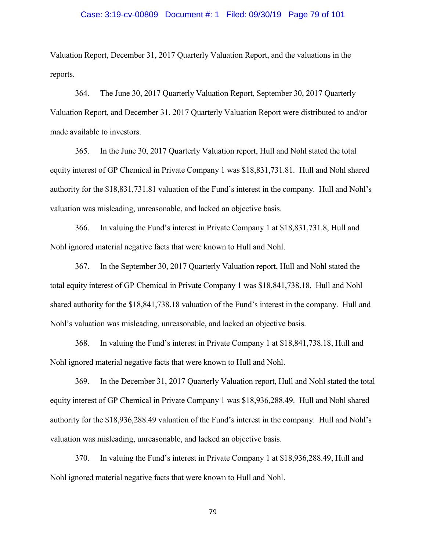#### Case: 3:19-cv-00809 Document #: 1 Filed: 09/30/19 Page 79 of 101

Valuation Report, December 31, 2017 Quarterly Valuation Report, and the valuations in the reports.

364. The June 30, 2017 Quarterly Valuation Report, September 30, 2017 Quarterly Valuation Report, and December 31, 2017 Quarterly Valuation Report were distributed to and/or made available to investors.

365. In the June 30, 2017 Quarterly Valuation report, Hull and Nohl stated the total equity interest of GP Chemical in Private Company 1 was \$18,831,731.81. Hull and Nohl shared authority for the \$18,831,731.81 valuation of the Fund's interest in the company. Hull and Nohl's valuation was misleading, unreasonable, and lacked an objective basis.

366. In valuing the Fund's interest in Private Company 1 at \$18,831,731.8, Hull and Nohl ignored material negative facts that were known to Hull and Nohl.

367. In the September 30, 2017 Quarterly Valuation report, Hull and Nohl stated the total equity interest of GP Chemical in Private Company 1 was \$18,841,738.18. Hull and Nohl shared authority for the \$18,841,738.18 valuation of the Fund's interest in the company. Hull and Nohl's valuation was misleading, unreasonable, and lacked an objective basis.

368. In valuing the Fund's interest in Private Company 1 at \$18,841,738.18, Hull and Nohl ignored material negative facts that were known to Hull and Nohl.

369. In the December 31, 2017 Quarterly Valuation report, Hull and Nohl stated the total equity interest of GP Chemical in Private Company 1 was \$18,936,288.49. Hull and Nohl shared authority for the \$18,936,288.49 valuation of the Fund's interest in the company. Hull and Nohl's valuation was misleading, unreasonable, and lacked an objective basis.

370. In valuing the Fund's interest in Private Company 1 at \$18,936,288.49, Hull and Nohl ignored material negative facts that were known to Hull and Nohl.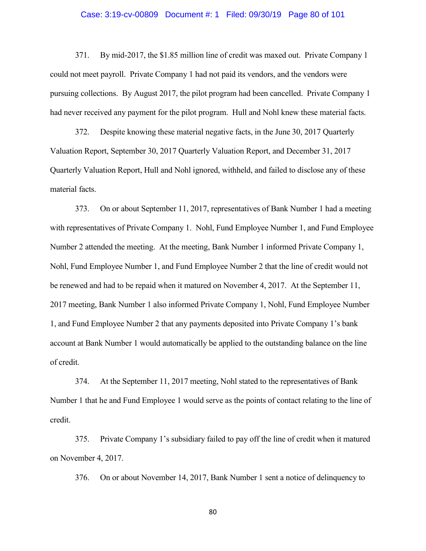#### Case: 3:19-cv-00809 Document #: 1 Filed: 09/30/19 Page 80 of 101

371. By mid-2017, the \$1.85 million line of credit was maxed out. Private Company 1 could not meet payroll. Private Company 1 had not paid its vendors, and the vendors were pursuing collections. By August 2017, the pilot program had been cancelled. Private Company 1 had never received any payment for the pilot program. Hull and Nohl knew these material facts.

372. Despite knowing these material negative facts, in the June 30, 2017 Quarterly Valuation Report, September 30, 2017 Quarterly Valuation Report, and December 31, 2017 Quarterly Valuation Report, Hull and Nohl ignored, withheld, and failed to disclose any of these material facts.

373. On or about September 11, 2017, representatives of Bank Number 1 had a meeting with representatives of Private Company 1. Nohl, Fund Employee Number 1, and Fund Employee Number 2 attended the meeting. At the meeting, Bank Number 1 informed Private Company 1, Nohl, Fund Employee Number 1, and Fund Employee Number 2 that the line of credit would not be renewed and had to be repaid when it matured on November 4, 2017. At the September 11, 2017 meeting, Bank Number 1 also informed Private Company 1, Nohl, Fund Employee Number 1, and Fund Employee Number 2 that any payments deposited into Private Company 1's bank account at Bank Number 1 would automatically be applied to the outstanding balance on the line of credit.

374. At the September 11, 2017 meeting, Nohl stated to the representatives of Bank Number 1 that he and Fund Employee 1 would serve as the points of contact relating to the line of credit.

375. Private Company 1's subsidiary failed to pay off the line of credit when it matured on November 4, 2017.

376. On or about November 14, 2017, Bank Number 1 sent a notice of delinquency to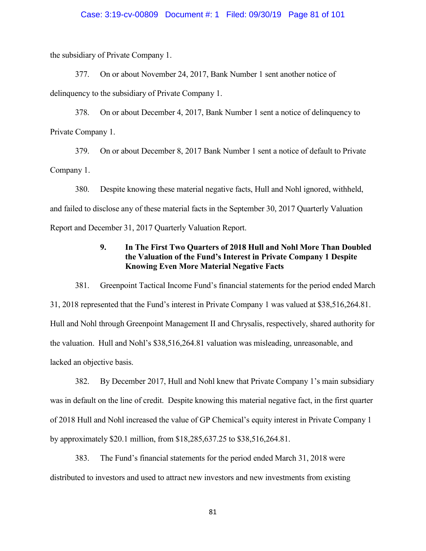the subsidiary of Private Company 1.

377. On or about November 24, 2017, Bank Number 1 sent another notice of delinquency to the subsidiary of Private Company 1.

378. On or about December 4, 2017, Bank Number 1 sent a notice of delinquency to Private Company 1.

379. On or about December 8, 2017 Bank Number 1 sent a notice of default to Private Company 1.

380. Despite knowing these material negative facts, Hull and Nohl ignored, withheld, and failed to disclose any of these material facts in the September 30, 2017 Quarterly Valuation Report and December 31, 2017 Quarterly Valuation Report.

# **9. In The First Two Quarters of 2018 Hull and Nohl More Than Doubled the Valuation of the Fund's Interest in Private Company 1 Despite Knowing Even More Material Negative Facts**

381. Greenpoint Tactical Income Fund's financial statements for the period ended March 31, 2018 represented that the Fund's interest in Private Company 1 was valued at \$38,516,264.81. Hull and Nohl through Greenpoint Management II and Chrysalis, respectively, shared authority for the valuation. Hull and Nohl's \$38,516,264.81 valuation was misleading, unreasonable, and lacked an objective basis.

382. By December 2017, Hull and Nohl knew that Private Company 1's main subsidiary was in default on the line of credit. Despite knowing this material negative fact, in the first quarter of 2018 Hull and Nohl increased the value of GP Chemical's equity interest in Private Company 1 by approximately \$20.1 million, from \$18,285,637.25 to \$38,516,264.81.

383. The Fund's financial statements for the period ended March 31, 2018 were distributed to investors and used to attract new investors and new investments from existing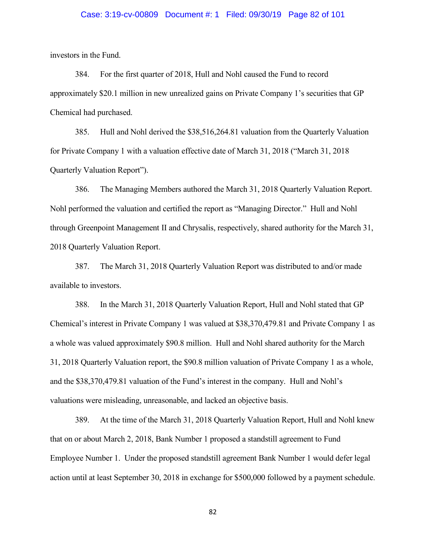#### Case: 3:19-cv-00809 Document #: 1 Filed: 09/30/19 Page 82 of 101

investors in the Fund.

384. For the first quarter of 2018, Hull and Nohl caused the Fund to record approximately \$20.1 million in new unrealized gains on Private Company 1's securities that GP Chemical had purchased.

385. Hull and Nohl derived the \$38,516,264.81 valuation from the Quarterly Valuation for Private Company 1 with a valuation effective date of March 31, 2018 ("March 31, 2018 Quarterly Valuation Report").

386. The Managing Members authored the March 31, 2018 Quarterly Valuation Report. Nohl performed the valuation and certified the report as "Managing Director." Hull and Nohl through Greenpoint Management II and Chrysalis, respectively, shared authority for the March 31, 2018 Quarterly Valuation Report.

387. The March 31, 2018 Quarterly Valuation Report was distributed to and/or made available to investors.

388. In the March 31, 2018 Quarterly Valuation Report, Hull and Nohl stated that GP Chemical's interest in Private Company 1 was valued at \$38,370,479.81 and Private Company 1 as a whole was valued approximately \$90.8 million. Hull and Nohl shared authority for the March 31, 2018 Quarterly Valuation report, the \$90.8 million valuation of Private Company 1 as a whole, and the \$38,370,479.81 valuation of the Fund's interest in the company. Hull and Nohl's valuations were misleading, unreasonable, and lacked an objective basis.

389. At the time of the March 31, 2018 Quarterly Valuation Report, Hull and Nohl knew that on or about March 2, 2018, Bank Number 1 proposed a standstill agreement to Fund Employee Number 1. Under the proposed standstill agreement Bank Number 1 would defer legal action until at least September 30, 2018 in exchange for \$500,000 followed by a payment schedule.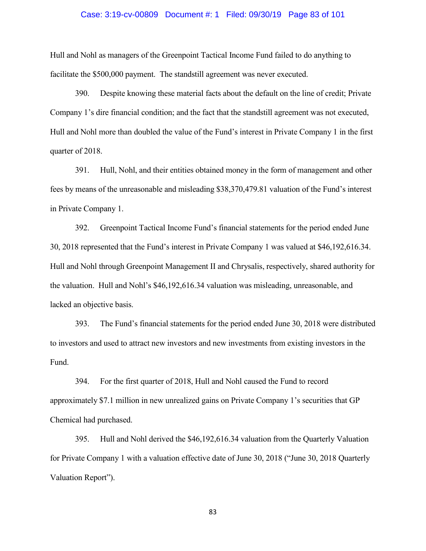#### Case: 3:19-cv-00809 Document #: 1 Filed: 09/30/19 Page 83 of 101

Hull and Nohl as managers of the Greenpoint Tactical Income Fund failed to do anything to facilitate the \$500,000 payment. The standstill agreement was never executed.

390. Despite knowing these material facts about the default on the line of credit; Private Company 1's dire financial condition; and the fact that the standstill agreement was not executed, Hull and Nohl more than doubled the value of the Fund's interest in Private Company 1 in the first quarter of 2018.

391. Hull, Nohl, and their entities obtained money in the form of management and other fees by means of the unreasonable and misleading \$38,370,479.81 valuation of the Fund's interest in Private Company 1.

392. Greenpoint Tactical Income Fund's financial statements for the period ended June 30, 2018 represented that the Fund's interest in Private Company 1 was valued at \$46,192,616.34. Hull and Nohl through Greenpoint Management II and Chrysalis, respectively, shared authority for the valuation. Hull and Nohl's \$46,192,616.34 valuation was misleading, unreasonable, and lacked an objective basis.

393. The Fund's financial statements for the period ended June 30, 2018 were distributed to investors and used to attract new investors and new investments from existing investors in the Fund.

394. For the first quarter of 2018, Hull and Nohl caused the Fund to record approximately \$7.1 million in new unrealized gains on Private Company 1's securities that GP Chemical had purchased.

395. Hull and Nohl derived the \$46,192,616.34 valuation from the Quarterly Valuation for Private Company 1 with a valuation effective date of June 30, 2018 ("June 30, 2018 Quarterly Valuation Report").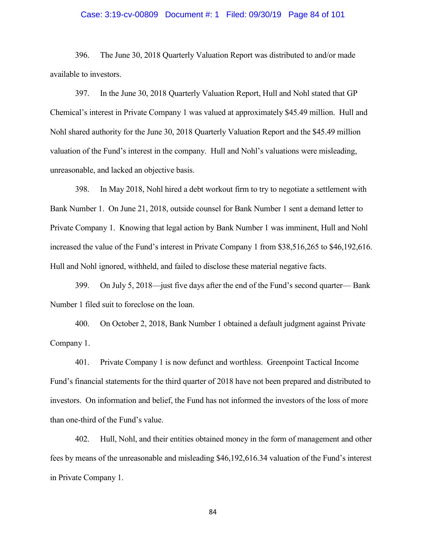## Case: 3:19-cv-00809 Document #: 1 Filed: 09/30/19 Page 84 of 101

396. The June 30, 2018 Quarterly Valuation Report was distributed to and/or made available to investors.

397. In the June 30, 2018 Quarterly Valuation Report, Hull and Nohl stated that GP Chemical's interest in Private Company 1 was valued at approximately \$45.49 million. Hull and Nohl shared authority for the June 30, 2018 Quarterly Valuation Report and the \$45.49 million valuation of the Fund's interest in the company. Hull and Nohl's valuations were misleading, unreasonable, and lacked an objective basis.

398. In May 2018, Nohl hired a debt workout firm to try to negotiate a settlement with Bank Number 1. On June 21, 2018, outside counsel for Bank Number 1 sent a demand letter to Private Company 1. Knowing that legal action by Bank Number 1 was imminent, Hull and Nohl increased the value of the Fund's interest in Private Company 1 from \$38,516,265 to \$46,192,616. Hull and Nohl ignored, withheld, and failed to disclose these material negative facts.

399. On July 5, 2018—just five days after the end of the Fund's second quarter— Bank Number 1 filed suit to foreclose on the loan.

400. On October 2, 2018, Bank Number 1 obtained a default judgment against Private Company 1.

401. Private Company 1 is now defunct and worthless. Greenpoint Tactical Income Fund's financial statements for the third quarter of 2018 have not been prepared and distributed to investors. On information and belief, the Fund has not informed the investors of the loss of more than one-third of the Fund's value.

402. Hull, Nohl, and their entities obtained money in the form of management and other fees by means of the unreasonable and misleading \$46,192,616.34 valuation of the Fund's interest in Private Company 1.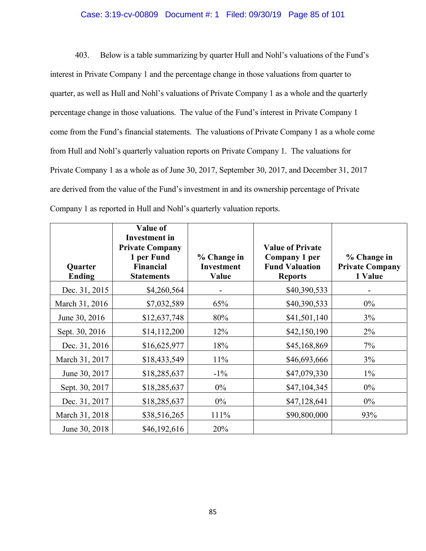## Case: 3:19-cv-00809 Document #: 1 Filed: 09/30/19 Page 85 of 101

403. Below is a table summarizing by quarter Hull and Nohl's valuations of the Fund's interest in Private Company 1 and the percentage change in those valuations from quarter to quarter, as well as Hull and Nohl's valuations of Private Company 1 as a whole and the quarterly percentage change in those valuations. The value of the Fund's interest in Private Company 1 come from the Fund's financial statements. The valuations of Private Company 1 as a whole come from Hull and Nohl's quarterly valuation reports on Private Company 1. The valuations for Private Company 1 as a whole as of June 30, 2017, September 30, 2017, and December 31, 2017 are derived from the value of the Fund's investment in and its ownership percentage of Private Company 1 as reported in Hull and Nohl's quarterly valuation reports.

| Quarter<br><b>Ending</b> | <b>Value of</b><br><b>Investment</b> in<br><b>Private Company</b><br>1 per Fund<br><b>Financial</b><br><b>Statements</b> | % Change in<br><b>Investment</b><br>Value | <b>Value of Private</b><br>Company 1 per<br><b>Fund Valuation</b><br><b>Reports</b> | % Change in<br><b>Private Company</b><br>1 Value |
|--------------------------|--------------------------------------------------------------------------------------------------------------------------|-------------------------------------------|-------------------------------------------------------------------------------------|--------------------------------------------------|
| Dec. 31, 2015            | \$4,260,564                                                                                                              |                                           | \$40,390,533                                                                        |                                                  |
| March 31, 2016           | \$7,032,589                                                                                                              | 65%                                       | \$40,390,533                                                                        | $0\%$                                            |
| June 30, 2016            | \$12,637,748                                                                                                             | 80%                                       | \$41,501,140                                                                        | 3%                                               |
| Sept. 30, 2016           | \$14,112,200                                                                                                             | 12%                                       | \$42,150,190                                                                        | 2%                                               |
| Dec. 31, 2016            | \$16,625,977                                                                                                             | 18%                                       | \$45,168,869                                                                        | 7%                                               |
| March 31, 2017           | \$18,433,549                                                                                                             | 11%                                       | \$46,693,666                                                                        | 3%                                               |
| June 30, 2017            | \$18,285,637                                                                                                             | $-1\%$                                    | \$47,079,330                                                                        | $1\%$                                            |
| Sept. 30, 2017           | \$18,285,637                                                                                                             | $0\%$                                     | \$47,104,345                                                                        | $0\%$                                            |
| Dec. 31, 2017            | \$18,285,637                                                                                                             | $0\%$                                     | \$47,128,641                                                                        | $0\%$                                            |
| March 31, 2018           | \$38,516,265                                                                                                             | 111%                                      | \$90,800,000                                                                        | 93%                                              |
| June 30, 2018            | \$46,192,616                                                                                                             | 20%                                       |                                                                                     |                                                  |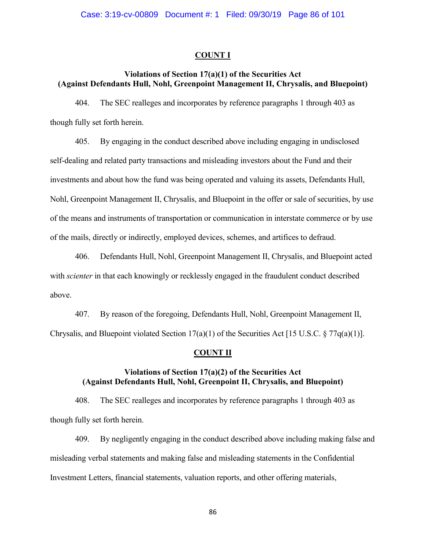### **COUNT I**

# **Violations of Section 17(a)(1) of the Securities Act (Against Defendants Hull, Nohl, Greenpoint Management II, Chrysalis, and Bluepoint)**

404. The SEC realleges and incorporates by reference paragraphs 1 through 403 as though fully set forth herein.

405. By engaging in the conduct described above including engaging in undisclosed self-dealing and related party transactions and misleading investors about the Fund and their investments and about how the fund was being operated and valuing its assets, Defendants Hull, Nohl, Greenpoint Management II, Chrysalis, and Bluepoint in the offer or sale of securities, by use of the means and instruments of transportation or communication in interstate commerce or by use of the mails, directly or indirectly, employed devices, schemes, and artifices to defraud.

406. Defendants Hull, Nohl, Greenpoint Management II, Chrysalis, and Bluepoint acted with *scienter* in that each knowingly or recklessly engaged in the fraudulent conduct described above.

407. By reason of the foregoing, Defendants Hull, Nohl, Greenpoint Management II, Chrysalis, and Bluepoint violated Section 17(a)(1) of the Securities Act [15 U.S.C. § 77q(a)(1)].

# **COUNT II**

# **Violations of Section 17(a)(2) of the Securities Act (Against Defendants Hull, Nohl, Greenpoint II, Chrysalis, and Bluepoint)**

408. The SEC realleges and incorporates by reference paragraphs 1 through 403 as though fully set forth herein.

409. By negligently engaging in the conduct described above including making false and misleading verbal statements and making false and misleading statements in the Confidential Investment Letters, financial statements, valuation reports, and other offering materials,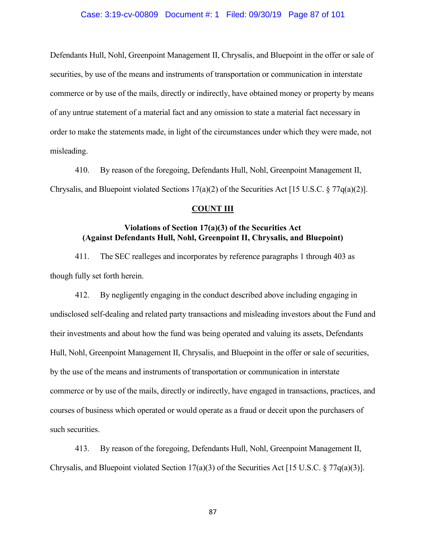## Case: 3:19-cv-00809 Document #: 1 Filed: 09/30/19 Page 87 of 101

Defendants Hull, Nohl, Greenpoint Management II, Chrysalis, and Bluepoint in the offer or sale of securities, by use of the means and instruments of transportation or communication in interstate commerce or by use of the mails, directly or indirectly, have obtained money or property by means of any untrue statement of a material fact and any omission to state a material fact necessary in order to make the statements made, in light of the circumstances under which they were made, not misleading.

410. By reason of the foregoing, Defendants Hull, Nohl, Greenpoint Management II, Chrysalis, and Bluepoint violated Sections 17(a)(2) of the Securities Act [15 U.S.C. § 77 $q(a)(2)$ ].

## **COUNT III**

# **Violations of Section 17(a)(3) of the Securities Act (Against Defendants Hull, Nohl, Greenpoint II, Chrysalis, and Bluepoint)**

411. The SEC realleges and incorporates by reference paragraphs 1 through 403 as though fully set forth herein.

412. By negligently engaging in the conduct described above including engaging in undisclosed self-dealing and related party transactions and misleading investors about the Fund and their investments and about how the fund was being operated and valuing its assets, Defendants Hull, Nohl, Greenpoint Management II, Chrysalis, and Bluepoint in the offer or sale of securities, by the use of the means and instruments of transportation or communication in interstate commerce or by use of the mails, directly or indirectly, have engaged in transactions, practices, and courses of business which operated or would operate as a fraud or deceit upon the purchasers of such securities.

413. By reason of the foregoing, Defendants Hull, Nohl, Greenpoint Management II, Chrysalis, and Bluepoint violated Section 17(a)(3) of the Securities Act [15 U.S.C. § 77q(a)(3)].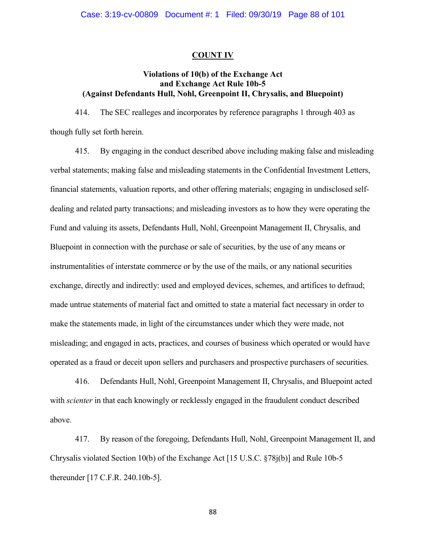## **COUNT IV**

# **Violations of 10(b) of the Exchange Act and Exchange Act Rule 10b-5 (Against Defendants Hull, Nohl, Greenpoint II, Chrysalis, and Bluepoint)**

414. The SEC realleges and incorporates by reference paragraphs 1 through 403 as though fully set forth herein.

415. By engaging in the conduct described above including making false and misleading verbal statements; making false and misleading statements in the Confidential Investment Letters, financial statements, valuation reports, and other offering materials; engaging in undisclosed selfdealing and related party transactions; and misleading investors as to how they were operating the Fund and valuing its assets, Defendants Hull, Nohl, Greenpoint Management II, Chrysalis, and Bluepoint in connection with the purchase or sale of securities, by the use of any means or instrumentalities of interstate commerce or by the use of the mails, or any national securities exchange, directly and indirectly: used and employed devices, schemes, and artifices to defraud; made untrue statements of material fact and omitted to state a material fact necessary in order to make the statements made, in light of the circumstances under which they were made, not misleading; and engaged in acts, practices, and courses of business which operated or would have operated as a fraud or deceit upon sellers and purchasers and prospective purchasers of securities.

416. Defendants Hull, Nohl, Greenpoint Management II, Chrysalis, and Bluepoint acted with *scienter* in that each knowingly or recklessly engaged in the fraudulent conduct described above.

417. By reason of the foregoing, Defendants Hull, Nohl, Greenpoint Management II, and Chrysalis violated Section 10(b) of the Exchange Act [15 U.S.C. §78j(b)] and Rule 10b-5 thereunder [17 C.F.R. 240.10b-5].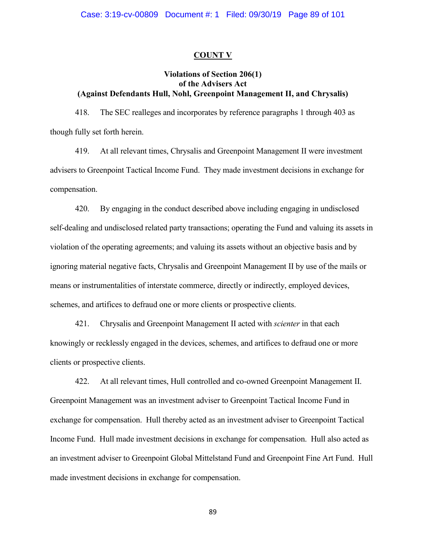## **COUNT V**

# **Violations of Section 206(1) of the Advisers Act (Against Defendants Hull, Nohl, Greenpoint Management II, and Chrysalis)**

418. The SEC realleges and incorporates by reference paragraphs 1 through 403 as though fully set forth herein.

419. At all relevant times, Chrysalis and Greenpoint Management II were investment advisers to Greenpoint Tactical Income Fund. They made investment decisions in exchange for compensation.

420. By engaging in the conduct described above including engaging in undisclosed self-dealing and undisclosed related party transactions; operating the Fund and valuing its assets in violation of the operating agreements; and valuing its assets without an objective basis and by ignoring material negative facts, Chrysalis and Greenpoint Management II by use of the mails or means or instrumentalities of interstate commerce, directly or indirectly, employed devices, schemes, and artifices to defraud one or more clients or prospective clients.

421. Chrysalis and Greenpoint Management II acted with *scienter* in that each knowingly or recklessly engaged in the devices, schemes, and artifices to defraud one or more clients or prospective clients.

422. At all relevant times, Hull controlled and co-owned Greenpoint Management II. Greenpoint Management was an investment adviser to Greenpoint Tactical Income Fund in exchange for compensation. Hull thereby acted as an investment adviser to Greenpoint Tactical Income Fund. Hull made investment decisions in exchange for compensation. Hull also acted as an investment adviser to Greenpoint Global Mittelstand Fund and Greenpoint Fine Art Fund. Hull made investment decisions in exchange for compensation.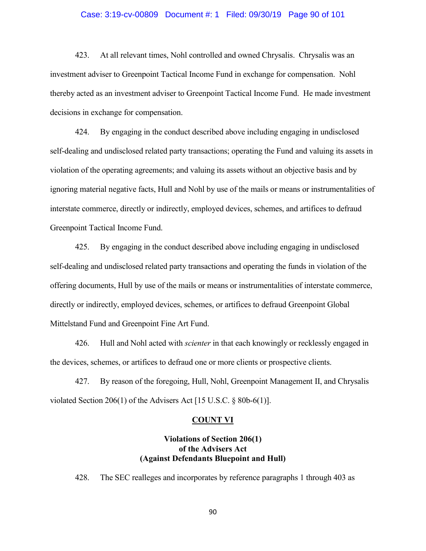#### Case: 3:19-cv-00809 Document #: 1 Filed: 09/30/19 Page 90 of 101

423. At all relevant times, Nohl controlled and owned Chrysalis. Chrysalis was an investment adviser to Greenpoint Tactical Income Fund in exchange for compensation. Nohl thereby acted as an investment adviser to Greenpoint Tactical Income Fund. He made investment decisions in exchange for compensation.

424. By engaging in the conduct described above including engaging in undisclosed self-dealing and undisclosed related party transactions; operating the Fund and valuing its assets in violation of the operating agreements; and valuing its assets without an objective basis and by ignoring material negative facts, Hull and Nohl by use of the mails or means or instrumentalities of interstate commerce, directly or indirectly, employed devices, schemes, and artifices to defraud Greenpoint Tactical Income Fund.

425. By engaging in the conduct described above including engaging in undisclosed self-dealing and undisclosed related party transactions and operating the funds in violation of the offering documents, Hull by use of the mails or means or instrumentalities of interstate commerce, directly or indirectly, employed devices, schemes, or artifices to defraud Greenpoint Global Mittelstand Fund and Greenpoint Fine Art Fund.

426. Hull and Nohl acted with *scienter* in that each knowingly or recklessly engaged in the devices, schemes, or artifices to defraud one or more clients or prospective clients.

427. By reason of the foregoing, Hull, Nohl, Greenpoint Management II, and Chrysalis violated Section 206(1) of the Advisers Act [15 U.S.C. § 80b-6(1)].

## **COUNT VI**

# **Violations of Section 206(1) of the Advisers Act (Against Defendants Bluepoint and Hull)**

428. The SEC realleges and incorporates by reference paragraphs 1 through 403 as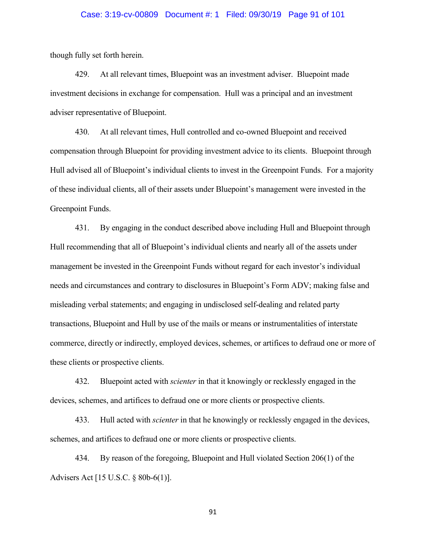#### Case: 3:19-cv-00809 Document #: 1 Filed: 09/30/19 Page 91 of 101

though fully set forth herein.

429. At all relevant times, Bluepoint was an investment adviser. Bluepoint made investment decisions in exchange for compensation. Hull was a principal and an investment adviser representative of Bluepoint.

430. At all relevant times, Hull controlled and co-owned Bluepoint and received compensation through Bluepoint for providing investment advice to its clients. Bluepoint through Hull advised all of Bluepoint's individual clients to invest in the Greenpoint Funds. For a majority of these individual clients, all of their assets under Bluepoint's management were invested in the Greenpoint Funds.

431. By engaging in the conduct described above including Hull and Bluepoint through Hull recommending that all of Bluepoint's individual clients and nearly all of the assets under management be invested in the Greenpoint Funds without regard for each investor's individual needs and circumstances and contrary to disclosures in Bluepoint's Form ADV; making false and misleading verbal statements; and engaging in undisclosed self-dealing and related party transactions, Bluepoint and Hull by use of the mails or means or instrumentalities of interstate commerce, directly or indirectly, employed devices, schemes, or artifices to defraud one or more of these clients or prospective clients.

432. Bluepoint acted with *scienter* in that it knowingly or recklessly engaged in the devices, schemes, and artifices to defraud one or more clients or prospective clients.

433. Hull acted with *scienter* in that he knowingly or recklessly engaged in the devices, schemes, and artifices to defraud one or more clients or prospective clients.

434. By reason of the foregoing, Bluepoint and Hull violated Section 206(1) of the Advisers Act [15 U.S.C. § 80b-6(1)].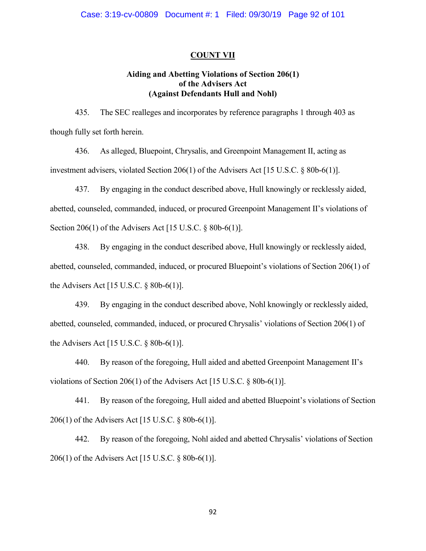## **COUNT VII**

# **Aiding and Abetting Violations of Section 206(1) of the Advisers Act (Against Defendants Hull and Nohl)**

435. The SEC realleges and incorporates by reference paragraphs 1 through 403 as though fully set forth herein.

436. As alleged, Bluepoint, Chrysalis, and Greenpoint Management II, acting as investment advisers, violated Section 206(1) of the Advisers Act [15 U.S.C. § 80b-6(1)].

437. By engaging in the conduct described above, Hull knowingly or recklessly aided, abetted, counseled, commanded, induced, or procured Greenpoint Management II's violations of Section 206(1) of the Advisers Act [15 U.S.C. § 80b-6(1)].

438. By engaging in the conduct described above, Hull knowingly or recklessly aided, abetted, counseled, commanded, induced, or procured Bluepoint's violations of Section 206(1) of the Advisers Act [15 U.S.C. § 80b-6(1)].

439. By engaging in the conduct described above, Nohl knowingly or recklessly aided, abetted, counseled, commanded, induced, or procured Chrysalis' violations of Section 206(1) of the Advisers Act [15 U.S.C. § 80b-6(1)].

440. By reason of the foregoing, Hull aided and abetted Greenpoint Management II's violations of Section 206(1) of the Advisers Act [15 U.S.C. § 80b-6(1)].

441. By reason of the foregoing, Hull aided and abetted Bluepoint's violations of Section 206(1) of the Advisers Act [15 U.S.C. § 80b-6(1)].

442. By reason of the foregoing, Nohl aided and abetted Chrysalis' violations of Section 206(1) of the Advisers Act [15 U.S.C. § 80b-6(1)].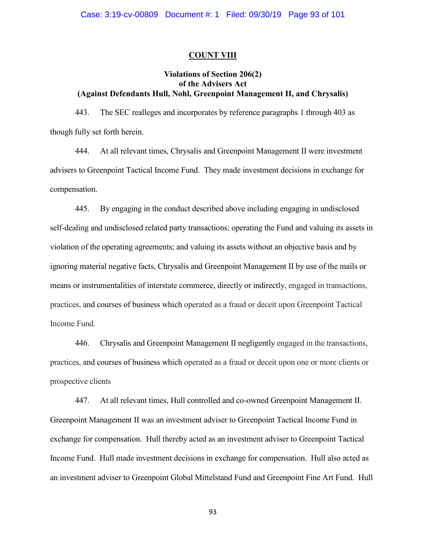## **COUNT VIII**

# **Violations of Section 206(2) of the Advisers Act (Against Defendants Hull, Nohl, Greenpoint Management II, and Chrysalis)**

443. The SEC realleges and incorporates by reference paragraphs 1 through 403 as though fully set forth herein.

444. At all relevant times, Chrysalis and Greenpoint Management II were investment advisers to Greenpoint Tactical Income Fund. They made investment decisions in exchange for compensation.

445. By engaging in the conduct described above including engaging in undisclosed self-dealing and undisclosed related party transactions; operating the Fund and valuing its assets in violation of the operating agreements; and valuing its assets without an objective basis and by ignoring material negative facts, Chrysalis and Greenpoint Management II by use of the mails or means or instrumentalities of interstate commerce, directly or indirectly, engaged in transactions, practices, and courses of business which operated as a fraud or deceit upon Greenpoint Tactical Income Fund.

446. Chrysalis and Greenpoint Management II negligently engaged in the transactions, practices, and courses of business which operated as a fraud or deceit upon one or more clients or prospective clients

447. At all relevant times, Hull controlled and co-owned Greenpoint Management II. Greenpoint Management II was an investment adviser to Greenpoint Tactical Income Fund in exchange for compensation. Hull thereby acted as an investment adviser to Greenpoint Tactical Income Fund. Hull made investment decisions in exchange for compensation. Hull also acted as an investment adviser to Greenpoint Global Mittelstand Fund and Greenpoint Fine Art Fund. Hull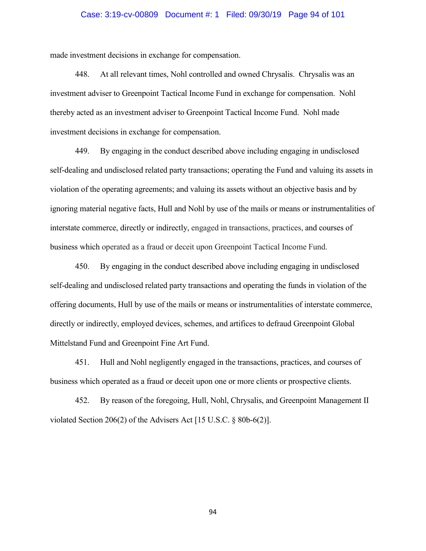## Case: 3:19-cv-00809 Document #: 1 Filed: 09/30/19 Page 94 of 101

made investment decisions in exchange for compensation.

448. At all relevant times, Nohl controlled and owned Chrysalis. Chrysalis was an investment adviser to Greenpoint Tactical Income Fund in exchange for compensation. Nohl thereby acted as an investment adviser to Greenpoint Tactical Income Fund. Nohl made investment decisions in exchange for compensation.

449. By engaging in the conduct described above including engaging in undisclosed self-dealing and undisclosed related party transactions; operating the Fund and valuing its assets in violation of the operating agreements; and valuing its assets without an objective basis and by ignoring material negative facts, Hull and Nohl by use of the mails or means or instrumentalities of interstate commerce, directly or indirectly, engaged in transactions, practices, and courses of business which operated as a fraud or deceit upon Greenpoint Tactical Income Fund.

450. By engaging in the conduct described above including engaging in undisclosed self-dealing and undisclosed related party transactions and operating the funds in violation of the offering documents, Hull by use of the mails or means or instrumentalities of interstate commerce, directly or indirectly, employed devices, schemes, and artifices to defraud Greenpoint Global Mittelstand Fund and Greenpoint Fine Art Fund.

451. Hull and Nohl negligently engaged in the transactions, practices, and courses of business which operated as a fraud or deceit upon one or more clients or prospective clients.

452. By reason of the foregoing, Hull, Nohl, Chrysalis, and Greenpoint Management II violated Section 206(2) of the Advisers Act [15 U.S.C. § 80b-6(2)].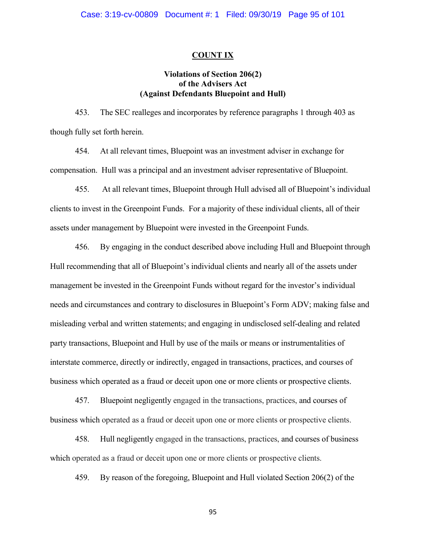#### **COUNT IX**

# **Violations of Section 206(2) of the Advisers Act (Against Defendants Bluepoint and Hull)**

453. The SEC realleges and incorporates by reference paragraphs 1 through 403 as though fully set forth herein.

454. At all relevant times, Bluepoint was an investment adviser in exchange for compensation. Hull was a principal and an investment adviser representative of Bluepoint.

455. At all relevant times, Bluepoint through Hull advised all of Bluepoint's individual clients to invest in the Greenpoint Funds. For a majority of these individual clients, all of their assets under management by Bluepoint were invested in the Greenpoint Funds.

456. By engaging in the conduct described above including Hull and Bluepoint through Hull recommending that all of Bluepoint's individual clients and nearly all of the assets under management be invested in the Greenpoint Funds without regard for the investor's individual needs and circumstances and contrary to disclosures in Bluepoint's Form ADV; making false and misleading verbal and written statements; and engaging in undisclosed self-dealing and related party transactions, Bluepoint and Hull by use of the mails or means or instrumentalities of interstate commerce, directly or indirectly, engaged in transactions, practices, and courses of business which operated as a fraud or deceit upon one or more clients or prospective clients.

457. Bluepoint negligently engaged in the transactions, practices, and courses of business which operated as a fraud or deceit upon one or more clients or prospective clients.

458. Hull negligently engaged in the transactions, practices, and courses of business which operated as a fraud or deceit upon one or more clients or prospective clients.

459. By reason of the foregoing, Bluepoint and Hull violated Section 206(2) of the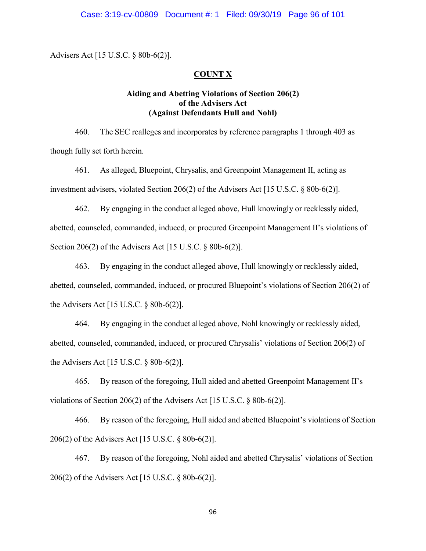Advisers Act [15 U.S.C. § 80b-6(2)].

## **COUNT X**

# **Aiding and Abetting Violations of Section 206(2) of the Advisers Act (Against Defendants Hull and Nohl)**

460. The SEC realleges and incorporates by reference paragraphs 1 through 403 as though fully set forth herein.

461. As alleged, Bluepoint, Chrysalis, and Greenpoint Management II, acting as investment advisers, violated Section 206(2) of the Advisers Act [15 U.S.C. § 80b-6(2)].

462. By engaging in the conduct alleged above, Hull knowingly or recklessly aided, abetted, counseled, commanded, induced, or procured Greenpoint Management II's violations of Section 206(2) of the Advisers Act [15 U.S.C. § 80b-6(2)].

463. By engaging in the conduct alleged above, Hull knowingly or recklessly aided, abetted, counseled, commanded, induced, or procured Bluepoint's violations of Section 206(2) of the Advisers Act [15 U.S.C. § 80b-6(2)].

464. By engaging in the conduct alleged above, Nohl knowingly or recklessly aided, abetted, counseled, commanded, induced, or procured Chrysalis' violations of Section 206(2) of the Advisers Act [15 U.S.C. § 80b-6(2)].

465. By reason of the foregoing, Hull aided and abetted Greenpoint Management II's violations of Section 206(2) of the Advisers Act [15 U.S.C. § 80b-6(2)].

466. By reason of the foregoing, Hull aided and abetted Bluepoint's violations of Section 206(2) of the Advisers Act [15 U.S.C. § 80b-6(2)].

467. By reason of the foregoing, Nohl aided and abetted Chrysalis' violations of Section 206(2) of the Advisers Act [15 U.S.C. § 80b-6(2)].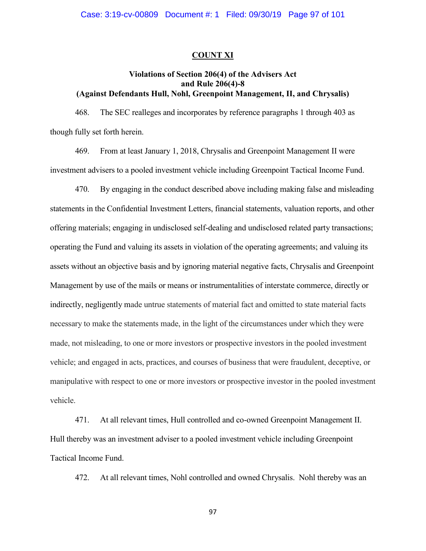### **COUNT XI**

## **Violations of Section 206(4) of the Advisers Act and Rule 206(4)-8 (Against Defendants Hull, Nohl, Greenpoint Management, II, and Chrysalis)**

468. The SEC realleges and incorporates by reference paragraphs 1 through 403 as though fully set forth herein.

469. From at least January 1, 2018, Chrysalis and Greenpoint Management II were investment advisers to a pooled investment vehicle including Greenpoint Tactical Income Fund.

470. By engaging in the conduct described above including making false and misleading statements in the Confidential Investment Letters, financial statements, valuation reports, and other offering materials; engaging in undisclosed self-dealing and undisclosed related party transactions; operating the Fund and valuing its assets in violation of the operating agreements; and valuing its assets without an objective basis and by ignoring material negative facts, Chrysalis and Greenpoint Management by use of the mails or means or instrumentalities of interstate commerce, directly or indirectly, negligently made untrue statements of material fact and omitted to state material facts necessary to make the statements made, in the light of the circumstances under which they were made, not misleading, to one or more investors or prospective investors in the pooled investment vehicle; and engaged in acts, practices, and courses of business that were fraudulent, deceptive, or manipulative with respect to one or more investors or prospective investor in the pooled investment vehicle.

471. At all relevant times, Hull controlled and co-owned Greenpoint Management II. Hull thereby was an investment adviser to a pooled investment vehicle including Greenpoint Tactical Income Fund.

472. At all relevant times, Nohl controlled and owned Chrysalis. Nohl thereby was an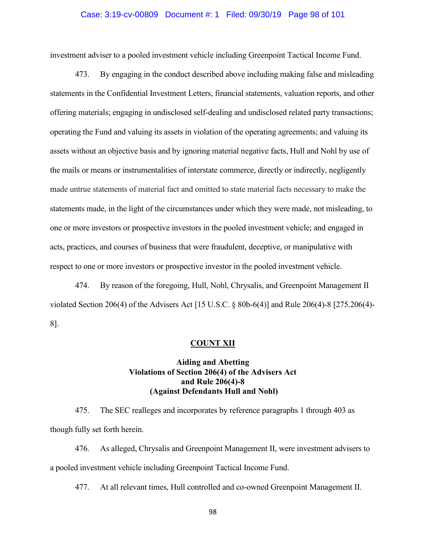## Case: 3:19-cv-00809 Document #: 1 Filed: 09/30/19 Page 98 of 101

investment adviser to a pooled investment vehicle including Greenpoint Tactical Income Fund.

473. By engaging in the conduct described above including making false and misleading statements in the Confidential Investment Letters, financial statements, valuation reports, and other offering materials; engaging in undisclosed self-dealing and undisclosed related party transactions; operating the Fund and valuing its assets in violation of the operating agreements; and valuing its assets without an objective basis and by ignoring material negative facts, Hull and Nohl by use of the mails or means or instrumentalities of interstate commerce, directly or indirectly, negligently made untrue statements of material fact and omitted to state material facts necessary to make the statements made, in the light of the circumstances under which they were made, not misleading, to one or more investors or prospective investors in the pooled investment vehicle; and engaged in acts, practices, and courses of business that were fraudulent, deceptive, or manipulative with respect to one or more investors or prospective investor in the pooled investment vehicle.

474. By reason of the foregoing, Hull, Nohl, Chrysalis, and Greenpoint Management II violated Section 206(4) of the Advisers Act [15 U.S.C. § 80b-6(4)] and Rule 206(4)-8 [275.206(4)- 8].

### **COUNT XII**

# **Aiding and Abetting Violations of Section 206(4) of the Advisers Act and Rule 206(4)-8 (Against Defendants Hull and Nohl)**

475. The SEC realleges and incorporates by reference paragraphs 1 through 403 as though fully set forth herein.

476. As alleged, Chrysalis and Greenpoint Management II, were investment advisers to a pooled investment vehicle including Greenpoint Tactical Income Fund.

477. At all relevant times, Hull controlled and co-owned Greenpoint Management II.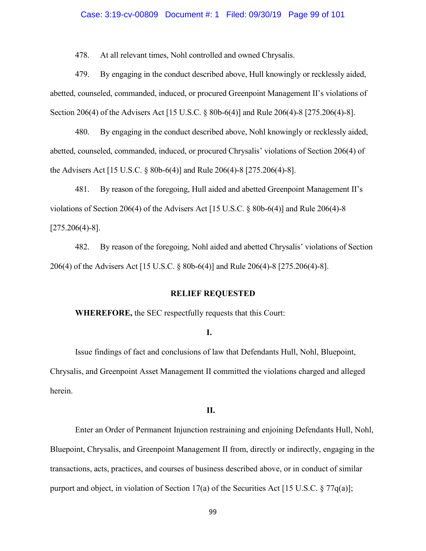#### Case: 3:19-cv-00809 Document #: 1 Filed: 09/30/19 Page 99 of 101

478. At all relevant times, Nohl controlled and owned Chrysalis.

479. By engaging in the conduct described above, Hull knowingly or recklessly aided, abetted, counseled, commanded, induced, or procured Greenpoint Management II's violations of Section 206(4) of the Advisers Act [15 U.S.C. § 80b-6(4)] and Rule 206(4)-8 [275.206(4)-8].

480. By engaging in the conduct described above, Nohl knowingly or recklessly aided, abetted, counseled, commanded, induced, or procured Chrysalis' violations of Section 206(4) of the Advisers Act [15 U.S.C. § 80b-6(4)] and Rule 206(4)-8 [275.206(4)-8].

481. By reason of the foregoing, Hull aided and abetted Greenpoint Management II's violations of Section 206(4) of the Advisers Act [15 U.S.C. § 80b-6(4)] and Rule 206(4)-8 [275.206(4)-8].

482. By reason of the foregoing, Nohl aided and abetted Chrysalis' violations of Section 206(4) of the Advisers Act [15 U.S.C. § 80b-6(4)] and Rule 206(4)-8 [275.206(4)-8].

#### **RELIEF REQUESTED**

**WHEREFORE,** the SEC respectfully requests that this Court:

#### **I.**

Issue findings of fact and conclusions of law that Defendants Hull, Nohl, Bluepoint, Chrysalis, and Greenpoint Asset Management II committed the violations charged and alleged herein.

# **II.**

Enter an Order of Permanent Injunction restraining and enjoining Defendants Hull, Nohl, Bluepoint, Chrysalis, and Greenpoint Management II from, directly or indirectly, engaging in the transactions, acts, practices, and courses of business described above, or in conduct of similar purport and object, in violation of Section 17(a) of the Securities Act [15 U.S.C.  $\S 77q(a)$ ];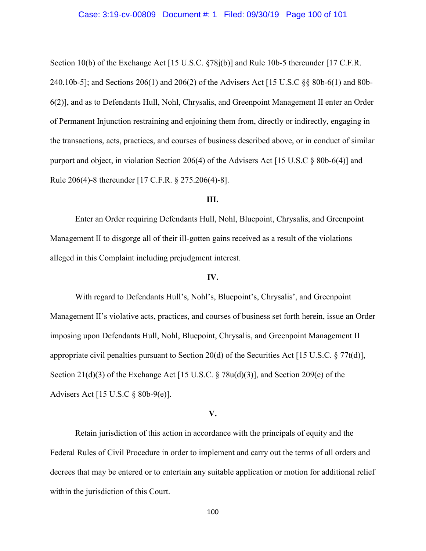#### Case: 3:19-cv-00809 Document #: 1 Filed: 09/30/19 Page 100 of 101

Section 10(b) of the Exchange Act [15 U.S.C. §78j(b)] and Rule 10b-5 thereunder [17 C.F.R. 240.10b-5]; and Sections 206(1) and 206(2) of the Advisers Act [15 U.S.C §§ 80b-6(1) and 80b-6(2)], and as to Defendants Hull, Nohl, Chrysalis, and Greenpoint Management II enter an Order of Permanent Injunction restraining and enjoining them from, directly or indirectly, engaging in the transactions, acts, practices, and courses of business described above, or in conduct of similar purport and object, in violation Section 206(4) of the Advisers Act [15 U.S.C § 80b-6(4)] and Rule 206(4)-8 thereunder [17 C.F.R. § 275.206(4)-8].

### **III.**

Enter an Order requiring Defendants Hull, Nohl, Bluepoint, Chrysalis, and Greenpoint Management II to disgorge all of their ill-gotten gains received as a result of the violations alleged in this Complaint including prejudgment interest.

# **IV.**

With regard to Defendants Hull's, Nohl's, Bluepoint's, Chrysalis', and Greenpoint Management II's violative acts, practices, and courses of business set forth herein, issue an Order imposing upon Defendants Hull, Nohl, Bluepoint, Chrysalis, and Greenpoint Management II appropriate civil penalties pursuant to Section 20(d) of the Securities Act [15 U.S.C. § 77t(d)], Section 21(d)(3) of the Exchange Act [15 U.S.C. § 78u(d)(3)], and Section 209(e) of the Advisers Act [15 U.S.C § 80b-9(e)].

### **V.**

Retain jurisdiction of this action in accordance with the principals of equity and the Federal Rules of Civil Procedure in order to implement and carry out the terms of all orders and decrees that may be entered or to entertain any suitable application or motion for additional relief within the jurisdiction of this Court.